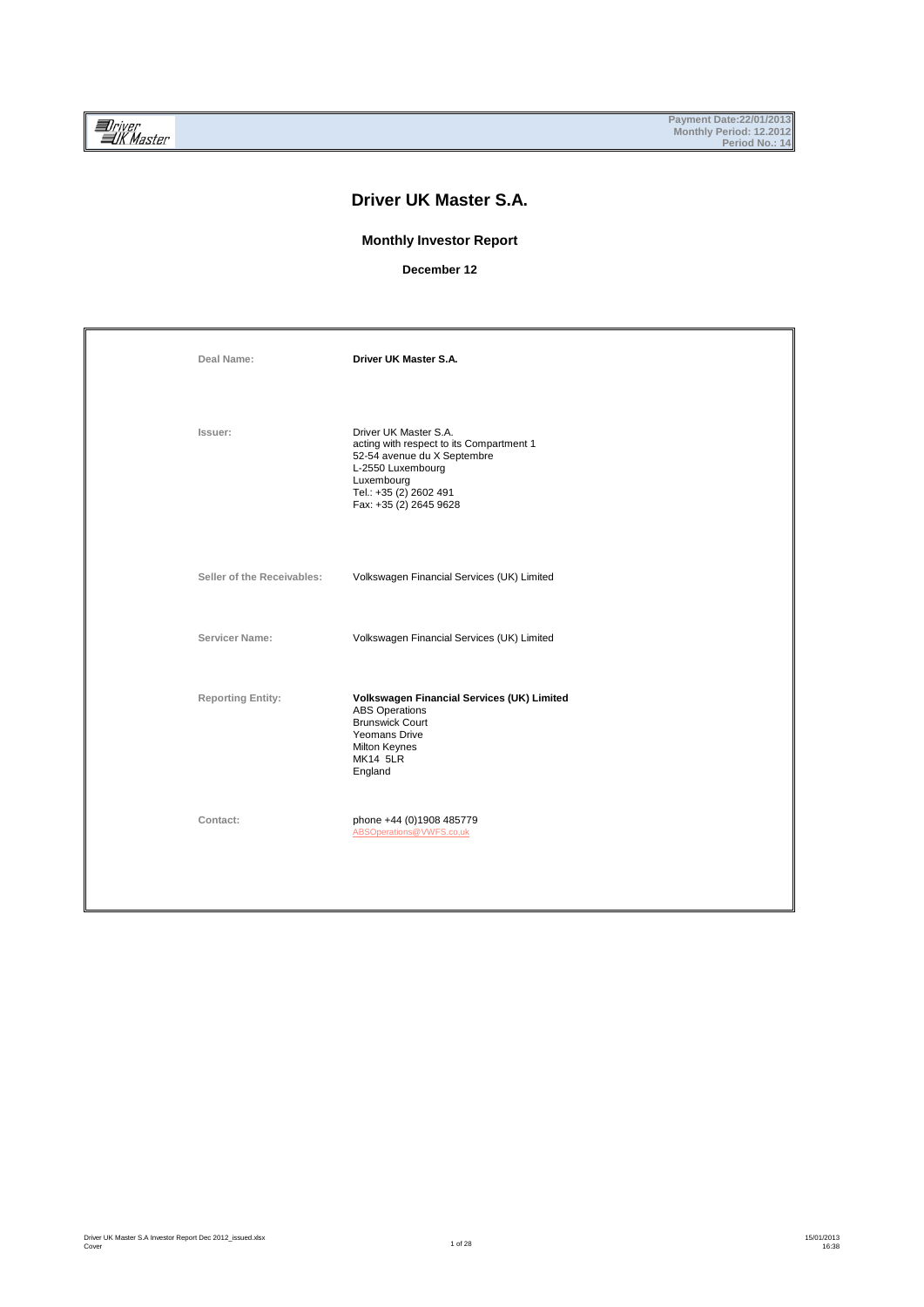## **Driver UK Master S.A.**

#### **Monthly Investor Report**

**December 12**

| Deal Name:                 | Driver UK Master S.A.                                                                                                                                                                   |
|----------------------------|-----------------------------------------------------------------------------------------------------------------------------------------------------------------------------------------|
| Issuer:                    | Driver UK Master S.A.<br>acting with respect to its Compartment 1<br>52-54 avenue du X Septembre<br>L-2550 Luxembourg<br>Luxembourg<br>Tel.: +35 (2) 2602 491<br>Fax: +35 (2) 2645 9628 |
| Seller of the Receivables: | Volkswagen Financial Services (UK) Limited                                                                                                                                              |
| Servicer Name:             | Volkswagen Financial Services (UK) Limited                                                                                                                                              |
| <b>Reporting Entity:</b>   | Volkswagen Financial Services (UK) Limited<br><b>ABS Operations</b><br><b>Brunswick Court</b><br>Yeomans Drive<br><b>Milton Keynes</b><br><b>MK14 5LR</b><br>England                    |
| Contact:                   | phone +44 (0)1908 485779<br>ABSOperations@VWFS.co,uk                                                                                                                                    |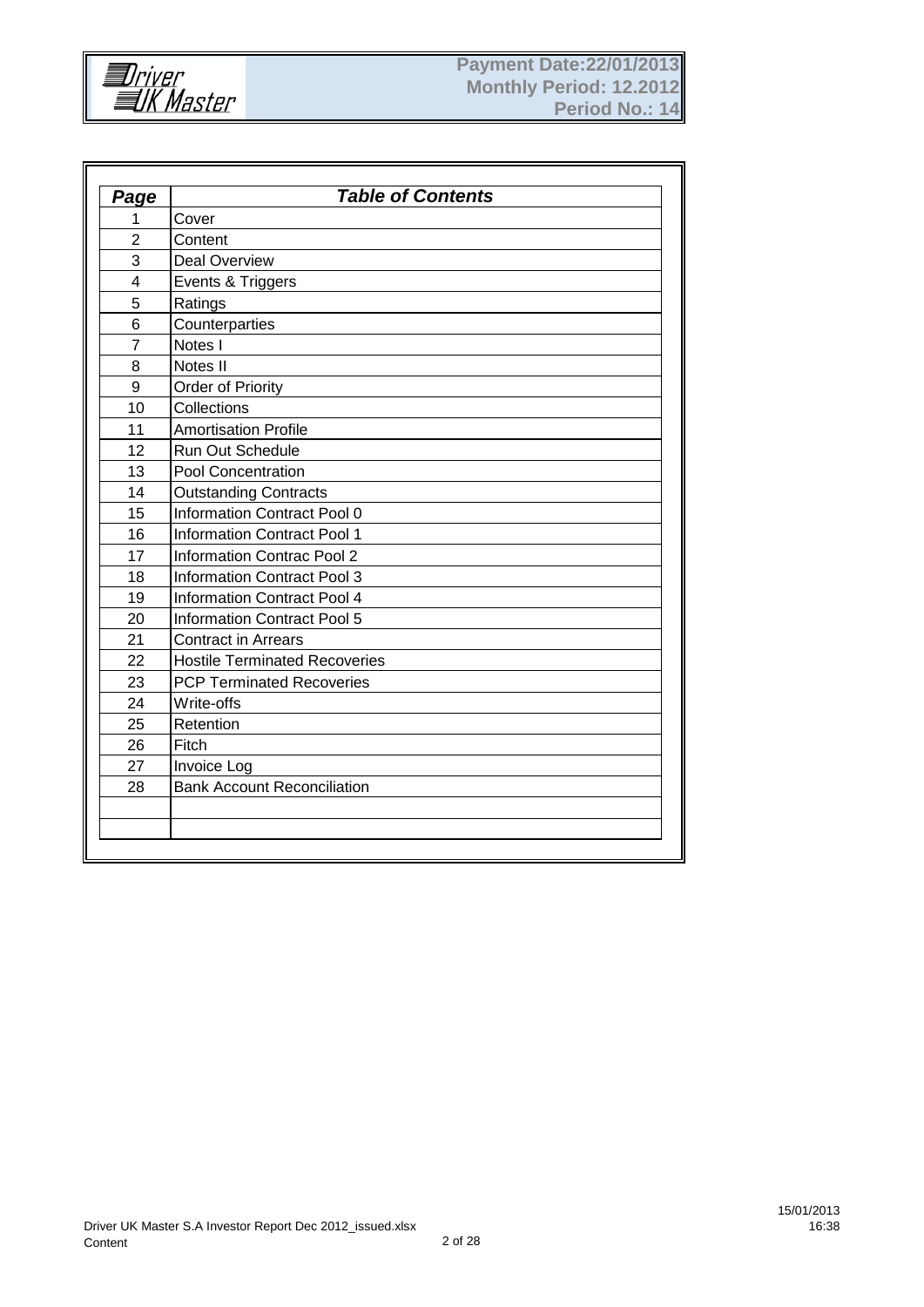

| Page           | <b>Table of Contents</b>             |
|----------------|--------------------------------------|
| 1              | Cover                                |
| $\overline{2}$ | Content                              |
| 3              | <b>Deal Overview</b>                 |
| 4              | Events & Triggers                    |
| 5              | Ratings                              |
| 6              | Counterparties                       |
| $\overline{7}$ | Notes I                              |
| 8              | Notes II                             |
| 9              | <b>Order of Priority</b>             |
| 10             | Collections                          |
| 11             | <b>Amortisation Profile</b>          |
| 12             | <b>Run Out Schedule</b>              |
| 13             | <b>Pool Concentration</b>            |
| 14             | <b>Outstanding Contracts</b>         |
| 15             | <b>Information Contract Pool 0</b>   |
| 16             | <b>Information Contract Pool 1</b>   |
| 17             | <b>Information Contrac Pool 2</b>    |
| 18             | <b>Information Contract Pool 3</b>   |
| 19             | <b>Information Contract Pool 4</b>   |
| 20             | <b>Information Contract Pool 5</b>   |
| 21             | <b>Contract in Arrears</b>           |
| 22             | <b>Hostile Terminated Recoveries</b> |
| 23             | <b>PCP Terminated Recoveries</b>     |
| 24             | Write-offs                           |
| 25             | Retention                            |
| 26             | Fitch                                |
| 27             | Invoice Log                          |
| 28             | <b>Bank Account Reconciliation</b>   |
|                |                                      |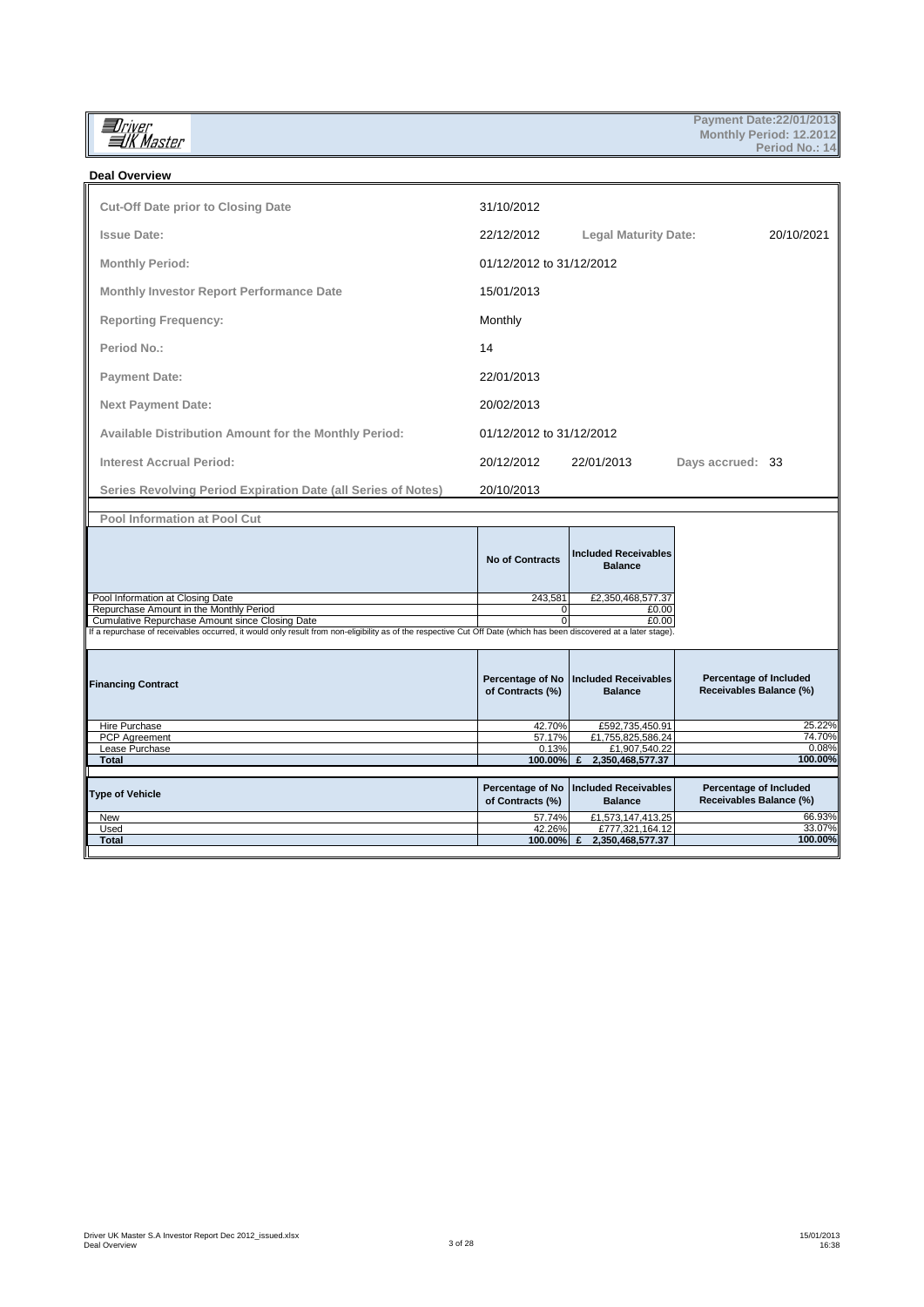**In**iver<br>IIK Master

| <b>Deal Overview</b>                                                                       |                          |                                               |                  |            |
|--------------------------------------------------------------------------------------------|--------------------------|-----------------------------------------------|------------------|------------|
| <b>Cut-Off Date prior to Closing Date</b>                                                  | 31/10/2012               |                                               |                  |            |
| <b>Issue Date:</b>                                                                         | 22/12/2012               | <b>Legal Maturity Date:</b>                   |                  | 20/10/2021 |
| <b>Monthly Period:</b>                                                                     | 01/12/2012 to 31/12/2012 |                                               |                  |            |
| <b>Monthly Investor Report Performance Date</b>                                            | 15/01/2013               |                                               |                  |            |
| <b>Reporting Frequency:</b>                                                                | Monthly                  |                                               |                  |            |
| Period No.:                                                                                | 14                       |                                               |                  |            |
| <b>Payment Date:</b>                                                                       | 22/01/2013               |                                               |                  |            |
| <b>Next Payment Date:</b>                                                                  | 20/02/2013               |                                               |                  |            |
| <b>Available Distribution Amount for the Monthly Period:</b>                               | 01/12/2012 to 31/12/2012 |                                               |                  |            |
| <b>Interest Accrual Period:</b>                                                            | 20/12/2012               | 22/01/2013                                    | Days accrued: 33 |            |
| Series Revolving Period Expiration Date (all Series of Notes)                              | 20/10/2013               |                                               |                  |            |
| <b>Pool Information at Pool Cut</b>                                                        |                          |                                               |                  |            |
|                                                                                            | <b>No of Contracts</b>   | <b>Included Receivables</b><br><b>Balance</b> |                  |            |
| Pool Information at Closing Date                                                           | 243,581                  | £2,350,468,577.37                             |                  |            |
| Repurchase Amount in the Monthly Period<br>Cumulative Repurchase Amount since Closing Date | 0<br>0                   | £0.00<br>£0.00                                |                  |            |
|                                                                                            |                          |                                               |                  |            |

Cumulative Repurchase Amount since Closing Date<br>If a repurchase of receivables occurred, it would only result from non-eligibility as of the respective Cut Off Date (which has been discovered at a later stage).

| <b>Financing Contract</b> | of Contracts (%) | Percentage of No   Included Receivables<br><b>Balance</b> | Percentage of Included<br>Receivables Balance (%) |
|---------------------------|------------------|-----------------------------------------------------------|---------------------------------------------------|
| Hire Purchase             | 42.70%           | £592,735,450.91                                           | 25.22%                                            |
| PCP Agreement             | 57.17%           | £1,755,825,586.24                                         | 74.70%                                            |
| Lease Purchase            | 0.13%            | £1,907,540.22                                             | 0.08%                                             |
| <b>Total</b>              | 100.00%          | 2,350,468,577.37                                          | 100.00%                                           |
|                           |                  |                                                           |                                                   |
| Type of Vehicle           | of Contracts (%) | Percentage of No   Included Receivables<br><b>Balance</b> | Percentage of Included<br>Receivables Balance (%) |
| New                       | 57.74%           | £1,573,147,413.25                                         | 66.93%                                            |
| Used                      | 42.26%           | £777,321,164.12                                           | 33.07%                                            |
| <b>Total</b>              | 100.00%          | 2,350,468,577.37                                          | 100.00%                                           |
|                           |                  |                                                           |                                                   |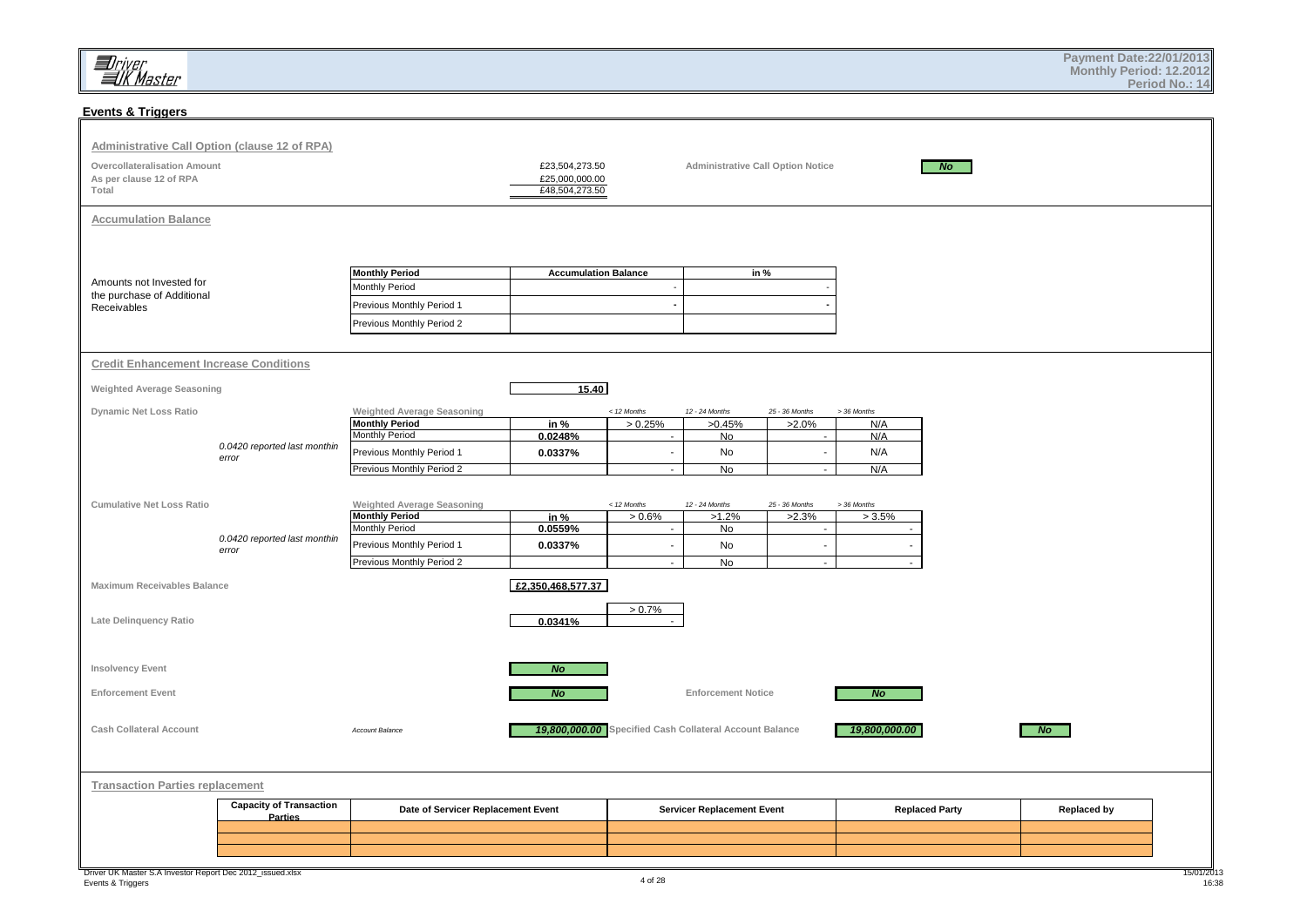## **Events & Triggers**

| <b>Administrative Call Option (clause 12 of RPA)</b><br><b>Overcollateralisation Amount</b><br>As per clause 12 of RPA<br>Total |                                           |                                                                                                                                               | £23,504,273.50<br>£25,000,000.00<br>£48,504,273.50 |                                                      | <b>Administrative Call Option Notice</b>                |                                                          |                                                 | N <sub>O</sub>        |                    |                     |
|---------------------------------------------------------------------------------------------------------------------------------|-------------------------------------------|-----------------------------------------------------------------------------------------------------------------------------------------------|----------------------------------------------------|------------------------------------------------------|---------------------------------------------------------|----------------------------------------------------------|-------------------------------------------------|-----------------------|--------------------|---------------------|
| <b>Accumulation Balance</b>                                                                                                     |                                           |                                                                                                                                               |                                                    |                                                      |                                                         |                                                          |                                                 |                       |                    |                     |
| Amounts not Invested for<br>the purchase of Additional<br>Receivables                                                           |                                           | <b>Monthly Period</b><br>Monthly Period<br>Previous Monthly Period 1<br>Previous Monthly Period 2                                             | <b>Accumulation Balance</b>                        | $\blacksquare$<br>٠                                  | in %                                                    |                                                          |                                                 |                       |                    |                     |
| <b>Credit Enhancement Increase Conditions</b>                                                                                   |                                           |                                                                                                                                               |                                                    |                                                      |                                                         |                                                          |                                                 |                       |                    |                     |
| <b>Weighted Average Seasoning</b>                                                                                               |                                           |                                                                                                                                               | 15.40                                              |                                                      |                                                         |                                                          |                                                 |                       |                    |                     |
| Dynamic Net Loss Ratio                                                                                                          | 0.0420 reported last monthin<br>error     | <b>Weighted Average Seasoning</b><br><b>Monthly Period</b><br><b>Monthly Period</b><br>Previous Monthly Period 1<br>Previous Monthly Period 2 | in %<br>0.0248%<br>0.0337%                         | < 12 Months<br>> 0.25%<br>$\sim$<br>$\sim$<br>$\sim$ | 12 - 24 Months<br>>0.45%<br>No<br>No<br>No              | 25 - 36 Months<br>$>2.0\%$<br>$\sim$<br>$\sim$<br>$\sim$ | > 36 Months<br>N/A<br>N/A<br>N/A<br>N/A         |                       |                    |                     |
| <b>Cumulative Net Loss Ratio</b>                                                                                                | 0.0420 reported last monthin<br>error     | <b>Weighted Average Seasoning</b><br><b>Monthly Period</b><br>Monthly Period<br>Previous Monthly Period 1<br>Previous Monthly Period 2        | in %<br>0.0559%<br>0.0337%                         | < 12 Months<br>> 0.6%<br>$\sim$<br>$\sim$<br>$\sim$  | 12 - 24 Months<br>>1.2%<br>No<br>No<br>No               | 25 - 36 Months<br>>2.3%<br>$\sim$<br>$\sim$<br>$\sim$    | > 36 Months<br>> 3.5%<br>$\sim$<br>$\mathbf{r}$ |                       |                    |                     |
| Maximum Receivables Balance                                                                                                     |                                           |                                                                                                                                               | £2,350,468,577.37                                  |                                                      |                                                         |                                                          |                                                 |                       |                    |                     |
| Late Delinquency Ratio                                                                                                          |                                           |                                                                                                                                               | 0.0341%                                            | $> 0.7\%$                                            |                                                         |                                                          |                                                 |                       |                    |                     |
| Insolvency Event                                                                                                                |                                           |                                                                                                                                               | N <sub>O</sub>                                     |                                                      |                                                         |                                                          |                                                 |                       |                    |                     |
| <b>Enforcement Event</b>                                                                                                        |                                           |                                                                                                                                               | No                                                 |                                                      | <b>Enforcement Notice</b>                               |                                                          | N <sub>O</sub>                                  |                       |                    |                     |
| <b>Cash Collateral Account</b>                                                                                                  |                                           | Account Balance                                                                                                                               |                                                    |                                                      | 19,800,000.00 Specified Cash Collateral Account Balance |                                                          | 19,800,000.00                                   |                       | No                 |                     |
| <b>Transaction Parties replacement</b>                                                                                          |                                           |                                                                                                                                               |                                                    |                                                      |                                                         |                                                          |                                                 |                       |                    |                     |
|                                                                                                                                 | <b>Capacity of Transaction</b><br>Parties | Date of Servicer Replacement Event                                                                                                            |                                                    |                                                      | <b>Servicer Replacement Event</b>                       |                                                          |                                                 | <b>Replaced Party</b> | <b>Replaced by</b> |                     |
|                                                                                                                                 |                                           |                                                                                                                                               |                                                    |                                                      |                                                         |                                                          |                                                 |                       |                    |                     |
| Driver UK Master S.A Investor Report Dec 2012_issued.xlsx<br>Events & Triggers                                                  |                                           |                                                                                                                                               |                                                    | 4 of 28                                              |                                                         |                                                          |                                                 |                       |                    | 15/01/2013<br>16:38 |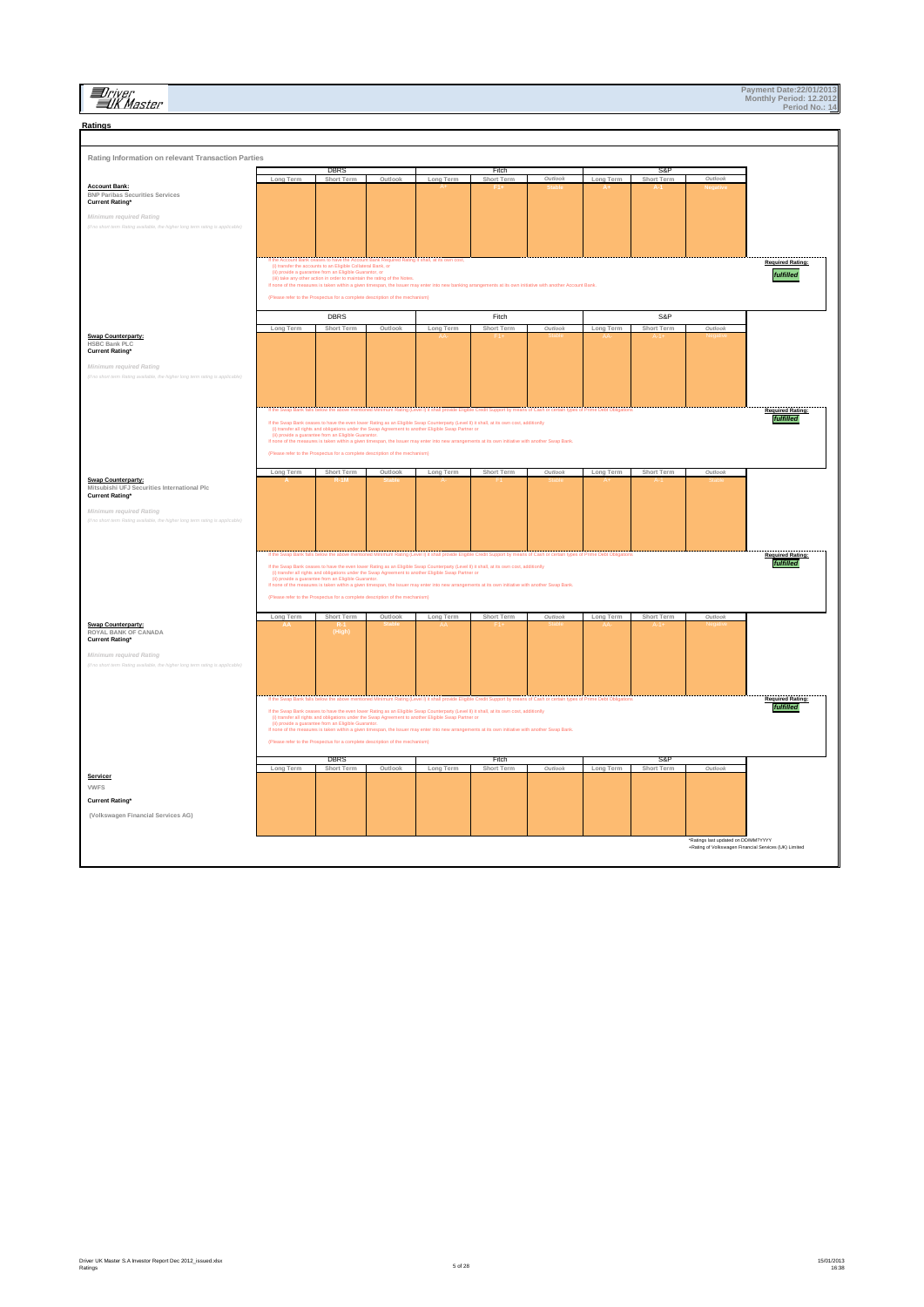## **ED**river<br>EUK Master

| Ratings                                                                                                   |                                       |                                                                                                                         |         |                           |                                                                                                                                                                                                                                      |                                                       |           |                   |                                                       |                                      |
|-----------------------------------------------------------------------------------------------------------|---------------------------------------|-------------------------------------------------------------------------------------------------------------------------|---------|---------------------------|--------------------------------------------------------------------------------------------------------------------------------------------------------------------------------------------------------------------------------------|-------------------------------------------------------|-----------|-------------------|-------------------------------------------------------|--------------------------------------|
|                                                                                                           |                                       |                                                                                                                         |         |                           |                                                                                                                                                                                                                                      |                                                       |           |                   |                                                       |                                      |
| Rating Information on relevant Transaction Parties                                                        |                                       |                                                                                                                         |         |                           |                                                                                                                                                                                                                                      |                                                       |           |                   |                                                       |                                      |
|                                                                                                           |                                       | <b>DRK2</b>                                                                                                             |         |                           | <b>Fitch</b>                                                                                                                                                                                                                         |                                                       |           | S&I               |                                                       |                                      |
| <b>Account Bank:</b>                                                                                      | Long Term                             | Short Term                                                                                                              | Outlook | Long Term                 | Short Term                                                                                                                                                                                                                           | Outlook                                               | Long Term | Short Term        | Outlook                                               |                                      |
| <b>BNP Paribas Securities Services</b><br><b>Current Rating*</b>                                          |                                       |                                                                                                                         |         |                           |                                                                                                                                                                                                                                      |                                                       |           |                   |                                                       |                                      |
| Minimum required Rating                                                                                   |                                       |                                                                                                                         |         |                           |                                                                                                                                                                                                                                      |                                                       |           |                   |                                                       |                                      |
| (if no short term Rating ave<br>e, the higher long term rating is applicable)                             |                                       |                                                                                                                         |         |                           |                                                                                                                                                                                                                                      |                                                       |           |                   |                                                       |                                      |
|                                                                                                           |                                       |                                                                                                                         |         |                           |                                                                                                                                                                                                                                      |                                                       |           |                   |                                                       |                                      |
|                                                                                                           |                                       | If the Account Bank ceases to have the Account Bank Required Rating it shall, at its own cost                           |         |                           |                                                                                                                                                                                                                                      |                                                       |           |                   |                                                       | <b>Required Rating:</b>              |
|                                                                                                           |                                       | (i) transfer the accounts to an Eligible Collateral Bank, or<br>(ii) provide a guarantee from an Eligible Guarantor, or |         |                           |                                                                                                                                                                                                                                      |                                                       |           |                   |                                                       | fulfilled                            |
|                                                                                                           |                                       | (iii) take any other action in order to maintain the rating of the Notes.                                               |         |                           | If none of the measures is taken within a given timespan, the Issuer may enter into new banking arrangements at its own initiative with another Account Bank.                                                                        |                                                       |           |                   |                                                       |                                      |
|                                                                                                           |                                       | (Please refer to the Prospectus for a complete description of the mechanism)                                            |         |                           |                                                                                                                                                                                                                                      |                                                       |           |                   |                                                       |                                      |
|                                                                                                           |                                       | DBRS                                                                                                                    |         |                           | Fitch                                                                                                                                                                                                                                |                                                       |           | S&P               |                                                       |                                      |
|                                                                                                           | Long Term                             | Short Term                                                                                                              | Outloo  | Long Term                 | Short Term                                                                                                                                                                                                                           | Outlooi                                               | Long Term | Short Term        | Outlook                                               |                                      |
| <b>Swap Counterparty:</b><br><b>HSBC Bank PLC</b>                                                         |                                       |                                                                                                                         |         |                           |                                                                                                                                                                                                                                      |                                                       |           |                   |                                                       |                                      |
| <b>Current Rating*</b>                                                                                    |                                       |                                                                                                                         |         |                           |                                                                                                                                                                                                                                      |                                                       |           |                   |                                                       |                                      |
| Minimum required Rating<br>(if no short term Rating ava<br>we, the higher long term rating is appli       |                                       |                                                                                                                         |         |                           |                                                                                                                                                                                                                                      |                                                       |           |                   |                                                       |                                      |
|                                                                                                           |                                       |                                                                                                                         |         |                           |                                                                                                                                                                                                                                      |                                                       |           |                   |                                                       |                                      |
|                                                                                                           |                                       |                                                                                                                         |         |                           |                                                                                                                                                                                                                                      |                                                       |           |                   |                                                       |                                      |
|                                                                                                           | f the Swap Bank falls below the above |                                                                                                                         |         | Level I) it shall provide |                                                                                                                                                                                                                                      | ns of Cash or certain types of Prime Debt Obligations |           |                   |                                                       | <b>Required Rating:</b><br>fulfilled |
|                                                                                                           |                                       | (ii) provide a guarantee from an Eligible Guarantor.                                                                    |         |                           | If the Swap Bank ceases to have the even lower Rating as an Eligible Swap Counterparty (Level II) it shall, at its own cost, additionlly<br>(i) transfer all rights and obligations under the Swap Agreement to another Eligible     |                                                       |           |                   |                                                       |                                      |
|                                                                                                           |                                       |                                                                                                                         |         |                           | If none of the measures is taken within a given timespan, the Issuer may enter into new arrangements at its own initiative with another Swap Bank                                                                                    |                                                       |           |                   |                                                       |                                      |
|                                                                                                           |                                       | (Please refer to the Prospectus for a complete description of the mechanism)                                            |         |                           |                                                                                                                                                                                                                                      |                                                       |           |                   |                                                       |                                      |
|                                                                                                           | Long Term                             | Short Term                                                                                                              | Outlool | Long Term                 | <b>Short Term</b>                                                                                                                                                                                                                    |                                                       | Long Term | Short Term        |                                                       |                                      |
| <b>Swap Counterparty:</b><br>Mitsubishi UFJ Securities International Plc                                  |                                       |                                                                                                                         |         |                           |                                                                                                                                                                                                                                      |                                                       |           |                   |                                                       |                                      |
| <b>Current Rating*</b>                                                                                    |                                       |                                                                                                                         |         |                           |                                                                                                                                                                                                                                      |                                                       |           |                   |                                                       |                                      |
| Minimum required Rating<br>(if no short term Rating avail<br>able, the higher long term rating is appli   |                                       |                                                                                                                         |         |                           |                                                                                                                                                                                                                                      |                                                       |           |                   |                                                       |                                      |
|                                                                                                           |                                       |                                                                                                                         |         |                           |                                                                                                                                                                                                                                      |                                                       |           |                   |                                                       |                                      |
|                                                                                                           |                                       |                                                                                                                         |         |                           |                                                                                                                                                                                                                                      |                                                       |           |                   |                                                       |                                      |
|                                                                                                           |                                       |                                                                                                                         |         |                           | If the Swap Bank falls below the above mentioned Minimum Rating (Level I) it shall provide Eligible Credit Support by means of Cash or certain types of Prime Debt Obligations                                                       |                                                       |           |                   |                                                       | <b>Required Rating:</b><br>fulfilled |
|                                                                                                           |                                       |                                                                                                                         |         |                           | If the Swap Bank ceases to have the even lower Rating as an Eligible Swap Counterparty (Level II) it shall, at its own cost, additionly<br>(i) transler all rights and obligations under the Swap Agreement to another Eligible S    |                                                       |           |                   |                                                       |                                      |
|                                                                                                           |                                       |                                                                                                                         |         |                           | If none of the measures is taken within a given timespan, the Issuer may enter into new arrangements at its own initiative with another Swap Bank.                                                                                   |                                                       |           |                   |                                                       |                                      |
|                                                                                                           |                                       | (Please refer to the Prospectus for a complete description of the mechanism)                                            |         |                           |                                                                                                                                                                                                                                      |                                                       |           |                   |                                                       |                                      |
|                                                                                                           | Long Term                             | Short Term                                                                                                              | Outlook | Long Term                 | Short Term                                                                                                                                                                                                                           | Outlook                                               | Long Term | Short Term        | Outlook                                               |                                      |
| <b>Swap Counterparty:</b><br>ROYAL BANK OF CANADA                                                         |                                       | (High                                                                                                                   |         |                           |                                                                                                                                                                                                                                      |                                                       |           |                   |                                                       |                                      |
| <b>Current Rating*</b>                                                                                    |                                       |                                                                                                                         |         |                           |                                                                                                                                                                                                                                      |                                                       |           |                   |                                                       |                                      |
| Minimum required Rating<br>(if no short term Rating available, the higher long term rating is applicable) |                                       |                                                                                                                         |         |                           |                                                                                                                                                                                                                                      |                                                       |           |                   |                                                       |                                      |
|                                                                                                           |                                       |                                                                                                                         |         |                           |                                                                                                                                                                                                                                      |                                                       |           |                   |                                                       |                                      |
|                                                                                                           |                                       |                                                                                                                         |         |                           |                                                                                                                                                                                                                                      |                                                       |           |                   |                                                       |                                      |
|                                                                                                           |                                       |                                                                                                                         |         |                           | f the Swap Bank falls below the above mentioned Minimum Rating (Level I) it shall provide Eligible Credit Support by means of Cash or certain types of Prime Debt Obligations                                                        |                                                       |           |                   |                                                       | <b>Required Rating:</b><br>fulfilled |
|                                                                                                           |                                       |                                                                                                                         |         |                           | If the Swap Bank ceases to have the even lower Rating as an Eligible Swap Counterparty (Level II) it shall, at its own cost, additionlly<br>(i) transfer all rights and obligations under the Swap Agreement to another Eligible     |                                                       |           |                   |                                                       |                                      |
|                                                                                                           |                                       |                                                                                                                         |         |                           | in provide a guarantee from an Eligible Guarantor.<br>If a provide a guarantee from an Eligible Guarantor.<br>If none of the measures is taken within a given timespan, the Issuer may enter into new arrangements at its own initia |                                                       |           |                   |                                                       |                                      |
|                                                                                                           |                                       | (Please refer to the Prospectus for a complete description of the mechanism)                                            |         |                           |                                                                                                                                                                                                                                      |                                                       |           |                   |                                                       |                                      |
|                                                                                                           | Long Term                             | DBRS<br>Short Term                                                                                                      | Outlook | Long Term                 | Fitch<br>Short Term                                                                                                                                                                                                                  | Outlook                                               | Long Term | S&F<br>Short Term | Outlook                                               |                                      |
| Servicer                                                                                                  |                                       |                                                                                                                         |         |                           |                                                                                                                                                                                                                                      |                                                       |           |                   |                                                       |                                      |
| <b>VWFS</b>                                                                                               |                                       |                                                                                                                         |         |                           |                                                                                                                                                                                                                                      |                                                       |           |                   |                                                       |                                      |
| <b>Current Rating*</b>                                                                                    |                                       |                                                                                                                         |         |                           |                                                                                                                                                                                                                                      |                                                       |           |                   |                                                       |                                      |
| (Volkswagen Financial Services AG)                                                                        |                                       |                                                                                                                         |         |                           |                                                                                                                                                                                                                                      |                                                       |           |                   |                                                       |                                      |
|                                                                                                           |                                       |                                                                                                                         |         |                           |                                                                                                                                                                                                                                      |                                                       |           |                   | *Ratings last updated on DD/MM?YYYY                   |                                      |
|                                                                                                           |                                       |                                                                                                                         |         |                           |                                                                                                                                                                                                                                      |                                                       |           |                   | +Rating of Volkswagen Financial Services (UK) Limited |                                      |
|                                                                                                           |                                       |                                                                                                                         |         |                           |                                                                                                                                                                                                                                      |                                                       |           |                   |                                                       |                                      |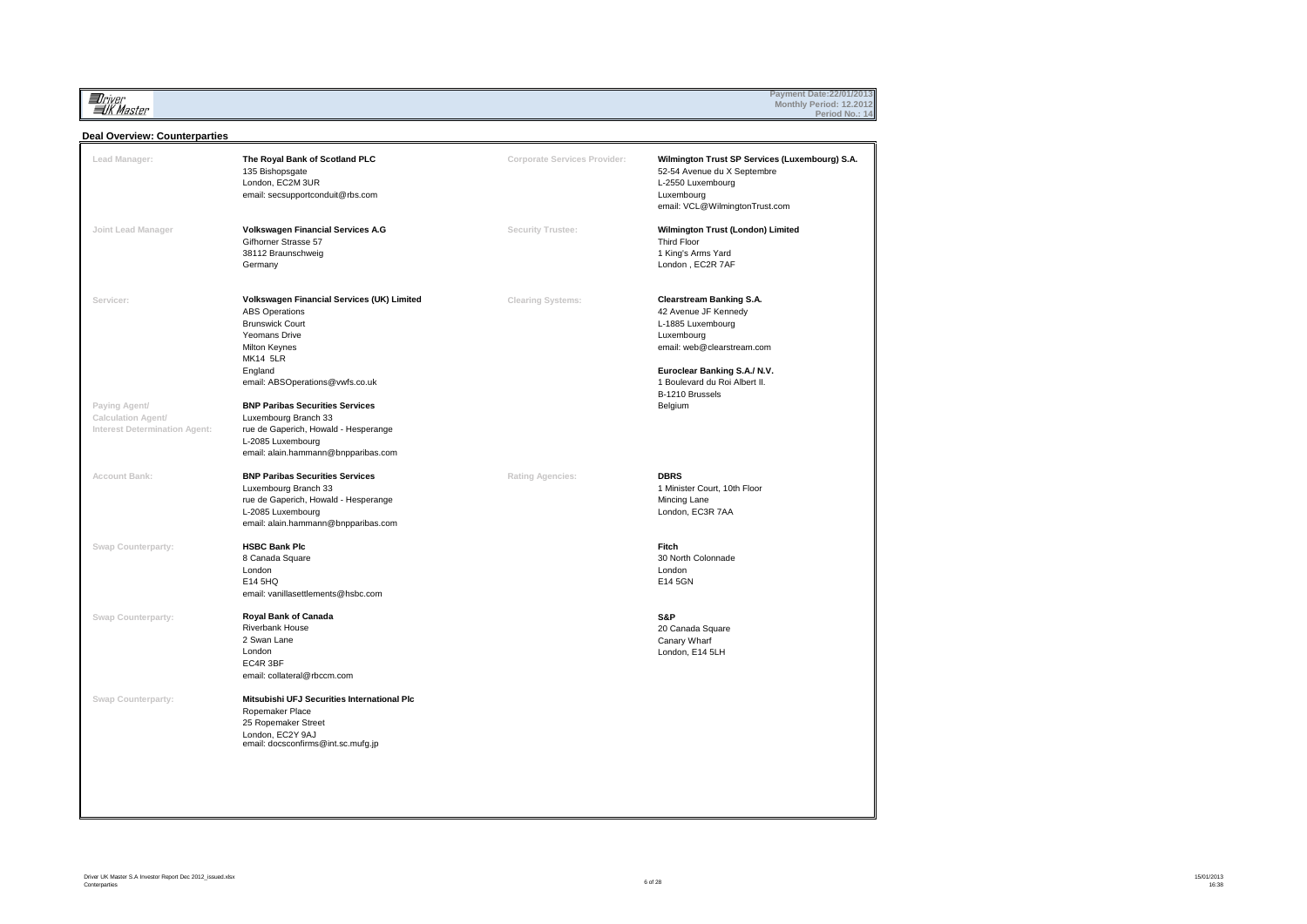**Il**river<br>IIK Master

## **Payment Date:22/01/2013 Monthly Period: 12.2012 Period No.: 14**

#### **Deal Overview: Counterparties**

| Lead Manager:                                                                     | The Royal Bank of Scotland PLC<br>135 Bishopsgate<br>London, EC2M 3UR<br>email: secsupportconduit@rbs.com                                                                                                                                                                                                                                                              | Corporate Services Provider: | Wilmington Trust SP Services (Luxembourg) S.A.<br>52-54 Avenue du X Septembre<br>L-2550 Luxembourg<br>Luxembourg<br>email: VCL@WilmingtonTrust.com                                                                      |
|-----------------------------------------------------------------------------------|------------------------------------------------------------------------------------------------------------------------------------------------------------------------------------------------------------------------------------------------------------------------------------------------------------------------------------------------------------------------|------------------------------|-------------------------------------------------------------------------------------------------------------------------------------------------------------------------------------------------------------------------|
| Joint Lead Manager                                                                | Volkswagen Financial Services A.G<br>Gifhorner Strasse 57<br>38112 Braunschweig<br>Germany                                                                                                                                                                                                                                                                             | Security Trustee:            | Wilmington Trust (London) Limited<br>Third Floor<br>1 King's Arms Yard<br>London, EC2R 7AF                                                                                                                              |
| Servicer:<br>Paying Agent/<br>Calculation Agent/<br>Interest Determination Agent: | Volkswagen Financial Services (UK) Limited<br><b>ABS Operations</b><br><b>Brunswick Court</b><br>Yeomans Drive<br>Milton Keynes<br><b>MK14 5LR</b><br>England<br>email: ABSOperations@vwfs.co.uk<br><b>BNP Paribas Securities Services</b><br>Luxembourg Branch 33<br>rue de Gaperich, Howald - Hesperange<br>L-2085 Luxembourg<br>email: alain.hammann@bnpparibas.com | <b>Clearing Systems:</b>     | <b>Clearstream Banking S.A.</b><br>42 Avenue JF Kennedy<br>L-1885 Luxembourg<br>Luxembourg<br>email: web@clearstream.com<br>Euroclear Banking S.A./ N.V.<br>1 Boulevard du Roi Albert II.<br>B-1210 Brussels<br>Belgium |
| Account Bank:                                                                     | <b>BNP Paribas Securities Services</b><br>Luxembourg Branch 33<br>rue de Gaperich, Howald - Hesperange<br>L-2085 Luxembourg<br>email: alain.hammann@bnpparibas.com                                                                                                                                                                                                     | Rating Agencies:             | <b>DBRS</b><br>1 Minister Court, 10th Floor<br>Mincing Lane<br>London, EC3R 7AA                                                                                                                                         |
| Swap Counterparty:                                                                | <b>HSBC Bank Plc</b><br>8 Canada Square<br>London<br>E14 5HQ<br>email: vanillasettlements@hsbc.com                                                                                                                                                                                                                                                                     |                              | Fitch<br>30 North Colonnade<br>London<br>E14 5GN                                                                                                                                                                        |
| Swap Counterparty:                                                                | Royal Bank of Canada<br><b>Riverbank House</b><br>2 Swan Lane<br>London<br>EC4R 3BF<br>email: collateral@rbccm.com                                                                                                                                                                                                                                                     |                              | S&P<br>20 Canada Square<br>Canary Wharf<br>London, E14 5LH                                                                                                                                                              |
| Swap Counterparty:                                                                | Mitsubishi UFJ Securities International Plc<br>Ropemaker Place<br>25 Ropemaker Street<br>London, EC2Y 9AJ<br>email: docsconfirms@int.sc.mufg.jp                                                                                                                                                                                                                        |                              |                                                                                                                                                                                                                         |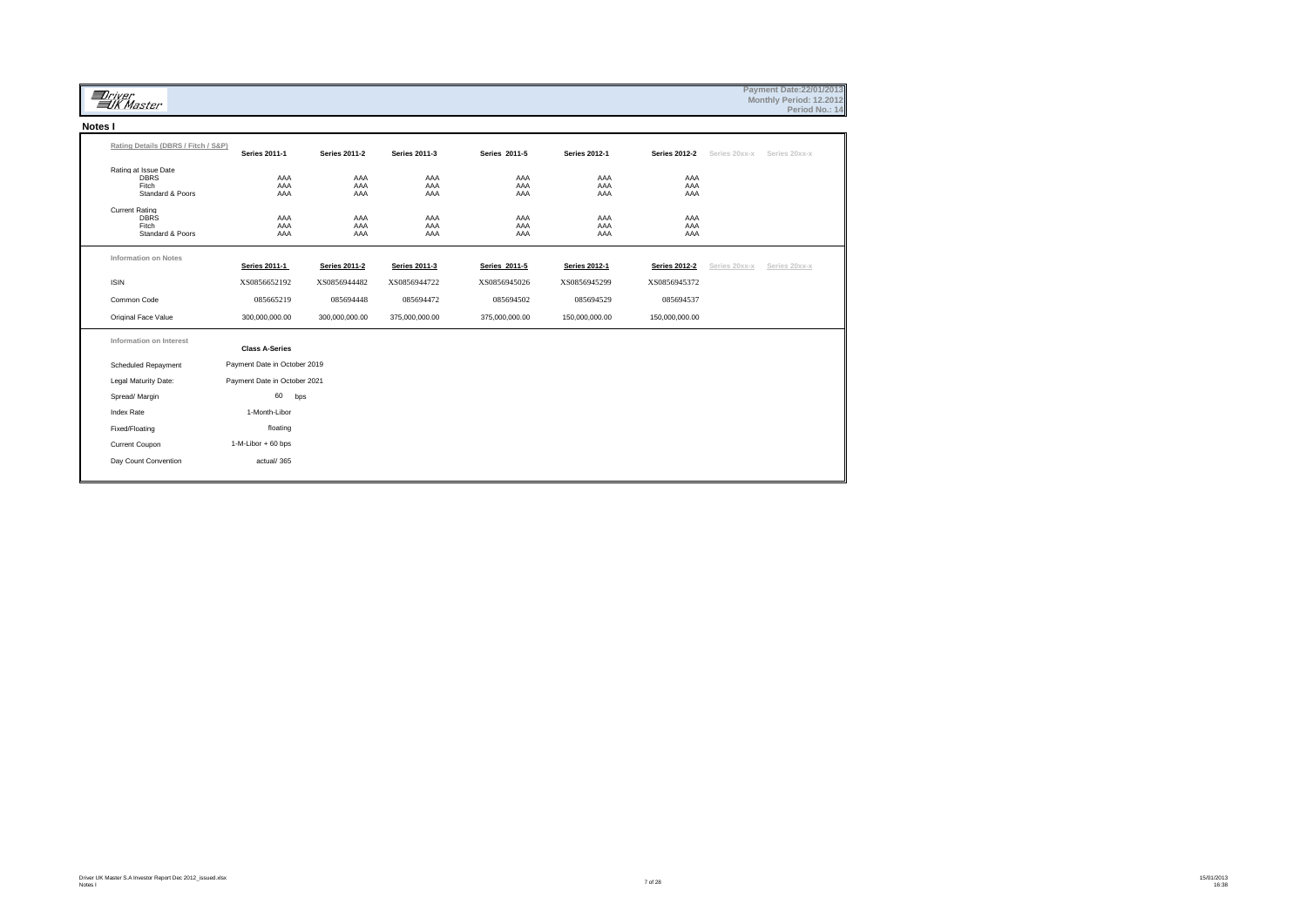|         | <i>Driver</i><br><b>WA</b> Master                                 |                              |                      |                      |                   |                      |                      |               | Payment Date: 22/01/2013<br>Monthly Period: 12.2012<br>Period No.: 14 |  |
|---------|-------------------------------------------------------------------|------------------------------|----------------------|----------------------|-------------------|----------------------|----------------------|---------------|-----------------------------------------------------------------------|--|
| Notes I |                                                                   |                              |                      |                      |                   |                      |                      |               |                                                                       |  |
|         | Rating Details (DBRS / Fitch / S&P)                               | <b>Series 2011-1</b>         | <b>Series 2011-2</b> | <b>Series 2011-3</b> | Series 2011-5     | <b>Series 2012-1</b> | <b>Series 2012-2</b> | Series 20xx-x | Series 20xx-x                                                         |  |
|         | Rating at Issue Date<br><b>DBRS</b><br>Fitch<br>Standard & Poors  | AAA<br>AAA<br>AAA            | AAA<br>AAA<br>AAA    | AAA<br>AAA<br>AAA    | AAA<br>AAA<br>AAA | AAA<br>AAA<br>AAA    | AAA<br>AAA<br>AAA    |               |                                                                       |  |
|         | <b>Current Rating</b><br><b>DBRS</b><br>Fitch<br>Standard & Poors | AAA<br>AAA<br>AAA            | AAA<br>AAA<br>AAA    | AAA<br>AAA<br>AAA    | AAA<br>AAA<br>AAA | AAA<br>AAA<br>AAA    | AAA<br>AAA<br>AAA    |               |                                                                       |  |
|         | <b>Information on Notes</b>                                       | <b>Series 2011-1</b>         | <b>Series 2011-2</b> | <b>Series 2011-3</b> | Series 2011-5     | <b>Series 2012-1</b> | <b>Series 2012-2</b> | Series 20xx-x | Series 20xx-x                                                         |  |
|         | <b>ISIN</b>                                                       | XS0856652192                 | XS0856944482         | XS0856944722         | XS0856945026      | XS0856945299         | XS0856945372         |               |                                                                       |  |
|         | Common Code                                                       | 085665219                    | 085694448            | 085694472            | 085694502         | 085694529            | 085694537            |               |                                                                       |  |
|         | Original Face Value                                               | 300,000,000.00               | 300,000,000.00       | 375,000,000.00       | 375,000,000.00    | 150,000,000.00       | 150,000,000.00       |               |                                                                       |  |
|         | Information on Interest                                           | <b>Class A-Series</b>        |                      |                      |                   |                      |                      |               |                                                                       |  |
|         | <b>Scheduled Repayment</b>                                        | Payment Date in October 2019 |                      |                      |                   |                      |                      |               |                                                                       |  |
|         | Legal Maturity Date:                                              | Payment Date in October 2021 |                      |                      |                   |                      |                      |               |                                                                       |  |
|         | Spread/ Margin                                                    | 60<br>bps                    |                      |                      |                   |                      |                      |               |                                                                       |  |
|         | <b>Index Rate</b>                                                 | 1-Month-Libor                |                      |                      |                   |                      |                      |               |                                                                       |  |
|         | Fixed/Floating                                                    | floating                     |                      |                      |                   |                      |                      |               |                                                                       |  |
|         | Current Coupon                                                    | 1-M-Libor + 60 bps           |                      |                      |                   |                      |                      |               |                                                                       |  |
|         | Day Count Convention                                              | actual/365                   |                      |                      |                   |                      |                      |               |                                                                       |  |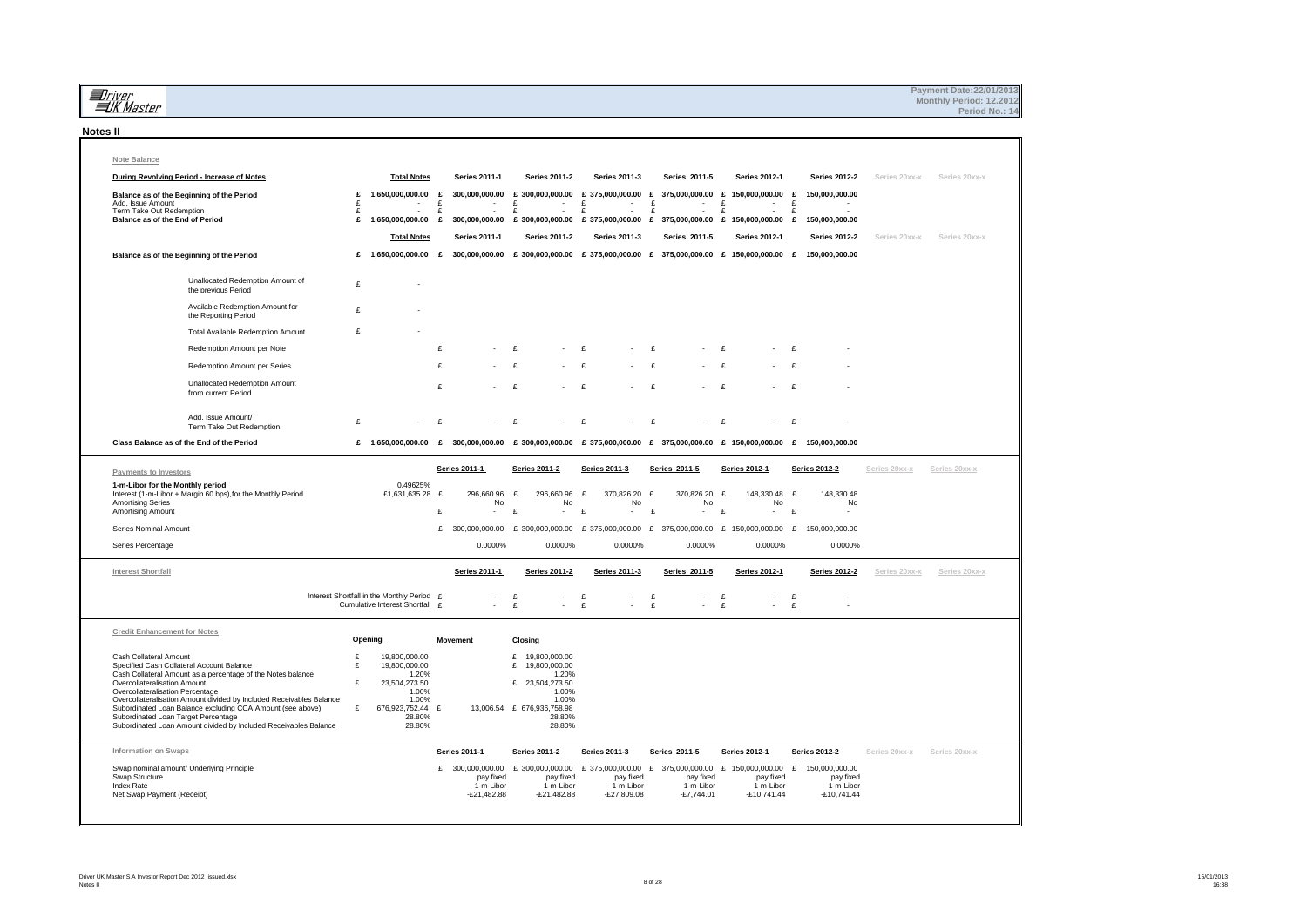| <i>aniver</i><br>alk Master                                                                                                                                           |              |                                                                               |                   |                                         |                                                                                                                                                            |                                         |                           |                                        |              |                                         |              |                                         |               | Payment Date: 22/01/2013<br>Monthly Period: 12.2012<br>Period No.: 14 |
|-----------------------------------------------------------------------------------------------------------------------------------------------------------------------|--------------|-------------------------------------------------------------------------------|-------------------|-----------------------------------------|------------------------------------------------------------------------------------------------------------------------------------------------------------|-----------------------------------------|---------------------------|----------------------------------------|--------------|-----------------------------------------|--------------|-----------------------------------------|---------------|-----------------------------------------------------------------------|
| <b>Notes II</b>                                                                                                                                                       |              |                                                                               |                   |                                         |                                                                                                                                                            |                                         |                           |                                        |              |                                         |              |                                         |               |                                                                       |
| Note Balance                                                                                                                                                          |              |                                                                               |                   |                                         |                                                                                                                                                            |                                         |                           |                                        |              |                                         |              |                                         |               |                                                                       |
| During Revolving Period - Increase of Notes                                                                                                                           |              | <b>Total Notes</b>                                                            |                   | <b>Series 2011-1</b>                    | <b>Series 2011-2</b>                                                                                                                                       | <b>Series 2011-3</b>                    |                           | Series 2011-5                          |              | <b>Series 2012-1</b>                    |              | <b>Series 2012-2</b>                    | Series 20xx-x | Series 20xx-x                                                         |
| Balance as of the Beginning of the Period<br>Add. Issue Amount                                                                                                        | £            | 1,650,000,000.00                                                              | $\mathbf{f}$      |                                         | 300,000,000.00 £ 300,000,000.00 £ 375,000,000.00 £ 375,000,000.00 £ 150,000,000.00 £                                                                       | $\mathbf{f}$                            |                           |                                        | E            |                                         | $\mathbf{f}$ | 150,000,000.00                          |               |                                                                       |
| Term Take Out Redemption<br>Balance as of the End of Period                                                                                                           | £<br>£<br>£  | $\sim$                                                                        | £<br>$\mathbf{f}$ | $\sim$                                  | £<br>$\sim$ 100 $\mu$<br>$\mathbf{f}$<br>$\sim$<br>1,650,000,000.00 £ 300,000,000.00 £ 300,000,000.00 £ 375,000,000.00 £ 375,000,000.00 £ 150,000,000.00 £ | $\sim$<br>f<br>$\sim$                   | $\pounds$<br>$\mathbf{f}$ | $\sim$                                 | $\mathbf{f}$ | $\sim$                                  | $\mathbf{f}$ | 150,000,000.00                          |               |                                                                       |
|                                                                                                                                                                       |              | <b>Total Notes</b>                                                            |                   | Series 2011-1                           | <b>Series 2011-2</b>                                                                                                                                       | Series 2011-3                           |                           | Series 2011-5                          |              |                                         |              |                                         |               | Series 20xx-x                                                         |
| Balance as of the Beginning of the Period                                                                                                                             |              |                                                                               |                   |                                         | £ 1,650,000,000.00 £ 300,000,000.00 £ 300,000,000.00 £ 375,000,000.00 £ 375,000,000.00 £ 150,000,000.00 £ 150,000,000.00                                   |                                         |                           |                                        |              | <b>Series 2012-1</b>                    |              | Series 2012-2                           | Series 20xx-x |                                                                       |
|                                                                                                                                                                       |              |                                                                               |                   |                                         |                                                                                                                                                            |                                         |                           |                                        |              |                                         |              |                                         |               |                                                                       |
| Unallocated Redemption Amount of<br>the previous Period                                                                                                               | £            |                                                                               |                   |                                         |                                                                                                                                                            |                                         |                           |                                        |              |                                         |              |                                         |               |                                                                       |
| Available Redemption Amount for<br>the Reporting Period                                                                                                               | $\mathbf{f}$ |                                                                               |                   |                                         |                                                                                                                                                            |                                         |                           |                                        |              |                                         |              |                                         |               |                                                                       |
| Total Available Redemption Amount                                                                                                                                     | £            |                                                                               |                   |                                         |                                                                                                                                                            |                                         |                           |                                        |              |                                         |              |                                         |               |                                                                       |
| Redemption Amount per Note                                                                                                                                            |              |                                                                               | £                 |                                         | $\mathbf{f}$                                                                                                                                               | $\mathbf{f}$                            | $\mathbf{f}$              |                                        | $\mathbf{f}$ |                                         |              |                                         |               |                                                                       |
| Redemption Amount per Series                                                                                                                                          |              |                                                                               | $\mathbf{f}$      |                                         | $\mathbf{f}$                                                                                                                                               | $\mathbf{f}$                            | $\mathbf{f}$              |                                        | $\mathbf{f}$ |                                         |              |                                         |               |                                                                       |
| <b>Unallocated Redemption Amount</b><br>from current Period                                                                                                           |              |                                                                               | $\mathbf{f}$      |                                         | £                                                                                                                                                          | £                                       | £                         |                                        | £            |                                         | $\mathbf{f}$ |                                         |               |                                                                       |
| Add. Issue Amount/                                                                                                                                                    | £            |                                                                               | £                 |                                         | $\mathbf{f}$                                                                                                                                               | £                                       | £                         |                                        | £            |                                         | £            |                                         |               |                                                                       |
| Term Take Out Redemption<br>Class Balance as of the End of the Period                                                                                                 |              |                                                                               |                   |                                         | £ 1,650,000,000.00 £ 300,000,000.00 £ 300,000,000.00 £ 375,000,000.00 £ 375,000,000.00 £ 150,000,000.00 £ 150,000,000.00                                   |                                         |                           |                                        |              |                                         |              |                                         |               |                                                                       |
|                                                                                                                                                                       |              |                                                                               |                   |                                         |                                                                                                                                                            |                                         |                           |                                        |              |                                         |              |                                         |               |                                                                       |
| Payments to Investors                                                                                                                                                 |              |                                                                               |                   | <b>Series 2011-1</b>                    | <b>Series 2011-2</b>                                                                                                                                       | Series 2011-3                           |                           | Series 2011-5                          |              | Series 2012-1                           |              | <b>Series 2012-2</b>                    | Series 20xx-x | Series 20xx-x                                                         |
| 1-m-Libor for the Monthly period<br>Interest (1-m-Libor + Margin 60 bps), for the Monthly Period<br><b>Amortising Series</b>                                          |              | 0.49625%<br>£1,631,635.28 £                                                   |                   | 296,660.96<br>No                        | £<br>296,660.96<br>No                                                                                                                                      | £<br>370,826.20 £<br>No                 |                           | 370,826.20 £<br>No                     |              | 148,330.48 £<br>No                      |              | 148,330.48<br>No                        |               |                                                                       |
| Amortising Amount                                                                                                                                                     |              |                                                                               | £                 | $\blacksquare$                          | £                                                                                                                                                          | £<br>÷.                                 | £                         |                                        | £            | $\overline{\phantom{a}}$                | £            |                                         |               |                                                                       |
| Series Nominal Amount                                                                                                                                                 |              |                                                                               | £                 |                                         | 300,000,000.00 £ 300,000,000.00 £ 375,000,000.00 £ 375,000,000.00 £ 150,000,000.00                                                                         |                                         |                           |                                        |              |                                         | E            | 150,000,000.00                          |               |                                                                       |
| Series Percentage                                                                                                                                                     |              |                                                                               |                   | 0.0000%                                 | 0.0000%                                                                                                                                                    | 0.0000%                                 |                           | 0.0000%                                |              | 0.0000%                                 |              | 0.0000%                                 |               |                                                                       |
| Interest Shortfall                                                                                                                                                    |              |                                                                               |                   | Series 2011-1                           | <b>Series 2011-2</b>                                                                                                                                       | <b>Series 2011-3</b>                    |                           | Series 2011-5                          |              | <b>Series 2012-1</b>                    |              | <b>Series 2012-2</b>                    | Series 20xx-x | Series 20xx-x                                                         |
|                                                                                                                                                                       |              | Interest Shortfall in the Monthly Period £<br>Cumulative Interest Shortfall £ |                   | $\sim$                                  | £<br>٠<br>£                                                                                                                                                | £<br>÷<br>£                             | £<br>£                    | $\sim$                                 | £<br>£       | $\sim$                                  | £<br>£       |                                         |               |                                                                       |
| <b>Credit Enhancement for Notes</b>                                                                                                                                   |              |                                                                               |                   |                                         |                                                                                                                                                            |                                         |                           |                                        |              |                                         |              |                                         |               |                                                                       |
|                                                                                                                                                                       | Opening<br>£ |                                                                               |                   | <b>Movement</b>                         | Closing<br>£                                                                                                                                               |                                         |                           |                                        |              |                                         |              |                                         |               |                                                                       |
| Cash Collateral Amount<br>Specified Cash Collateral Account Balance<br>Cash Collateral Amount as a percentage of the Notes balance                                    | £            | 19,800,000.00<br>19,800,000.00                                                |                   |                                         | 19,800,000.00<br>£ 19,800,000.00<br>1.20%                                                                                                                  |                                         |                           |                                        |              |                                         |              |                                         |               |                                                                       |
| Overcollateralisation Amount<br>Overcollateralisation Percentage                                                                                                      | £            | 1.20%<br>23,504,273.50<br>1.00%                                               |                   |                                         | £ 23,504,273.50<br>1.00%                                                                                                                                   |                                         |                           |                                        |              |                                         |              |                                         |               |                                                                       |
|                                                                                                                                                                       |              | 1.00%                                                                         | £                 |                                         | 1.00%<br>13,006.54 £ 676,936,758.98                                                                                                                        |                                         |                           |                                        |              |                                         |              |                                         |               |                                                                       |
| Overcollateralisation Amount divided by Included Receivables Balance                                                                                                  |              |                                                                               |                   |                                         |                                                                                                                                                            |                                         |                           |                                        |              |                                         |              |                                         |               |                                                                       |
| Subordinated Loan Balance excluding CCA Amount (see above)<br>Subordinated Loan Target Percentage<br>Subordinated Loan Amount divided by Included Receivables Balance | £            | 676,923,752.44<br>28.80%<br>28.80%                                            |                   |                                         | 28.80%<br>28.80%                                                                                                                                           |                                         |                           |                                        |              |                                         |              |                                         |               |                                                                       |
| <b>Information on Swaps</b>                                                                                                                                           |              |                                                                               |                   | <b>Series 2011-1</b>                    | <b>Series 2011-2</b>                                                                                                                                       | <b>Series 2011-3</b>                    |                           | Series 2011-5                          |              | <b>Series 2012-1</b>                    |              | <b>Series 2012-2</b>                    | Series 20xx-x | Series 20xx-x                                                         |
| Swap nominal amount/ Underlying Principle                                                                                                                             |              |                                                                               | £                 |                                         | 300,000,000.00 £ 300,000,000.00 £ 375,000,000.00 £ 375,000,000.00 £ 150,000,000.00 £ 150,000,000.00                                                        |                                         |                           |                                        |              |                                         |              |                                         |               |                                                                       |
| Swap Structure<br>Index Rate<br>Net Swap Payment (Receipt)                                                                                                            |              |                                                                               |                   | pay fixed<br>1-m-Libor<br>$-E21,482.88$ | pay fixed<br>1-m-Libor<br>-£21,482.88                                                                                                                      | pay fixed<br>1-m-Libor<br>$-E27,809.08$ |                           | pay fixed<br>1-m-Libor<br>$-£7,744.01$ |              | pay fixed<br>1-m-Libor<br>$-£10,741.44$ |              | pay fixed<br>1-m-Libor<br>$-£10,741.44$ |               |                                                                       |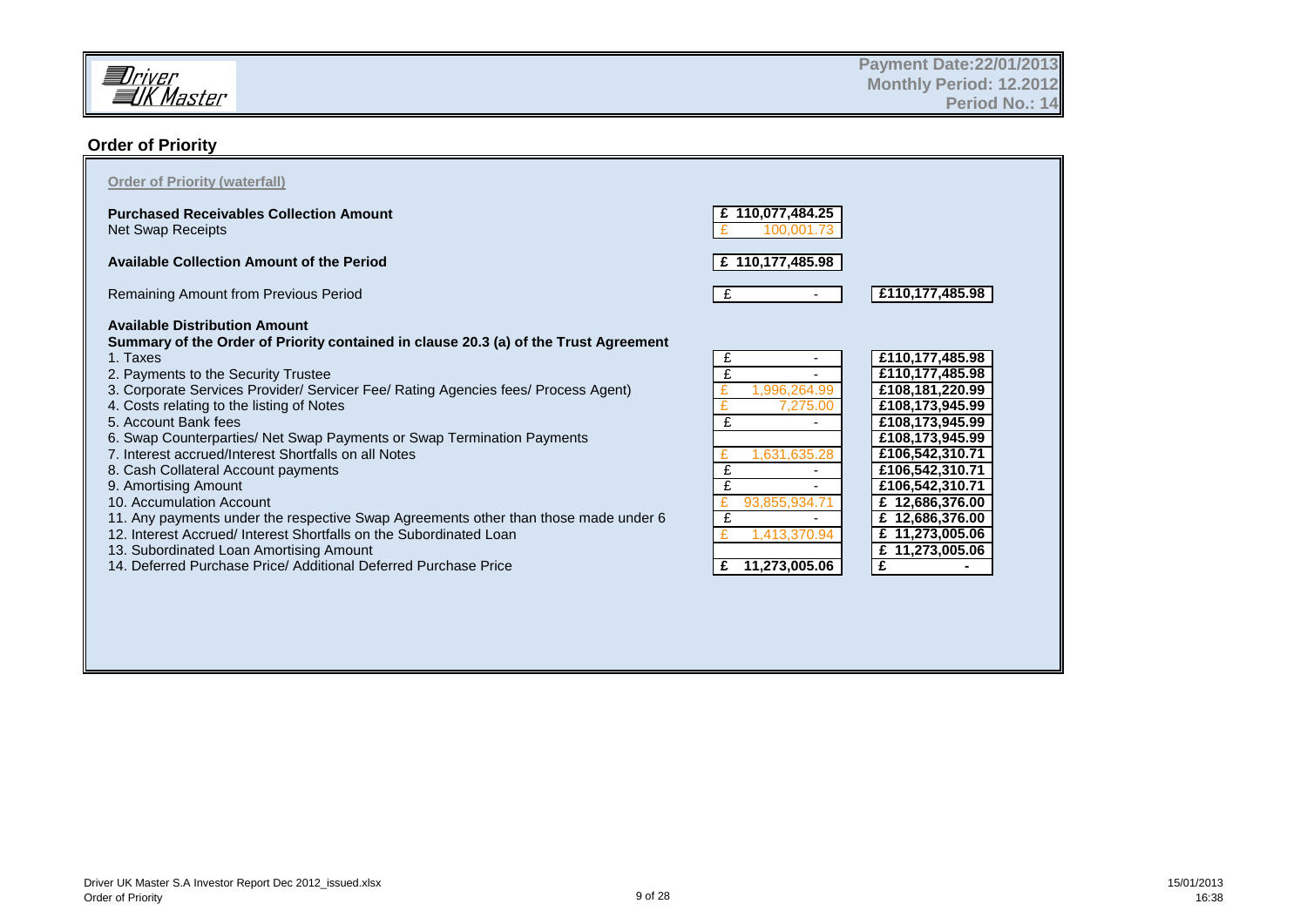

## **Order of Priority**

| <b>Purchased Receivables Collection Amount</b>                                       | 110,077,484.25<br>£ |                 |
|--------------------------------------------------------------------------------------|---------------------|-----------------|
| Net Swap Receipts                                                                    | 100.00              |                 |
| <b>Available Collection Amount of the Period</b>                                     | £ 110,177,485.98    |                 |
| Remaining Amount from Previous Period                                                | £                   | £110,177,485.98 |
| <b>Available Distribution Amount</b>                                                 |                     |                 |
| Summary of the Order of Priority contained in clause 20.3 (a) of the Trust Agreement |                     |                 |
| 1. Taxes                                                                             | £                   | £110,177,485.98 |
| 2. Payments to the Security Trustee                                                  | £                   | £110,177,485.98 |
| 3. Corporate Services Provider/ Servicer Fee/ Rating Agencies fees/ Process Agent)   | .996,264.99         | £108,181,220.99 |
| 4. Costs relating to the listing of Notes                                            | 7,275.00            | £108,173,945.99 |
| 5. Account Bank fees                                                                 | £                   | £108,173,945.99 |
| 6. Swap Counterparties/ Net Swap Payments or Swap Termination Payments               |                     | £108,173,945.99 |
| 7. Interest accrued/Interest Shortfalls on all Notes                                 | 1,631,635.28        | £106,542,310.71 |
| 8. Cash Collateral Account payments                                                  |                     | £106,542,310.71 |
| 9. Amortising Amount                                                                 |                     | £106,542,310.71 |
| 10. Accumulation Account                                                             | 93,855,934.7        | £ 12,686,376.00 |
| 11. Any payments under the respective Swap Agreements other than those made under 6  | £                   | £ 12,686,376.00 |
| 12. Interest Accrued/ Interest Shortfalls on the Subordinated Loan                   | .413.370.94         | £ 11,273,005.06 |
| 13. Subordinated Loan Amortising Amount                                              |                     | £ 11,273,005.06 |
| 14. Deferred Purchase Price/ Additional Deferred Purchase Price                      | 11,273,005.06<br>£  | £               |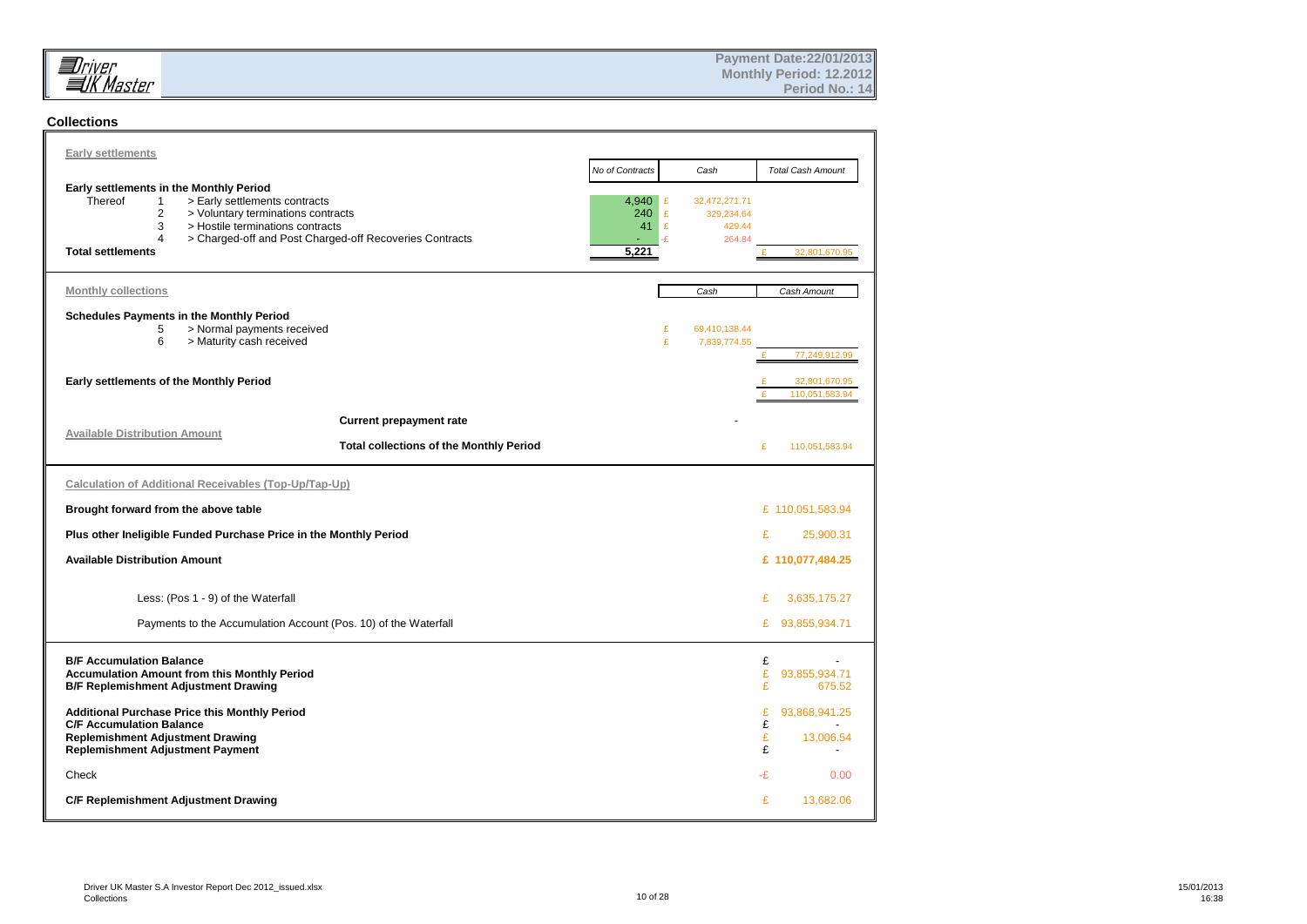

#### **Collections**

| <b>Early settlements</b>                                                                                                                                                                                                                                                                                |                                                |                                                                              |                                                    |
|---------------------------------------------------------------------------------------------------------------------------------------------------------------------------------------------------------------------------------------------------------------------------------------------------------|------------------------------------------------|------------------------------------------------------------------------------|----------------------------------------------------|
| Early settlements in the Monthly Period<br>Thereof<br>> Early settlements contracts<br>$\mathbf{1}$<br>$\overline{2}$<br>> Voluntary terminations contracts<br>3<br>> Hostile terminations contracts<br>$\Delta$<br>> Charged-off and Post Charged-off Recoveries Contracts<br><b>Total settlements</b> | No of Contracts<br>4,940<br>240<br>41<br>5,221 | Cash<br>32,472,271.71<br>£<br>£<br>329.234.64<br>£<br>429.44<br>-£<br>264.84 | <b>Total Cash Amount</b><br>32.801.670.95          |
|                                                                                                                                                                                                                                                                                                         |                                                |                                                                              |                                                    |
| <b>Monthly collections</b><br>Schedules Payments in the Monthly Period<br>5<br>> Normal payments received<br>6<br>> Maturity cash received<br>Early settlements of the Monthly Period                                                                                                                   |                                                | Cash<br>£<br>69,410,138.44<br>£<br>7,839,774.55                              | Cash Amount<br>£<br>77,249,912.99<br>32,801,670.95 |
|                                                                                                                                                                                                                                                                                                         |                                                |                                                                              | £<br>110.051.583.94                                |
| <b>Current prepayment rate</b><br><b>Available Distribution Amount</b><br><b>Total collections of the Monthly Period</b>                                                                                                                                                                                |                                                |                                                                              | £<br>110,051,583.94                                |
| Calculation of Additional Receivables (Top-Up/Tap-Up)                                                                                                                                                                                                                                                   |                                                |                                                                              |                                                    |
| Brought forward from the above table                                                                                                                                                                                                                                                                    |                                                |                                                                              | £ 110,051,583.94                                   |
| Plus other Ineligible Funded Purchase Price in the Monthly Period                                                                                                                                                                                                                                       |                                                |                                                                              | £<br>25,900.31                                     |
| <b>Available Distribution Amount</b>                                                                                                                                                                                                                                                                    |                                                |                                                                              | £ 110,077,484.25                                   |
| Less: (Pos 1 - 9) of the Waterfall                                                                                                                                                                                                                                                                      |                                                |                                                                              | £<br>3,635,175.27                                  |
| Payments to the Accumulation Account (Pos. 10) of the Waterfall                                                                                                                                                                                                                                         |                                                |                                                                              | 93,855,934.71<br>£                                 |
| <b>B/F Accumulation Balance</b><br><b>Accumulation Amount from this Monthly Period</b><br><b>B/F Replemishment Adjustment Drawing</b>                                                                                                                                                                   |                                                |                                                                              | £<br>£<br>93.855.934.71<br>£<br>675.52             |
| Additional Purchase Price this Monthly Period<br><b>C/F Accumulation Balance</b><br><b>Replemishment Adjustment Drawing</b><br><b>Replemishment Adjustment Payment</b>                                                                                                                                  |                                                |                                                                              | £<br>93,868,941.25<br>£<br>£<br>13,006.54<br>£     |
| Check                                                                                                                                                                                                                                                                                                   |                                                |                                                                              | -£<br>0.00                                         |
| C/F Replemishment Adjustment Drawing                                                                                                                                                                                                                                                                    |                                                |                                                                              | £<br>13,682.06                                     |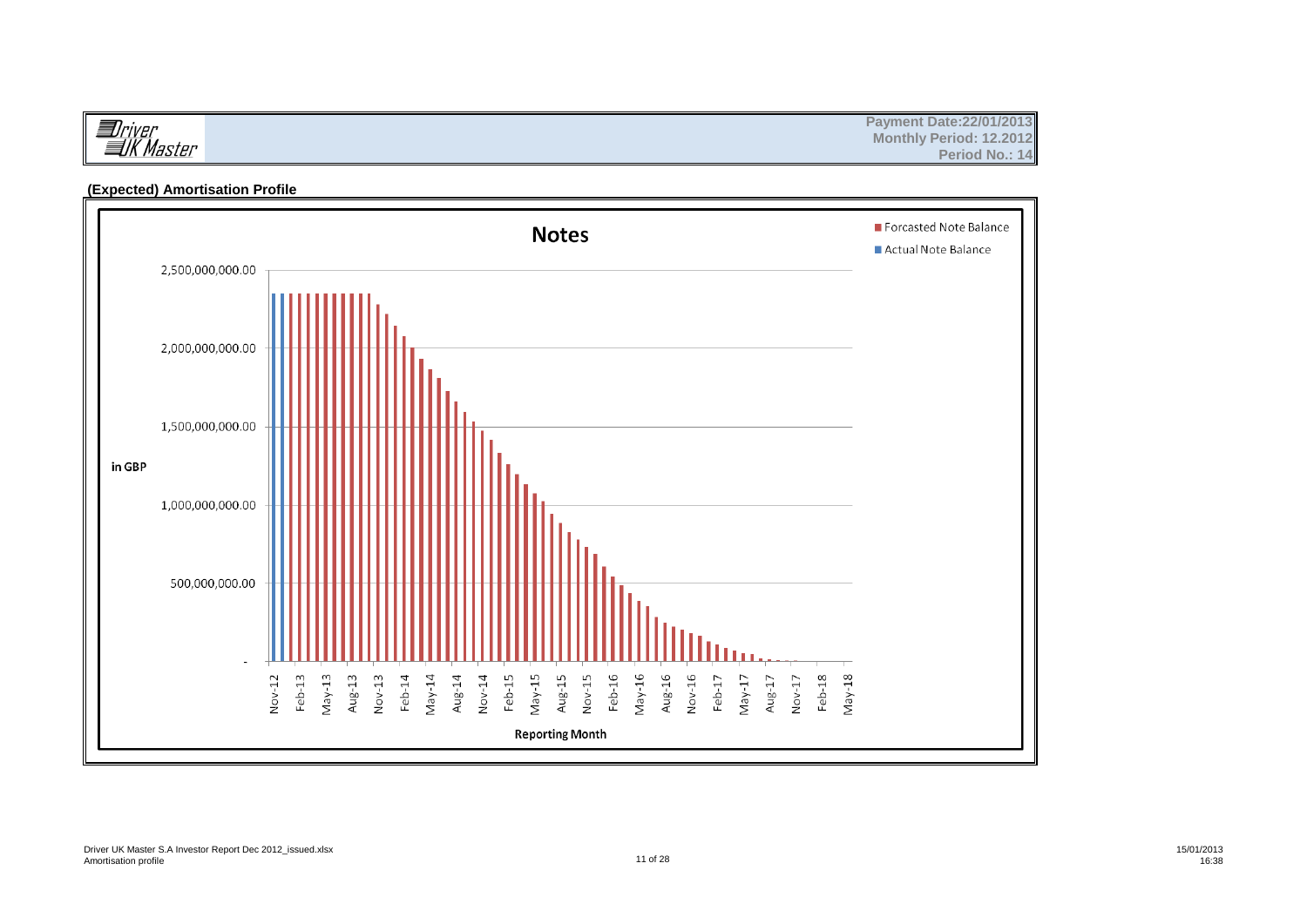|                                | <b>Payment Date: 22/01/2013</b>       |
|--------------------------------|---------------------------------------|
| <i>Uriver</i><br><i>≣UK M.</i> | <b>Monthly Period: 12,2012</b>        |
| . Master                       | <b>Period No.:</b><br>$\therefore$ 14 |

#### **(Expected) Amortisation Profile**

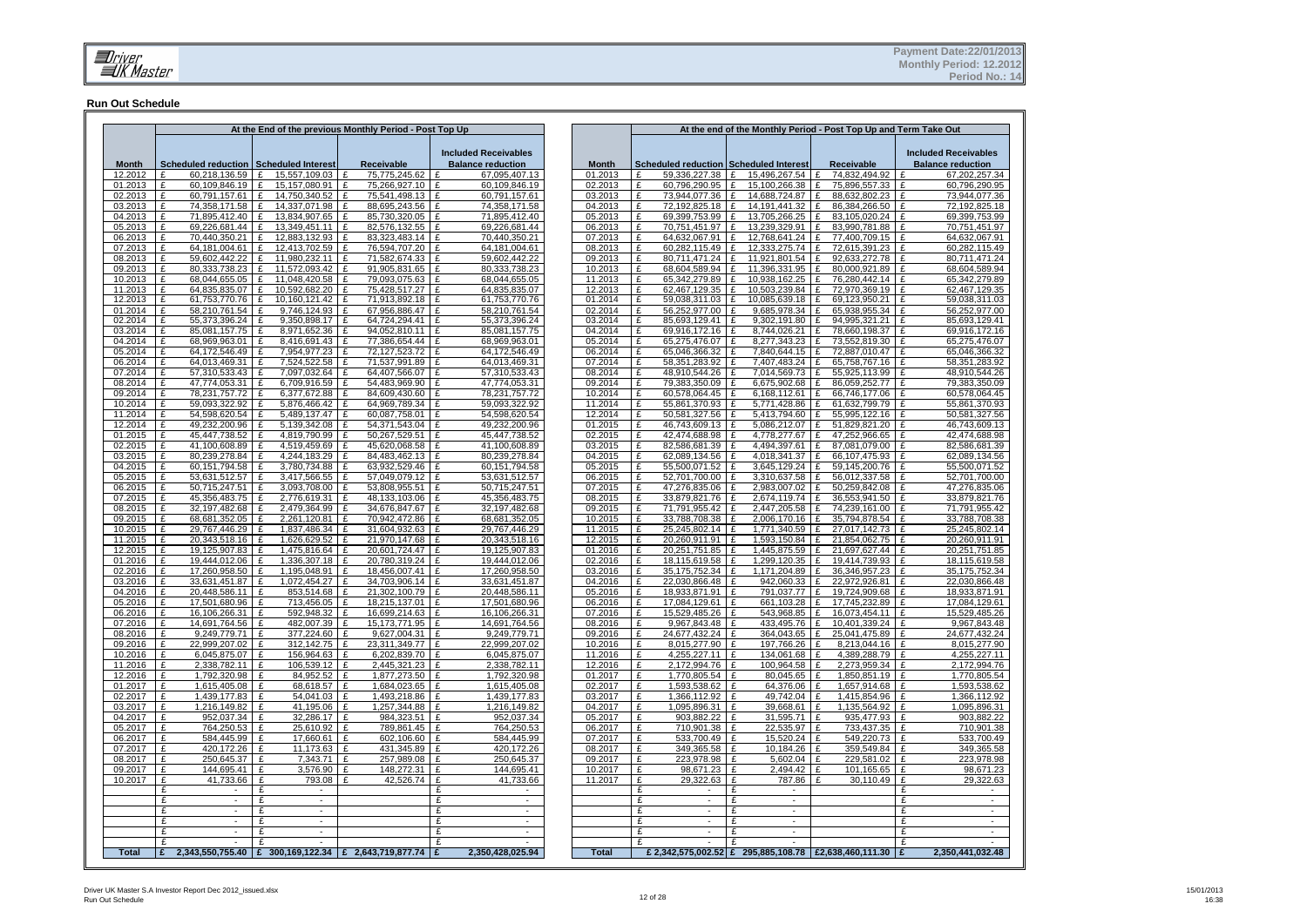#### **Run Out Schedule**

|                    |                                            |                                            | At the End of the previous Monthly Period - Post Top Up |                                                         |                    |                                               | At the end of the Monthly Period - Post Top Up and Term Take Out |                                                                  |                                                         |
|--------------------|--------------------------------------------|--------------------------------------------|---------------------------------------------------------|---------------------------------------------------------|--------------------|-----------------------------------------------|------------------------------------------------------------------|------------------------------------------------------------------|---------------------------------------------------------|
| <b>Month</b>       | Scheduled reduction Scheduled Interest     |                                            | Receivable                                              | <b>Included Receivables</b><br><b>Balance reduction</b> | <b>Month</b>       | <b>Scheduled reduction Scheduled Interest</b> |                                                                  | <b>Receivable</b>                                                | <b>Included Receivables</b><br><b>Balance reduction</b> |
| 12.2012<br>01.2013 | £<br>60,218,136.59 £<br>60.109.846.19<br>£ | 15,557,109.03 £<br>15.157.080.91           | 75,775,245.62<br>75.266.927.10 £                        | 67,095,407.13<br>60,109,846.19                          | 01.2013<br>02.2013 | £<br>59,336,227.38 £<br>£<br>60.796.290.95    | 15.496.267.54<br>15.100.266.38                                   | 74.832.494.92<br>$\mathbf{f}$<br>75,896,557.33 £<br>$\mathbf{f}$ | 67,202,257.34<br>60,796,290.95                          |
| 02.2013            | $\mathbf{f}$<br>60,791,157.61              | 14,750,340.52                              | 75,541,498.13                                           | 60,791,157.61                                           | 03.2013            | £<br>73,944,077.36                            | 14.688.724.87                                                    | 88,632,802.23                                                    | 73,944,077.36                                           |
| 03.2013            | £<br>74,358,171.58                         | 14,337,071.98 £                            | 88,695,243.56                                           | 74,358,171.58                                           | 04.2013            | £<br>72,192,825.18                            | 14, 191, 441. 32                                                 | 86,384,266.50                                                    | 72,192,825.18                                           |
| 04.2013            | $\mathbf{f}$<br>71.895.412.40              | 13.834.907.65 E                            | 85.730.320.05                                           | 71.895.412.40                                           | 05.2013            | $\mathbf{f}$<br>69.399.753.99                 | 13.705.266.25                                                    | 83.105.020.24                                                    | 69.399,753.99                                           |
| 05.2013            | 69,226,681.44<br>£                         | 13,349,451.11 E                            | 82,576,132.55                                           | 69,226,681.44                                           | 06.2013            | £<br>70,751,451.97                            | 13,239,329.91                                                    | 83,990,781.88                                                    | 70,751,451.97<br>£                                      |
| 06.2013            | £<br>70,440,350.21                         | 12,883,132.93<br>£                         | 83,323,483.14<br>£                                      | 70,440,350.21                                           | 07.2013            | £<br>64.632.067.91                            | 12,768,641.24<br>£                                               | 77,400,709.15<br>£                                               | 64,632,067.91<br>£                                      |
| 07.2013            | 64.181.004.61<br>£                         | 12.413.702.59<br>£                         | 76.594.707.20<br>£                                      | 64.181.004.61<br>£                                      | 08.2013            | £<br>60.282.115.49                            | 12,333,275.74<br>$\mathbf{f}$                                    | 72.615.391.23<br>£                                               | 60,282,115.49<br>£                                      |
| 08.2013            | £<br>59,602,442.22                         | 11,980,232.11<br>£                         | 71,582,674.33<br>£                                      | 59,602,442.22                                           | 09.2013            | £<br>80.711.471.24                            | 11,921,801.54                                                    | 92,633,272.78<br>£                                               | 80.711.471.24<br>£                                      |
| 09.2013<br>10.2013 | 80,333,738.23<br>£                         | 11,572,093.42<br>£<br>11,048,420.58 £      | 91,905,831.65<br>f<br>79,093,075.63                     | 80,333,738.23                                           | 10.2013            | £<br>68,604,589.94<br>65,342,279.89           | 11,396,331.95<br>10,938,162.25                                   | 80,000,921.89<br>$\mathbf{f}$<br>76,280,442.14                   | 68,604,589.94<br>f<br>65,342,279.89                     |
| 11.2013            | 68,044,655.05<br>£<br>64,835,835.07<br>£   | £<br>10,592,682.20 £<br>£                  | 75,428,517.27                                           | 68,044,655.05<br>64,835,835.07                          | 11.2013<br>12.2013 | £<br>£<br>62,467,129.35                       | 10,503,239.84<br>Ι£                                              | 72,970,369.19 £<br>£                                             | £<br>62,467,129.35                                      |
| 12.2013            | 61,753,770.76<br>£                         | 10,160,121.42<br>£                         | 71,913,892.18<br>£                                      | 61.753.770.76                                           | 01.2014            | £<br>59,038,311.03 £                          | 10,085,639.18                                                    | 69.123.950.21 £<br>£                                             | 59,038,311.03                                           |
| 01.2014            | £<br>58,210,761.54                         | 9,746,124.93 £                             | 67,956,886.47                                           | 58,210,761.54                                           | 02.2014            | £<br>56,252,977.00                            | 9,685,978.34                                                     | £<br>65,938,955.34                                               | 56,252,977.00<br>Ι£                                     |
| 02.2014            | 55,373,396.24<br>£                         | 9,350,898.17 £<br>£                        | 64,724,294.41 £                                         | 55,373,396.24                                           | 03.2014            | £<br>85,693,129.41                            | 9,302,191.80<br>١£                                               | £<br>94,995,321.21                                               | £<br>85,693,129.41                                      |
| 03.2014            | 85,081,157.75<br>£                         | 8,971,652.36 £<br>£                        | 94,052,810.11 £                                         | 85,081,157.75                                           | 04.2014            | £<br>69,916,172.16                            | 8,744,026.21<br>l £                                              | 78,660,198.37 £<br>£                                             | 69,916,172.16                                           |
| 04.2014            | £<br>68,969,963.01                         | 8,416,691.43 £<br>£                        | 77,386,654.44 £                                         | 68,969,963.01                                           | 05.2014            | £<br>65,275,476.07                            | 8,277,343.23<br>- F                                              | $\mathbf{f}$<br>73,552,819.30                                    | Ι£<br>65,275,476.07                                     |
| 05.2014            | $\mathbf{f}$<br>64.172.546.49              | 7,954,977.23 £<br>£                        | 72,127,523.72 £                                         | 64.172.546.49                                           | 06.2014            | £<br>65,046,366.32                            | 7.840.644.15<br>$\mathbf{f}$                                     | $\mathbf{f}$<br>72.887.010.47                                    | ١ғ<br>65,046,366.32                                     |
| 06.2014            | £<br>64,013,469.31                         | £<br>7,524,522.58 £                        | 71,537,991.89                                           | 64,013,469.31                                           | 07.2014            | £<br>58,351,283.92                            | 7,407,483.24                                                     | £<br>65,758,767.16                                               | 58,351,283.92<br>۱£                                     |
| 07.2014<br>08.2014 | £<br>57,310,533.43<br>47,774,053.31<br>£   | £<br>7,097,032.64 £<br>6,709,916.59 £<br>£ | 64,407,566.07 £<br>54,483,969.90 £                      | 57,310,533.43<br>47,774,053.31                          | 08.2014<br>09.2014 | £<br>48,910,544.26<br>79,383,350.09<br>£      | $\mathbf{r}$<br>7,014,569.73<br>6,675,902.68                     | £<br>55,925,113.99<br>86,059,252.77<br>£                         | £<br>48,910,544.26<br>79,383,350.09<br>l £              |
| 09.2014            | 78,231,757.72<br>£                         | 6,377,672.88 £<br>£                        | 84,609,430.60                                           | 78,231,757.72                                           | 10.2014            | 60,578,064.45<br>£                            | 6,168,112.61<br>£                                                | 66,746,177.06<br>£                                               | 60,578,064.45<br>£                                      |
| 10.2014            | 59,093,322.92<br>£                         | 5,876,466.42 £<br>£                        | 64,969,789.34 £                                         | 59.093.322.92                                           | 11.2014            | £<br>55,861,370.93                            | 5.771.428.86                                                     | 61.632.799.79 E<br>£                                             | 55,861,370.93                                           |
| 11.2014            | 54.598.620.54<br>£                         | 5.489.137.47<br>£                          | 60.087.758.01                                           | 54.598.620.54                                           | 12.2014            | £<br>50.581.327.56                            | 5.413.794.60                                                     | f<br>55.995.122.16                                               | 50.581.327.56<br>f                                      |
| 12.2014            | £<br>49,232,200.96                         | £<br>5,139,342.08 £                        | 54,371,543.04                                           | £<br>49,232,200.96                                      | 01.2015            | £<br>46,743,609.13                            | Ι£<br>5,086,212.07                                               | £<br>51,829,821.20 £                                             | 46,743,609.13                                           |
| 01.2015            | £<br>45,447,738.52                         | 4,819,790.99 £<br>£                        | 50,267,529.51                                           | 45,447,738.52<br>£                                      | 02.2015            | £<br>42,474,688.98                            | 4,778,277.67<br>Ι£                                               | 47,252,966.65<br>£                                               | 42,474,688.98<br>£                                      |
| 02.2015            | £<br>41,100,608.89                         | 4,519,459.69 £<br>£                        | 45,620,068.58                                           | 41,100,608.89<br>£                                      | 03.2015            | £<br>82,586,681.39                            | 4,494,397.61<br>l £                                              | £<br>87,081,079.00                                               | 82,586,681.39<br>£                                      |
| 03.2015            | £<br>80.239.278.84                         | 4,244,183.29                               | 84,483,462.13                                           | 80,239,278.84                                           | 04.2015            | £<br>62,089,134.56                            | 4.018.341.37                                                     | 66,107,475.93<br>£                                               | 62,089,134.56<br>£                                      |
| 04.2015            | 60,151,794.58<br>£                         | 3,780,734.88<br>£                          | 63,932,529.46<br>£                                      | 60,151,794.58                                           | 05.2015            | £<br>55,500,071.52                            | 3,645,129.24                                                     | 59,145,200.76<br>£                                               | 55,500,071.52<br>£                                      |
| 05.2015<br>06.2015 | £<br>53,631,512.57<br>£<br>50,715,247.51   | £<br>3,417,566.55<br>3,093,708.00<br>£     | £<br>57,049,079.12<br>53,808,955.51<br>£                | 53,631,512.57<br>£<br>50,715,247.51<br>$\mathbf{f}$     | 06.2015<br>07.2015 | 52,701,700.00<br>£<br>£<br>47,276,835.06      | 3,310,637.58<br>2,983,007.02                                     | £<br>56,012,337.58<br>50,259,842.08<br>£                         | 52,701,700.00<br>£<br>47,276,835.06<br>f                |
| 07.2015            | 45,356,483.75<br>£                         | 2,776,619.31<br>£                          | 48,133,103.06<br>£                                      | 45,356,483.75                                           | 08.2015            | £<br>33,879,821.76                            | 2,674,119.74                                                     | 36,553,941.50<br>£                                               | 33,879,821.76                                           |
| 08.2015            | 32.197.482.68<br>£                         | 2.479.364.99 £<br>£                        | 34,676,847.67                                           | 32.197.482.68                                           | 09.2015            | 71.791.955.42<br>£                            | 2.447.205.58                                                     | 74.239.161.00<br>f                                               | 71,791,955.42<br>f                                      |
| 09.2015            | £<br>68,681,352.05                         | 2,261,120.81 £<br>$\mathbf{f}$             | 70,942,472.86                                           | 68,681,352.05                                           | 10.2015            | £<br>33,788,708.38 £                          | 2,006,170.16                                                     | 35,794,878.54<br>$\mathbf{f}$                                    | 33,788,708.38<br>١ғ                                     |
| 10.2015            | 29.767.446.29<br>$\mathbf{f}$              | 1.837.486.34 £<br>£                        | 31.604.932.63                                           | 29.767.446.29                                           | 11.2015            | £<br>25.245.802.14 £                          | 1.771.340.59                                                     | £<br>27.017.142.73                                               | 25.245.802.14<br>۱£                                     |
| 11.2015            | 20,343,518.16<br>£                         | £<br>1,626,629.52 £                        | 21,970,147.68 £                                         | 20,343,518.16                                           | 12.2015            | 20,260,911.91 £<br>£                          | 1,593,150.84                                                     | 21,854,062.75 £<br>£                                             | 20,260,911.91                                           |
| 12.2015            | F<br>19,125,907.83                         | 1,475,816.64 £<br>£                        | 20,601,724.47                                           | 19,125,907.83                                           | 01.2016            | £<br>20,251,751.85                            | 1,445,875.59<br>۱F                                               | £<br>21,697,627.44                                               | 20,251,751.85<br>۱£                                     |
| 01.2016            | £<br>19,444,012.06                         | 1,336,307.18 £<br>£                        | 20,780,319.24 £                                         | 19,444,012.06                                           | 02.2016            | £<br>18,115,619.58 £                          | 1,299,120.35                                                     | £<br>19,414,739.93                                               | 18,115,619.58<br>Ι£                                     |
| 02.2016<br>03.2016 | £<br>17,260,958.50<br>£                    | 1,195,048.91 £<br>£<br>£                   | 18,456,007.41 £                                         | 17,260,958.50                                           | 03.2016            | £<br>35,175,752.34 £<br>£                     | 1,171,204.89<br>Ι£                                               | 36, 346, 957. 23<br>$\mathbf{f}$<br>£                            | 35, 175, 752. 34<br>Ι£<br>l £                           |
| 04.2016            | 33,631,451.87<br>£<br>20,448,586.11        | 1,072,454.27 £<br>£<br>853,514.68 £        | 34,703,906.14 E<br>21,302,100.79                        | 33,631,451.87<br>20,448,586.11<br>£                     | 04.2016<br>05.2016 | 22,030,866.48<br>18,933,871.91<br>£           | 942,060.33<br>791.037.77<br>£                                    | 22,972,926.81<br>£<br>19,724,909.68                              | 22,030,866.48<br>18,933,871.91<br>Ι£                    |
| 05.2016            | £<br>17,501,680.96                         | 713,456.05 £<br>£                          | 18,215,137.01 £                                         | 17,501,680.96                                           | 06.2016            | £<br>17,084,129.61                            | 661,103.28<br>Ι£                                                 | £<br>17,745,232.89                                               | 17,084,129.61<br>Ι£                                     |
| 06.2016            | 16,106,266.31<br>£                         | 592,948.32 £<br>£                          | 16,699,214.63 £                                         | 16,106,266.31                                           | 07.2016            | £<br>15,529,485.26                            | 543,968.85                                                       | 16,073,454.11<br>£                                               | 15,529,485.26<br>£                                      |
| 07.2016            | 14,691,764.56<br>£                         | 482,007.39 £<br>£                          | 15,173,771.95 E                                         | 14,691,764.56                                           | 08.2016            | £<br>9,967,843.48                             | 433,495.76                                                       | 10,401,339.24<br>£                                               | 9,967,843.48<br>£                                       |
| 08.2016            | 9,249,779.71<br>£                          | 377,224.60 £<br>£                          | 9,627,004.31 £                                          | 9,249,779.71                                            | 09.2016            | £<br>24,677,432.24                            | 364.043.65<br>Ι£                                                 | 25,041,475.89 £<br>£                                             | 24,677,432.24                                           |
| 09.2016            | 22,999,207.02<br>$\mathbf{f}$              | 312.142.75 £<br>£                          | 23.311.349.77 £                                         | 22.999.207.02                                           | 10.2016            | 8.015.277.90<br>£                             | 197.766.26<br>∣ £                                                | 8.213.044.16 £<br>$\mathbf{f}$                                   | 8.015.277.90                                            |
| 10.2016            | £<br>6,045,875.07                          | £<br>156.964.63                            | 6.202,839.70<br>$\mathbf{f}$                            | 6.045.875.07                                            | 11.2016            | £<br>4.255.227.11                             | 134.061.68                                                       | $\mathbf{f}$<br>4.389.288.79                                     | 4.255.227.11                                            |
| 11.2016<br>12.2016 | £<br>2,338,782.11<br>£                     | 106,539.12<br>£                            | 2,445,321.23<br>£<br>£                                  | 2,338,782.11                                            | 12.2016<br>01.2017 | £<br>2,172,994.76<br>£                        | 100,964.58                                                       | £<br>2,273,959.34                                                | 2,172,994.76                                            |
| 01.2017            | 1,792,320.98<br>£<br>1,615,405.08          | 84,952.52<br>£<br>68,618.57 £<br>£         | 1,877,273.50<br>1,684,023.65                            | 1,792,320.98<br>£<br>1,615,405.08                       | 02.2017            | 1,770,805.54<br>£<br>1,593,538.62             | 80,045.65<br>£<br>64,376.06<br>Ι£                                | £<br>1,850,851.19<br>£<br>1,657,914.68                           | 1,770,805.54<br>£<br>1,593,538.62<br>£                  |
| 02.2017            | £<br>1,439,177.83                          | 54,041.03<br>£                             | 1,493,218.86<br>£                                       | 1,439,177.83                                            | 03.2017            | £<br>1,366,112.92                             | 49.742.04<br>£                                                   | £<br>1,415,854.96                                                | 1,366,112.92<br>£                                       |
| 03.2017            | £<br>1.216.149.82                          | 41.195.06<br>£                             | 1.257.344.88<br>£                                       | 1.216.149.82<br>£                                       | 04.2017            | £<br>1.095.896.31                             | 39.668.61<br>£                                                   | £<br>1.135.564.92                                                | 1.095.896.31<br>£                                       |
| 04.2017            | £<br>952,037.34                            | £<br>32,286.17 £                           | 984,323.51                                              | 952,037.34<br>£                                         | 05.2017            | £<br>903,882.22                               | 31,595.71<br>£                                                   | £<br>935,477.93                                                  | 903,882.22<br>£                                         |
| 05.2017            | £<br>764,250.53                            | 25,610.92<br>£                             | 789,861.45<br>£                                         | 764,250.53<br>£                                         | 06.2017            | 710,901.38<br>£                               | 22,535.97<br>£                                                   | 733,437.35<br>£                                                  | 710,901.38<br>£                                         |
| 06.2017            | £<br>584,445.99                            | 17,660.61<br>£                             | 602,106.60<br>£                                         | 584,445.99<br>£                                         | 07.2017            | 533,700.49<br>£                               | 15,520.24<br>£                                                   | £<br>549,220.73                                                  | 533,700.49<br>£                                         |
| 07.2017            | £<br>420,172.26                            | 11,173.63<br>£                             | Ι£<br>431,345.89                                        | 420,172.26                                              | 08.2017            | £<br>349,365.58                               | 10.184.26                                                        | £<br>359,549.84                                                  | 349,365.58<br>£                                         |
| 08.2017            | £<br>250.645.37                            | £<br>7.343.71                              | 257.989.08<br>£                                         | 250.645.37<br>$\mathbf{f}$                              | 09.2017            | £<br>223.978.98                               | 5.602.04<br>∣ £                                                  | £<br>229.581.02                                                  | 223.978.98<br>£                                         |
| 09.2017            | £<br>144,695.41<br>£                       | £<br>3,576.90 £<br>F                       | 148,272.31                                              | £<br>144,695.41<br>£                                    | 10.2017            | £<br>98,671.23 £<br>£                         | 2,494.42<br>E                                                    | £<br>101,165.65<br>£                                             | £<br>98,671.23<br>£                                     |
| 10.2017            | 41,733.66<br>£                             | 793.08 £<br>£<br>$\sim$                    | 42,526.74                                               | 41,733.66<br>£<br>$\sim$                                | 11.2017            | 29,322.63<br>£<br>$\sim$                      | 787.86<br>$\overline{f}$                                         | 30,110.49                                                        | 29,322.63<br>£                                          |
|                    | £                                          |                                            |                                                         | £<br>$\sim$                                             |                    | $\mathbf{f}$<br>÷.                            | £<br>$\sim$                                                      |                                                                  | £                                                       |
|                    | £                                          | £                                          |                                                         | £                                                       |                    | £                                             | £                                                                |                                                                  | £                                                       |
|                    | $\mathbf{f}$                               | £                                          |                                                         | £                                                       |                    | $\mathbf{f}$                                  | $\mathbf{f}$                                                     |                                                                  | £                                                       |
|                    | £                                          | £                                          |                                                         | £<br>$\blacksquare$                                     |                    | £                                             | £                                                                |                                                                  | £<br>$\overline{\phantom{a}}$                           |
|                    | $\mathbf{f}$                               | £                                          |                                                         | £                                                       |                    | $\mathbf{f}$                                  |                                                                  |                                                                  |                                                         |
| <b>Total</b>       | E.                                         |                                            | 2,343,550,755.40 E 300,169,122.34 E 2,643,719,877.74 E  | 2,350,428,025.94                                        | <b>Total</b>       |                                               | £ 2,342,575,002.52 £ 295,885,108.78 £2,638,460,111.30 £          |                                                                  | 2,350,441,032.48                                        |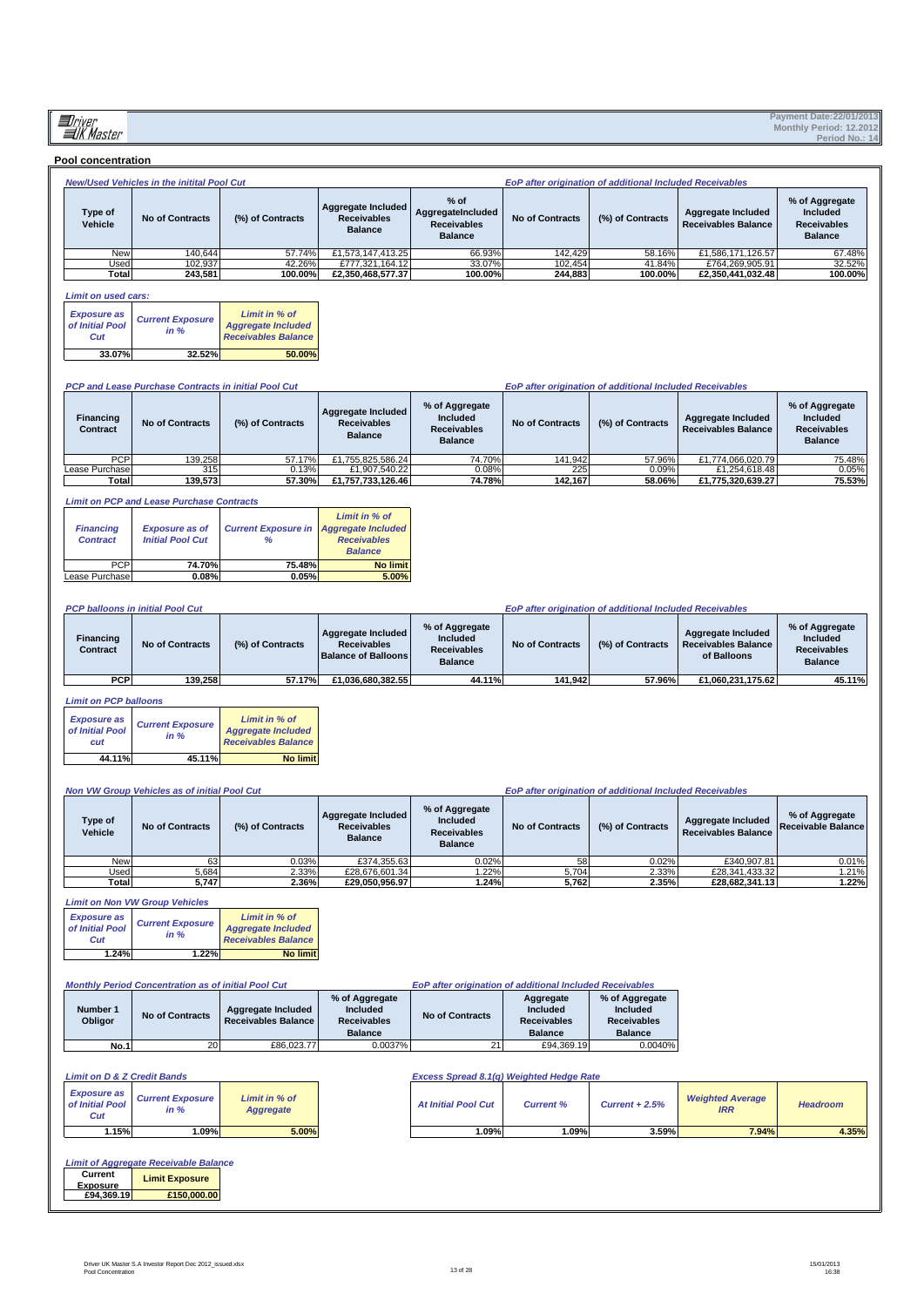| <b>Pool concentration</b>                    |                                                                                                                |                                                                          |                                                                                                       |                                                                     |                                                               |                                                                    |                                                                        |                                                                    |
|----------------------------------------------|----------------------------------------------------------------------------------------------------------------|--------------------------------------------------------------------------|-------------------------------------------------------------------------------------------------------|---------------------------------------------------------------------|---------------------------------------------------------------|--------------------------------------------------------------------|------------------------------------------------------------------------|--------------------------------------------------------------------|
|                                              | New/Used Vehicles in the initital Pool Cut                                                                     |                                                                          |                                                                                                       |                                                                     |                                                               | EoP after origination of additional Included Receivables           |                                                                        |                                                                    |
| Type of<br>Vehicle                           | <b>No of Contracts</b>                                                                                         | (%) of Contracts                                                         | <b>Aggregate Included</b><br><b>Receivables</b><br><b>Balance</b>                                     | $%$ of<br>AggregateIncluded<br><b>Receivables</b><br><b>Balance</b> | <b>No of Contracts</b>                                        | (%) of Contracts                                                   | <b>Aggregate Included</b><br>Receivables Balance                       | % of Aggregate<br>Included<br><b>Receivables</b><br><b>Balance</b> |
| New                                          | 140.644                                                                                                        | 57.74%                                                                   | £1,573,147,413.25                                                                                     | 66.93%                                                              | 142,429                                                       | 58.16%                                                             | £1,586,171,126.57                                                      | 67.48%                                                             |
| Used<br>Total                                | 102,937<br>243,581                                                                                             | 42.26%<br>100.00%                                                        | £777,321,164.12<br>£2,350,468,577.37                                                                  | 33.07%<br>100.00%                                                   | 102,454<br>244,883                                            | 41.84%<br>100.00%                                                  | £764,269,905.91<br>£2,350,441,032.48                                   | 32.52%<br>100.00%                                                  |
|                                              |                                                                                                                |                                                                          |                                                                                                       |                                                                     |                                                               |                                                                    |                                                                        |                                                                    |
| <b>Limit on used cars:</b>                   |                                                                                                                |                                                                          |                                                                                                       |                                                                     |                                                               |                                                                    |                                                                        |                                                                    |
| <b>Exposure as</b><br>of Initial Pool<br>Cut | <b>Current Exposure</b><br>in %                                                                                | Limit in % of<br><b>Aggregate Included</b><br><b>Receivables Balance</b> |                                                                                                       |                                                                     |                                                               |                                                                    |                                                                        |                                                                    |
| 33.07%                                       | 32.52%                                                                                                         | 50.00%                                                                   |                                                                                                       |                                                                     |                                                               |                                                                    |                                                                        |                                                                    |
|                                              |                                                                                                                |                                                                          |                                                                                                       |                                                                     |                                                               |                                                                    |                                                                        |                                                                    |
|                                              | <b>PCP and Lease Purchase Contracts in initial Pool Cut</b>                                                    |                                                                          |                                                                                                       |                                                                     |                                                               | EoP after origination of additional Included Receivables           |                                                                        |                                                                    |
| Financing<br>Contract                        | <b>No of Contracts</b>                                                                                         | (%) of Contracts                                                         | Aggregate Included<br><b>Receivables</b><br><b>Balance</b>                                            | % of Aggregate<br>Included<br><b>Receivables</b><br><b>Balance</b>  | <b>No of Contracts</b>                                        | (%) of Contracts                                                   | <b>Aggregate Included</b><br>Receivables Balance                       | % of Aggregate<br>Included<br><b>Receivables</b><br><b>Balance</b> |
| <b>PCP</b>                                   | 139,258                                                                                                        | 57.17%                                                                   | £1,755,825,586.24                                                                                     | 74.70%                                                              | 141,942                                                       | 57.96%                                                             | £1,774,066,020.79                                                      | 75.48%                                                             |
| Lease Purchase<br>Total                      | 315<br>139,573                                                                                                 | 0.13%<br>57.30%                                                          | £1,907,540.22<br>£1,757,733,126.46                                                                    | 0.08%<br>74.78%                                                     | 225<br>142,167                                                | 0.09%<br>58.06%                                                    | £1,254,618.48<br>£1,775,320,639.27                                     | 0.05%<br>75.53%                                                    |
|                                              |                                                                                                                |                                                                          |                                                                                                       |                                                                     |                                                               |                                                                    |                                                                        |                                                                    |
| <b>Financing</b><br><b>Contract</b><br>PCP   | <b>Limit on PCP and Lease Purchase Contracts</b><br><b>Exposure as of</b><br><b>Initial Pool Cut</b><br>74.70% | <b>Current Exposure in</b><br>%<br>75.48%                                | Limit in % of<br><b>Aggregate Included</b><br><b>Receivables</b><br><b>Balance</b><br><b>No limit</b> |                                                                     |                                                               |                                                                    |                                                                        |                                                                    |
| Lease Purchase                               | 0.08%                                                                                                          | 0.05%                                                                    | 5.00%                                                                                                 |                                                                     |                                                               |                                                                    |                                                                        |                                                                    |
|                                              |                                                                                                                |                                                                          |                                                                                                       |                                                                     |                                                               |                                                                    |                                                                        |                                                                    |
|                                              | <b>PCP balloons in initial Pool Cut</b>                                                                        |                                                                          |                                                                                                       |                                                                     |                                                               | EoP after origination of additional Included Receivables           |                                                                        |                                                                    |
| Financing<br>Contract                        | <b>No of Contracts</b>                                                                                         | (%) of Contracts                                                         | <b>Aggregate Included</b><br><b>Receivables</b><br><b>Balance of Balloons</b>                         | % of Aggregate<br>Included<br><b>Receivables</b><br><b>Balance</b>  | <b>No of Contracts</b>                                        | (%) of Contracts                                                   | <b>Aggregate Included</b><br><b>Receivables Balance</b><br>of Balloons | % of Aggregate<br>Included<br><b>Receivables</b><br><b>Balance</b> |
| <b>PCP</b>                                   | 139,258                                                                                                        | 57.17%                                                                   | £1,036,680,382.55                                                                                     | 44.11%                                                              | 141,942                                                       | 57.96%                                                             | £1,060,231,175.62                                                      | 45.11%                                                             |
| <b>Limit on PCP balloons</b>                 |                                                                                                                |                                                                          |                                                                                                       |                                                                     |                                                               |                                                                    |                                                                        |                                                                    |
| <b>Exposure as</b><br>of Initial Pool<br>cut | <b>Current Exposure</b><br>in %                                                                                | Limit in % of<br><b>Aggregate Included</b><br><b>Receivables Balance</b> |                                                                                                       |                                                                     |                                                               |                                                                    |                                                                        |                                                                    |
| 44.11%                                       | 45.11%                                                                                                         | <b>No limit</b>                                                          |                                                                                                       |                                                                     |                                                               |                                                                    |                                                                        |                                                                    |
|                                              |                                                                                                                |                                                                          |                                                                                                       |                                                                     |                                                               |                                                                    |                                                                        |                                                                    |
|                                              | Non VW Group Vehicles as of initial Pool Cut                                                                   |                                                                          |                                                                                                       |                                                                     |                                                               | EoP after origination of additional Included Receivables           |                                                                        |                                                                    |
| Type of<br>Vehicle                           | <b>No of Contracts</b>                                                                                         | (%) of Contracts                                                         | Aggregate Included<br><b>Receivables</b><br><b>Balance</b>                                            | % of Aggregate<br>Included<br><b>Receivables</b><br><b>Balance</b>  | <b>No of Contracts</b>                                        | (%) of Contracts                                                   | <b>Aggregate Included</b><br><b>Receivables Balance</b>                | % of Aggregate<br>Receivable Balance                               |
| <b>New</b><br><b>Used</b>                    | 63<br>5,684                                                                                                    | 0.03%<br>2.33%                                                           | £374,355.63<br>£28,676,601.34                                                                         | 0.02%<br>1.22%                                                      | 58<br>5,704                                                   | 0.02%<br>2.33%                                                     | £340,907.81<br>£28,341,433.32                                          | 0.01%<br>1.21%                                                     |
| Total                                        | 5,747                                                                                                          | 2.36%                                                                    | £29,050,956.97                                                                                        | 1.24%                                                               | 5,762                                                         | 2.35%                                                              | £28,682,341.13                                                         | 1.22%                                                              |
|                                              | <b>Limit on Non VW Group Vehicles</b>                                                                          |                                                                          |                                                                                                       |                                                                     |                                                               |                                                                    |                                                                        |                                                                    |
| <b>Exposure as</b>                           |                                                                                                                | Limit in % of                                                            |                                                                                                       |                                                                     |                                                               |                                                                    |                                                                        |                                                                    |
| of Initial Pool                              | <b>Current Exposure</b><br>in %                                                                                | <b>Aggregate Included</b>                                                |                                                                                                       |                                                                     |                                                               |                                                                    |                                                                        |                                                                    |
| Cut                                          |                                                                                                                | <b>Receivables Balance</b>                                               |                                                                                                       |                                                                     |                                                               |                                                                    |                                                                        |                                                                    |
| 1.24%                                        | 1.22%                                                                                                          | <b>No limit</b>                                                          |                                                                                                       |                                                                     |                                                               |                                                                    |                                                                        |                                                                    |
|                                              |                                                                                                                |                                                                          |                                                                                                       |                                                                     |                                                               |                                                                    |                                                                        |                                                                    |
|                                              | <b>Monthly Period Concentration as of initial Pool Cut</b>                                                     |                                                                          |                                                                                                       | EoP after origination of additional Included Receivables            |                                                               |                                                                    |                                                                        |                                                                    |
| Number 1<br>Obligor                          | <b>No of Contracts</b>                                                                                         | Aggregate Included<br><b>Receivables Balance</b>                         | % of Aggregate<br>Included<br><b>Receivables</b><br><b>Balance</b>                                    | <b>No of Contracts</b>                                              | Aggregate<br>Included<br><b>Receivables</b><br><b>Balance</b> | % of Aggregate<br>Included<br><b>Receivables</b><br><b>Balance</b> |                                                                        |                                                                    |
| <b>No.1</b>                                  | 20                                                                                                             | £86,023.77                                                               | 0.0037%                                                                                               | 21                                                                  | £94,369.19                                                    | 0.0040%                                                            |                                                                        |                                                                    |
|                                              |                                                                                                                |                                                                          |                                                                                                       |                                                                     |                                                               |                                                                    |                                                                        |                                                                    |
| <b>Limit on D &amp; Z Credit Bands</b>       |                                                                                                                |                                                                          |                                                                                                       | Excess Spread 8.1(q) Weighted Hedge Rate                            |                                                               |                                                                    |                                                                        |                                                                    |
| <b>Exposure as</b><br>of Initial Pool        | <b>Current Exposure</b><br>in %                                                                                | Limit in % of<br><b>Aggregate</b>                                        |                                                                                                       | <b>At Initial Pool Cut</b>                                          | <b>Current %</b>                                              | $Current + 2.5%$                                                   | <b>Weighted Average</b><br><b>IRR</b>                                  | <b>Headroom</b>                                                    |
| Cut                                          |                                                                                                                |                                                                          |                                                                                                       |                                                                     |                                                               |                                                                    |                                                                        |                                                                    |
| 1.15%                                        | 1.09%                                                                                                          | 5.00%                                                                    |                                                                                                       | 1.09%                                                               | 1.09%                                                         | 3.59%                                                              | 7.94%                                                                  | 4.35%                                                              |
| Current<br>Exposure                          | <b>Limit of Aggregate Receivable Balance</b><br><b>Limit Exposure</b>                                          |                                                                          |                                                                                                       |                                                                     |                                                               |                                                                    |                                                                        |                                                                    |
| £94,369.19                                   | £150,000.00                                                                                                    |                                                                          |                                                                                                       |                                                                     |                                                               |                                                                    |                                                                        |                                                                    |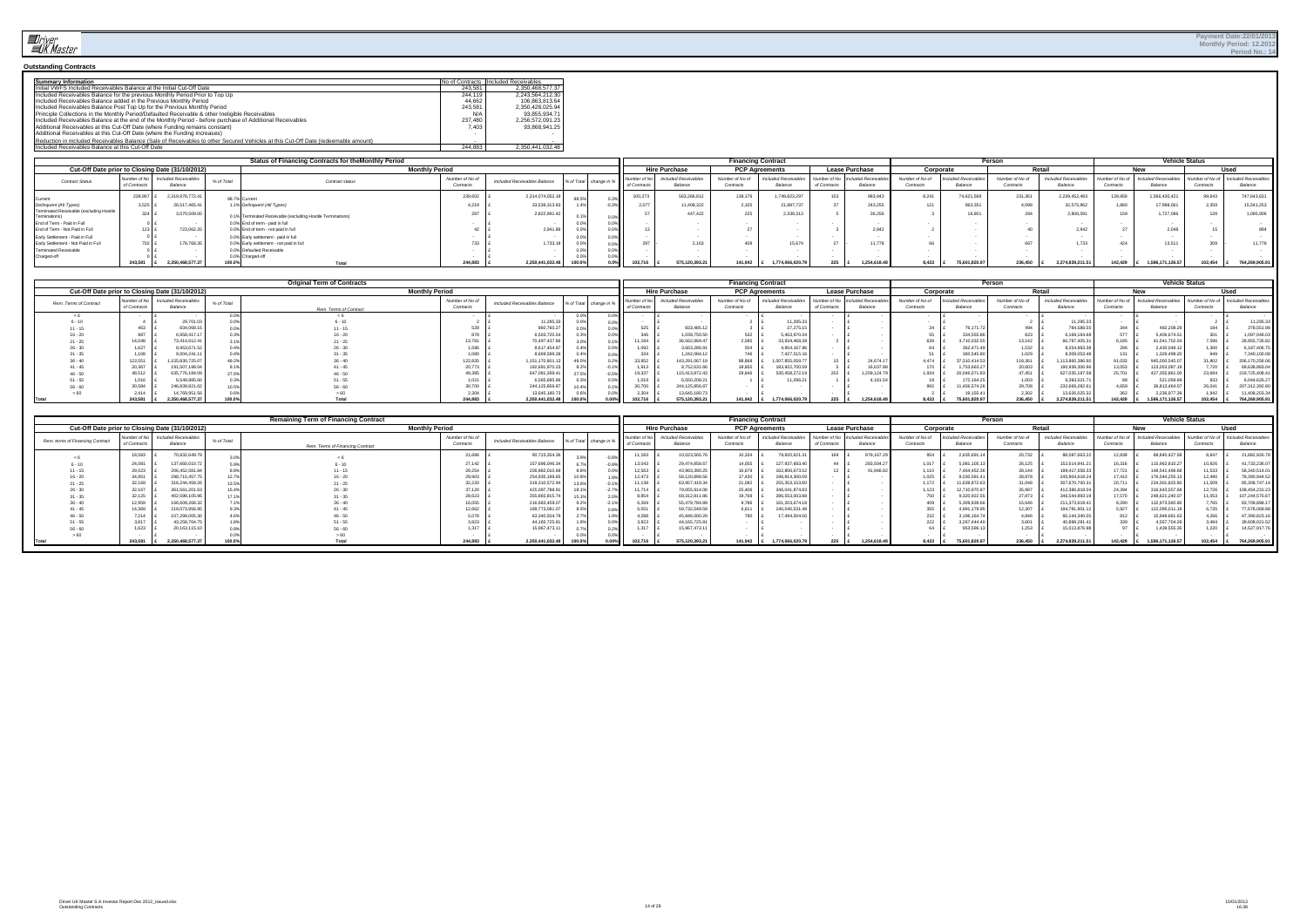

#### **Outstanding Contracts**

| <b>Summary Information</b>                                                                                                        |         | No of Contracts Included Receivables |
|-----------------------------------------------------------------------------------------------------------------------------------|---------|--------------------------------------|
| Initial VWFS Included Receivables Balance at the Initial Cut-Off Date                                                             | 243.581 | 2.350.468.577.37                     |
| Included Receivables Balance for the previous Monthly Period Prior to Top Up                                                      | 244.119 | 2.243.564.212.30                     |
| Included Receivables Balance added in the Previous Monthly Period                                                                 | 44.662  | 106.863.813.64                       |
| Included Receivables Balance Post Top Up for the Previous Monthly Period                                                          | 243.581 | 2.350.428.025.94                     |
| Principle Collections in the Monthly Period/Defaulted Receivable & other Ineligible Receivables                                   | N/A     | 93.855.934.71                        |
| Included Receivables Balance at the end of the Monthly Period - before purchase of Additional Receivables                         | 237.480 | 2.256.572.091.23                     |
| Additional Receivables at this Cut-Off Date (where Funding remains constant)                                                      | 7.403   | 93.868.941.25                        |
| Additional Receivables at this Cut-Off Date (where the Funding increases)                                                         |         |                                      |
| Reduction in Included Receivables Balance (Sale of Receivables to other Secured Vehicles at this Cut-Off Date (redeemable amount) |         |                                      |
| Included Receivables Balance at this Cut-Off Date                                                                                 | 244.883 | 2.350.441.032.48                     |

|                                                           |                               |                                                 |            | <b>Status of Financing Contracts for theMonthly Period</b>  |                              |                              |        |                        |                           |                                 | <b>Financing Contract</b>    |                                 |              |                                             |                              |                                 | Person                       |                                 |                          | <b>Vehicle Status</b>                  |                                                     |               |
|-----------------------------------------------------------|-------------------------------|-------------------------------------------------|------------|-------------------------------------------------------------|------------------------------|------------------------------|--------|------------------------|---------------------------|---------------------------------|------------------------------|---------------------------------|--------------|---------------------------------------------|------------------------------|---------------------------------|------------------------------|---------------------------------|--------------------------|----------------------------------------|-----------------------------------------------------|---------------|
|                                                           |                               | Cut-Off Date prior to Closing Date (31/10/2012) |            |                                                             | <b>Monthly Period</b>        |                              |        |                        |                           | <b>Hire Purchase</b>            |                              | <b>PCP Agreements</b>           |              | <b>Lease Purchase</b>                       | Corporate                    |                                 |                              | Retail                          |                          |                                        |                                                     | <b>Used</b>   |
| <b>Contract Status</b>                                    | Number of New<br>of Contracts | <b>Included Receivables</b><br>Balance          | % of Total | Contract status                                             | Number of No of<br>Contracts | Included Receivables Balance |        | % of Total change in % | Number of<br>of Contracts | Included Receivables<br>Balance | Number of No of<br>Contracts | Included Receivables<br>Balance | of Contracts | Number of No Included Receivable<br>Balance | Number of No of<br>Contracts | Included Receivables<br>Balance | Number of No of<br>Contracts | Included Receivable:<br>Balance | Vumber of N<br>Contracts | <b>Included Receivables</b><br>Balance | Number of No of 1 Included Receivable:<br>Contracts | Balance       |
| Current                                                   | 238,90                        | 2,319,978,772.41                                |            | 98.7% Currer                                                | 239,602                      | 2,314,074,052.19             |        |                        | 100,273                   | 563,266,8                       | 139,176                      | 1,749,823,29.                   |              | 983,94                                      |                              | 74,621,569                      | 231,361                      | 2,239,452,483                   | 139.95                   | 1,566,430,421                          | 99.643                                              | 747,643,631   |
| Delinquent (All Types)                                    |                               | 26,517,465.4                                    |            | .1% Delinquent (All Types)                                  | ے, ب                         | 33,539,313                   |        |                        |                           | 11.408.32                       | 2.105                        | 21,887,73                       |              | 243,255                                     |                              | 963,351                         | 4,098                        | 32,575,962                      |                          | 17,998,061                             | 2.359                                               | 15,541,253    |
| Terminated Receivable (excluding Hostile<br>Terminations) |                               | 3,070,509.00                                    |            | 0.1% Terminated Receivable (excluding Hostile Terminations) | 201                          | 2.822.991.                   |        |                        |                           | 447.422                         | 225                          |                                 |              | 36.256                                      |                              |                                 | 284                          | 2.806.0                         |                          | 1,727,086                              | 128                                                 | 1.095.906     |
| End of Term - Paid in Full                                |                               |                                                 |            | 0.0% End of term - paid in full                             |                              |                              |        |                        |                           |                                 |                              |                                 |              |                                             |                              |                                 |                              |                                 |                          |                                        |                                                     |               |
| End of Term - Not Paid in Full                            | $123$ $F$                     | 723,062.2                                       |            | 0.0% End of term - not paid in full                         |                              | 2.941.8                      |        |                        |                           |                                 |                              |                                 |              |                                             |                              |                                 |                              | 2.942                           |                          | 2.048                                  |                                                     | 894           |
| Early Settlement - Paid in Full                           |                               |                                                 |            | 0.0% Early settlement - paid in full                        |                              |                              |        |                        |                           |                                 |                              |                                 |              |                                             |                              |                                 |                              |                                 |                          |                                        |                                                     |               |
| Early Settlement - Not Paid in Full                       | $02 \mathsf{E}$               | 178,768.3                                       |            | 0.0% Early settlement - not paid in full                    |                              | 1,733.18                     | U.U.   |                        |                           | 2,16                            | 409                          | 15.674                          |              | . . 77.                                     |                              |                                 |                              |                                 |                          | 13,511                                 | 309                                                 | 11,778        |
| <b>Terminated Receivable</b>                              |                               |                                                 |            | 0.0% Defaulted Receivable                                   |                              |                              |        |                        |                           |                                 |                              |                                 |              |                                             |                              |                                 |                              |                                 |                          |                                        |                                                     |               |
| Charged-off                                               |                               |                                                 |            | 0.0% Charged-of                                             |                              |                              |        |                        |                           |                                 |                              |                                 |              |                                             |                              |                                 |                              |                                 |                          |                                        |                                                     |               |
|                                                           | 243.581                       | 350.468.577                                     | $00.0\%$   |                                                             | 244,883                      | 2.350.441.032.48             | 100.0% |                        | 102.716                   | 575.120.393.21                  | 141.942                      | 1.774.066.020.7                 |              | 1.254.618.4                                 | $8.433$ $E$                  | 75.601.820.97                   | 236.450                      | 2.274.839.211.51                | 142.429                  | 1.586.171.126.57                       | 102.454                                             | 764.269.905.9 |

|                        |                            |                                                 |            | <b>Original Term of Contracts</b> |                             |                                                     |       |          |              |                                       | <b>Financing Contract</b>    |                                 |             |                                                   |                              |                              | Person                       |                                 |                              | <b>Vehicle Status</b>        |                         |                                |
|------------------------|----------------------------|-------------------------------------------------|------------|-----------------------------------|-----------------------------|-----------------------------------------------------|-------|----------|--------------|---------------------------------------|------------------------------|---------------------------------|-------------|---------------------------------------------------|------------------------------|------------------------------|------------------------------|---------------------------------|------------------------------|------------------------------|-------------------------|--------------------------------|
|                        |                            | Cut-Off Date prior to Closing Date (31/10/2012) |            | <b>Monthly Period</b>             |                             |                                                     |       |          |              | <b>Hire Purchase</b>                  |                              | <b>PCP Agreements</b>           |             | <b>Lease Purchase</b>                             | Corporate                    |                              |                              | <b>Potail</b>                   |                              |                              |                         | ارموا                          |
| Rem. Terms of Contract | Number of N<br>of Contract | <b>Included Receivables</b><br>Balance          | % of Total | Rem. Terms of Contract            | Number of No o<br>Contracts | Included Receivables Balance % of Total change in 9 |       |          | of Contracts | <b>Included Receivable</b><br>Balance | Number of No of<br>Contracts | Included Receivable:<br>Balance | of Contract | <b>Vumber of No</b> Included Receivabl<br>Balance | Number of No of<br>Contracts | cluded Receivable<br>Balance | Number of No of<br>Contracts | Included Receivables<br>Balance | lumber of No of<br>Contracts | ncluded Receivabl<br>Balance | Number of N<br>Contract | included Receivable<br>Balance |
|                        |                            |                                                 |            |                                   |                             |                                                     |       | $.0\%$   |              |                                       |                              |                                 |             |                                                   |                              |                              |                              |                                 |                              |                              |                         |                                |
| $6 - 10$               |                            | 29,701                                          |            |                                   |                             | 11,295.33                                           |       | $0.0\%$  |              |                                       |                              | 1,295.3                         |             |                                                   |                              |                              |                              | 11.295.3                        |                              |                              |                         | 11,295.3.                      |
|                        | 463                        | 834,068                                         |            |                                   |                             | 860,760.27                                          |       | $0.0\%$  | 525          | 833,485.1                             |                              | 27,275.1                        |             |                                                   |                              | 76.171                       | 494                          | 784,588.5                       |                              | 482,208.2                    |                         | 378,551.9                      |
|                        | 887                        | 6,958,417                                       |            |                                   |                             | 6,503,720.54                                        |       | $0.0\%$  | 0.40         | 1,039,750.5                           | 532                          | 5,463,970.                      |             |                                                   |                              | 334,555                      | 823                          |                                 |                              | 5,406,674.                   |                         | 1,097,046.0                    |
|                        | 14,048                     | 73.414.612.                                     |            |                                   | 3.781                       | 70,497,437.86                                       |       | 1%       |              | 36.562.969.4                          |                              | 33.934.468.3                    |             |                                                   | 639                          | 3,710,032.                   | 13,142                       | 66,787,405                      |                              | 41,541,702.0                 | 7.596                   | 28,955,735.8                   |
| $26 - 30$              | 1,627                      | 8.953.671.                                      |            |                                   | 1.596                       | 8.617.454.87                                        | 0.49  | $0.0\%$  |              | 3.663.286.9                           |                              | 4.954.167.9                     |             |                                                   |                              | 362,471                      | 1,532                        | 8.254.983                       | 296                          | 2,430,048.                   | .300                    | 6,187,406.7                    |
|                        | 1,108                      | 9,004,241                                       |            |                                   | 1.080                       | 8.669.599.28                                        |       | 0.0%     | 334          | 1,242,084.1                           |                              | 7.427.515.1                     |             |                                                   |                              | 360,545.                     | 1,029                        | 8.309.053                       |                              | 1,329,499.2                  | 949                     | 7.340.100.08                   |
| $36 - 40$              | 122,551                    | 1.155.830.725                                   | 49.29      |                                   | 122,835                     | 1,151,170,801.1                                     | 49.0% | 0.2%     | 33,952       | 143,291,067.1                         | 88,868                       | 1,007,855,059.7                 |             | 24,674.1                                          | 4.474                        | 37,310,414.53                | 118,361                      | 13.860.386                      | 31,033                       | 945,000,545.                 | 31.802                  | 206,170,256.06                 |
| $-41 - 45$             | 20,367                     | 191,507,198                                     |            | $41 - 45$                         | 20,773                      | 192.691.970.23                                      |       | 1%       | 1.913        | 8,752,631.66                          | 18.855                       | 183,922,700.5                   |             | 6.637.9                                           | 170                          | 1,753,663.2                  | 20,603                       | 190.938.306.9                   | 13,053                       | 123.053.087.                 | 7,720                   | 69,638,883.04                  |
| $46 - 50$              | 48,512                     | 635,776,184                                     |            |                                   | 49,385                      | 647,081,269.41                                      | 27.5% | 0.5%     | 19,337       | 115,413,872.43                        | 29,846                       | 530,458,272                     |             | 1,209,124.7                                       | 1,934                        | 20,046,071.                  | 47,451                       | 627.035.197.                    | 25.701                       | 427,355,861                  | 23.684                  | 219,725,408.41                 |
|                        | 1,016                      | 6.549.985                                       |            |                                   |                             | 6,565,685.96                                        |       | $0.0\%$  | 1.019        | 6.550.208.2                           |                              | 1.296.2                         |             | 4.181.5                                           |                              | 172,164.                     | 1,003                        | 6.393.521                       |                              | 521,059.t                    | 933                     | 6,044,626.2                    |
| $56 - 60$              | 30,584                     | 246,839,821.                                    |            |                                   | 30.700                      | 244, 125, 856.87                                    |       | $.1\%$   |              | 244,125,856.8                         |                              |                                 |             |                                                   | 992                          | 11.456.574.                  | 29,708                       | 232.669.282                     | 4.659                        | 36,813,464.                  | 26,041                  | 207,312,392.8                  |
|                        | 2.414                      | 14.769.95*                                      |            |                                   | 2.304                       | 13.645.180.73                                       |       | $0.0\%$  | 2.304        | 13,645,180.7                          |                              |                                 |             |                                                   |                              | 19.155                       | 2,302                        | 13.626.025.                     |                              | 2,236,977.                   | 1.942                   | 11,408,203.34                  |
|                        | 243.581                    | 4.350.468.57                                    | 100.0%     |                                   | 244.883                     | 2.350.441.032.48                                    |       | $0.00\%$ | 102.716      | 575.120.393.21                        | 141.942                      | 1.774.066.020.79                | 225         | .254.618.4                                        | 8.433                        | 75.601.820.9                 | 236,450                      | 274.839.21                      | 142.429                      | 1.586.171.126.5              | 102.454                 | 764.269.905.91                 |

|                                  |                             |                                                 |            | <b>Remaining Term of Financing Contract</b> |                              |                              |                        |                        |                             |                                | <b>Financing Contract</b>    |                                |                              |                               |                              |                               | Persor                       |                                 |                              | <b>Vehicle Status</b>          |                              |                                       |
|----------------------------------|-----------------------------|-------------------------------------------------|------------|---------------------------------------------|------------------------------|------------------------------|------------------------|------------------------|-----------------------------|--------------------------------|------------------------------|--------------------------------|------------------------------|-------------------------------|------------------------------|-------------------------------|------------------------------|---------------------------------|------------------------------|--------------------------------|------------------------------|---------------------------------------|
|                                  |                             | Cut-Off Date prior to Closing Date (31/10/2012) |            | <b>Monthly Period</b>                       |                              |                              |                        |                        |                             | <b>Hire Purchase</b>           | <b>PCP Agreements</b>        |                                |                              | <b>Lease Purchase</b>         | Corporate                    |                               |                              | Retail                          |                              |                                |                              | Used                                  |
| Rem. terms of Financing Contract | Number of N<br>of Contracts | Included Receivables<br>Balance                 | % of Total | Rem. Terms of Financing Contract            | Number of No of<br>Contracts | Included Receivables Balance | % of Total change in 9 |                        | Number of<br>I of Contracts | Included Receivable<br>Balance | Number of No of<br>Contracts | Included Receivablr<br>Balance | Number of No<br>of Contracts | Included Receivant<br>Balance | Number of No of<br>Contracts | cluded Receivables<br>Balance | Number of No of<br>Contracts | Included Receivables<br>Balance | Number of No co<br>Contracts | Included Receivable<br>Balance | Number of No of<br>Contracts | <b>Included Receivable</b><br>Balance |
|                                  | 18,583                      | 70.832.649.                                     |            |                                             | 21,686                       | 90,723,354.3                 | 3.9%                   | $-0.8%$                |                             | 10.023.565                     | 10,334                       | 79,820,621                     |                              | 879,167.2                     |                              | 2,635,691.1                   | 20,732                       | 88,087,663.22                   | 12,839                       | 68,840,427.5                   |                              | 21,882,926.78                         |
|                                  | 24,08                       | 137,660,010.                                    |            |                                             | 27,142                       | 157,696,046.34               |                        | $0.9\%$                | 13,043                      | 29,474,858.6                   | 14,055                       | 127,937,683.4                  |                              | 283,504.2                     | 1,017                        | 5,081,105.13                  | 26,125                       | 152.614.941.2                   | 16,316                       | 115,962,810.2                  | 10,826                       | 41,733,236.07                         |
|                                  | 29,523                      | 206.452.581.8                                   |            |                                             | 29,254                       | 206,882,010.69               | 8.8%                   | $0.0\%$                | 12,563                      | 43,983,390.2                   | 16,679                       | 162,806,673                    |                              | 91,946.9                      | 1.110                        | 7.464.452.36                  | 28,144                       | 199.417.558.33                  | 17,721                       | 148,541,496.6                  | 11,533                       | 58,340,514.01                         |
| $16 - 20$                        | 34,95                       | 298.715.457.                                    |            |                                             | 29,903                       | 254.935.199.65               | 10.8%                  | 1.9%                   | 12.473                      | 58,120,899.5                   | 17,430                       | 196.814.300.                   |                              |                               | 1.025                        | 9.030.581.4                   | 28,878                       | 245,904,618.24                  | 17,413                       | 176,544,255.1                  | 2,490                        | 78,390,944.52                         |
|                                  | 32,169                      | 316,244,459.2                                   |            |                                             | 32,220                       | 319,310,572.94               | 13.6%                  | 0.1%                   | 11,138                      | 63,957,419.3                   | 21,082                       | 255, 353, 153, 6               |                              |                               | 1.172                        | 11.639.872.63                 | 31,048                       | 307.670.700.3                   | 20,711                       | 234,001,825.8                  |                              | 85,308,747.14                         |
| $26 - 30$                        | 32,167                      | 361,561,201.6                                   |            | $26 - 30$                                   | 37,120                       | 425,097,788.91               |                        | $2.7\%$ $\blacksquare$ | 11,714                      | 79,055,914.08                  | 25,406                       | 346,041,874.8                  |                              |                               | 1,123                        | 12,710,970.87                 | 35,997                       | 412,386,818.04                  | 24,394                       | 316,643,557.6                  | 12,726                       | 108,454,231.23                        |
|                                  | 32,125                      | 402,598,105.96                                  |            |                                             | 28,623                       | 355,865,815.74               | 15.1%                  | $2.0\%$                | 8,854                       | 69,312,811.8                   | 19,769                       | 286,553,003.8                  |                              |                               |                              | 9,320,922.55                  | 27,873                       | 346,544,893.                    | 17,570                       | 248,621,240.0                  |                              | 107,244,575.67                        |
| $36 - 40$                        | 12,959                      | 166.609.268.                                    |            |                                             | 16,055                       | 216,683,459.07               |                        | $.1\%$                 | 6,269                       | 55,479,784.89                  | 9,786                        | 161.203.674.                   |                              |                               | 409                          | 5.309.839.6                   | 15,646                       | 211,373,619.4                   | 8.29                         | 132,973,560.9                  | 7.765                        | 83,709,898.1                          |
|                                  | 14,369                      | 219,073,956.9.                                  |            |                                             | 12,662                       | 199,773,081.07               |                        | $0.8\%$                | 6,051                       | 59,732,549.59                  | 6,611                        | 140.040.53                     |                              |                               |                              | 4,991,179.95                  | 12,307                       | 194,781,901.                    | 5,927                        | 122,095,011.                   |                              | 77,678,069.88                         |
| $46 - 50$                        | 7,214                       | 107,299,005.3                                   |            |                                             | 5,078                        | 63,340,504.79                |                        | $1.9%$                 | 4.288                       | 45,846,000.2                   | 790                          | 7.494.504                      |                              |                               |                              | 3,196,164.74                  | 4,846                        | 60.144.340.0                    | 812                          | 15,949,681.6.                  | 4,266                        | 47,390,823.16                         |
|                                  | 3,817                       | 43,258,764.                                     |            |                                             | 3,823                        | 44, 165, 725.81              | 1.9%                   | $0.0\%$                | 3,823                       | 44, 165, 725.8                 |                              |                                |                              |                               |                              | 3,267,444.40                  | 3,601                        | 40.898.281.                     | 339                          | 4,557,704.2                    | 3,484                        | 39,608,021.52                         |
| $56 - 60$                        | 1,623                       | 20.163.115.1                                    |            |                                             | 1.317                        | 15.967.473.1                 |                        | 2%1                    | 1.317                       | 15.967.473.                    |                              |                                |                              |                               |                              | 953,596.1                     | 1,253                        | 15.013.876.98                   |                              | 1.439.555.3                    |                              | 14,527,917.76                         |
|                                  |                             |                                                 |            |                                             |                              |                              |                        |                        |                             |                                |                              |                                |                              |                               |                              |                               |                              |                                 |                              |                                |                              |                                       |
| Tota                             | 243.58                      | 50.468.577                                      | 100.0%     | Total                                       | 244,883                      | 2.350.441.032.48             |                        |                        | 102.716                     | 575.120.393.2                  | 141.942                      | 1.774.066.020.7                |                              | 1.254.618.4                   | 8.433                        | 75.601.820.97                 | 236,450                      | .274.839.211.                   | 142.429                      | 1.586.171.126.57               | 102.454                      | 764,269,905.9                         |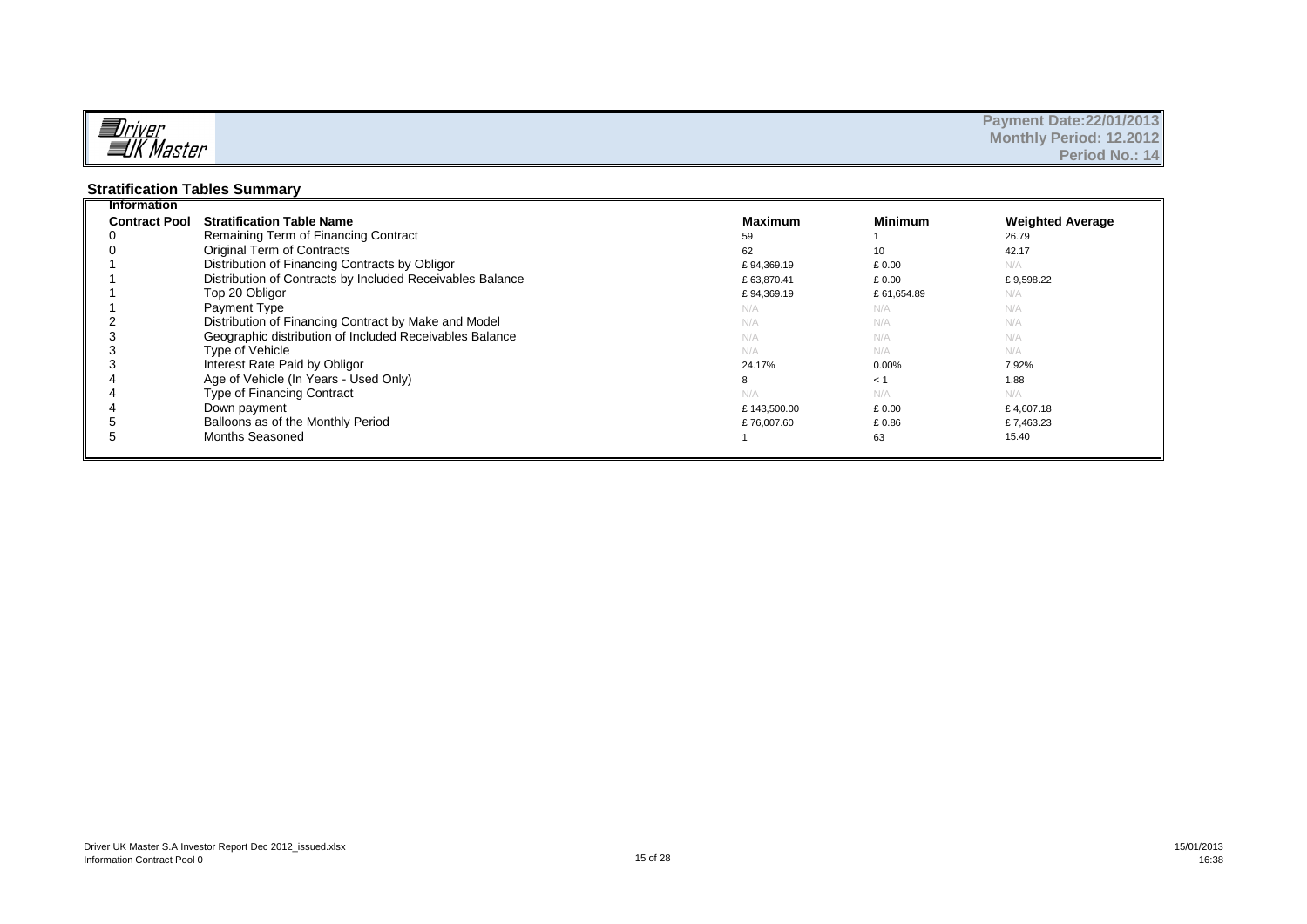|                       | <b>Payment Date: 22/01/2013</b> |
|-----------------------|---------------------------------|
| alriver<br>alk Master | <b>Monthly Period: 12.2012</b>  |
|                       | Period No.: 14                  |

#### **Stratification Tables Summary**

| <b>Information</b>   |                                                           |                |                |                         |
|----------------------|-----------------------------------------------------------|----------------|----------------|-------------------------|
| <b>Contract Pool</b> | <b>Stratification Table Name</b>                          | <b>Maximum</b> | <b>Minimum</b> | <b>Weighted Average</b> |
|                      | Remaining Term of Financing Contract                      | 59             |                | 26.79                   |
|                      | Original Term of Contracts                                | 62             | 10             | 42.17                   |
|                      | Distribution of Financing Contracts by Obligor            | £94.369.19     | £0.00          | N/A                     |
|                      | Distribution of Contracts by Included Receivables Balance | £63,870.41     | £ 0.00         | £9,598.22               |
|                      | Top 20 Obligor                                            | £94,369.19     | £61,654.89     | N/A                     |
|                      | Payment Type                                              | N/A            | N/A            | N/A                     |
|                      | Distribution of Financing Contract by Make and Model      | N/A            | N/A            | N/A                     |
|                      | Geographic distribution of Included Receivables Balance   | N/A            | N/A            | N/A                     |
| З                    | Type of Vehicle                                           | N/A            | N/A            | N/A                     |
|                      | Interest Rate Paid by Obligor                             | 24.17%         | 0.00%          | 7.92%                   |
|                      | Age of Vehicle (In Years - Used Only)                     | 8              | < 1            | 1.88                    |
|                      | Type of Financing Contract                                | N/A            | N/A            | N/A                     |
|                      | Down payment                                              | £143,500.00    | £0.00          | £4,607.18               |
|                      | Balloons as of the Monthly Period                         | £76,007.60     | £0.86          | £7,463.23               |
|                      | Months Seasoned                                           |                | 63             | 15.40                   |
|                      |                                                           |                |                |                         |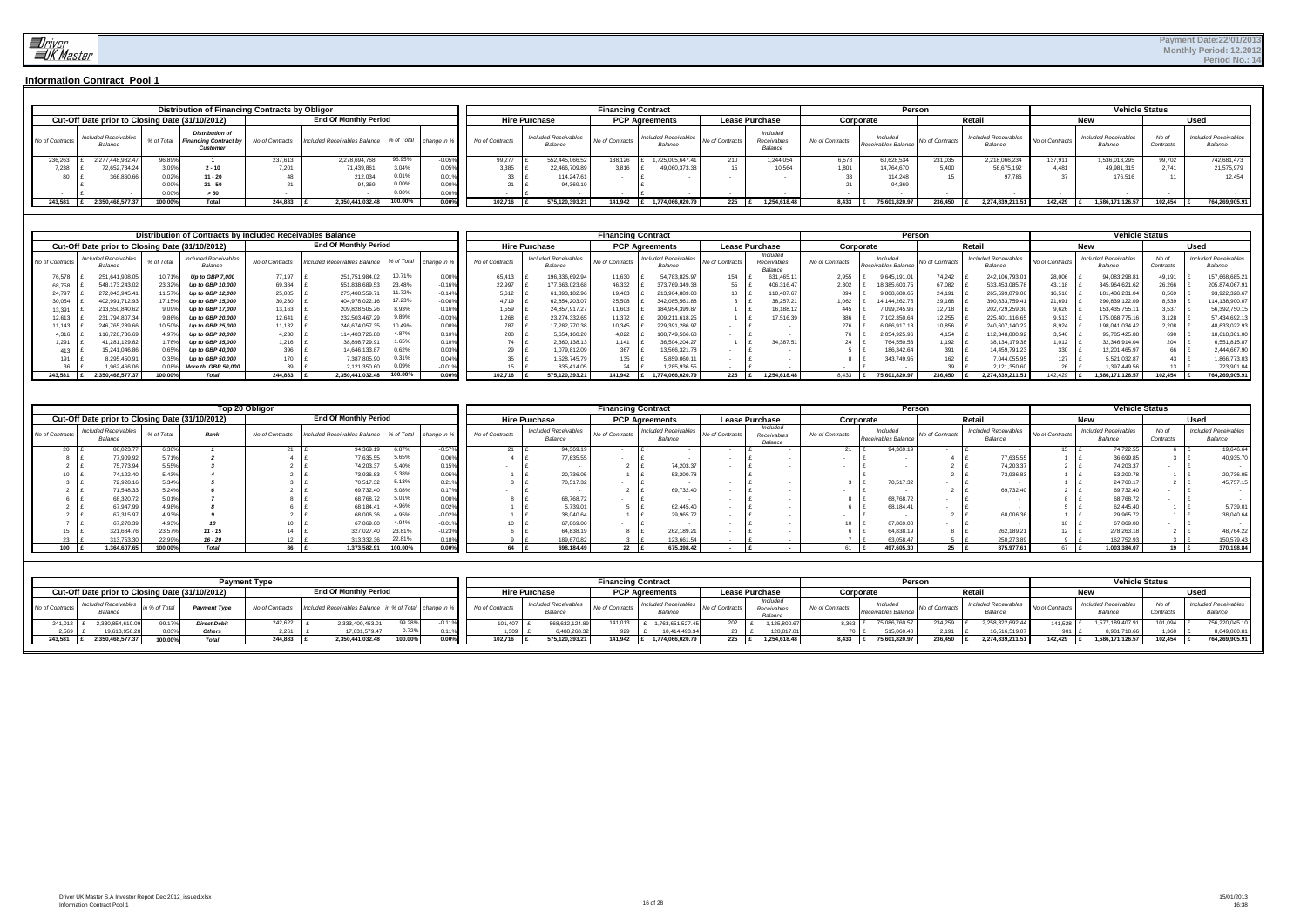

|                 |                                        |            | Distribution of Financing Contracts by Obligor                     |                 |                              |            |       |                             |                                        | <b>Financing Contract</b> |                                 |                 |                                    |                 | Persor                          |                 |                                        |                 | <b>Vehicle Status</b>                  |                    |                                        |
|-----------------|----------------------------------------|------------|--------------------------------------------------------------------|-----------------|------------------------------|------------|-------|-----------------------------|----------------------------------------|---------------------------|---------------------------------|-----------------|------------------------------------|-----------------|---------------------------------|-----------------|----------------------------------------|-----------------|----------------------------------------|--------------------|----------------------------------------|
|                 |                                        |            | Cut-Off Date prior to Closing Date (31/10/2012)                    |                 | <b>End Of Monthly Period</b> |            |       |                             | <b>Hire Purchase</b>                   |                           | <b>PCP Agreements</b>           |                 | <b>Lease Purchase</b>              |                 | Corporate                       |                 | Retai                                  |                 | nev                                    |                    | Used                                   |
| No of Contracts | <b>Included Receivables</b><br>Balance | % of Total | <b>Distribution of</b><br><b>Financing Contract by</b><br>Customer | No of Contracts | Included Receivables Balance | % of Total |       | change in % No of Contracts | <b>Included Receivables</b><br>Balance | No of Contracts           | Included Receivables<br>Balance | No of Contracts | Included<br>Receivables<br>Balance | No of Contracts | Included<br>Receivables Balance | No of Contracts | <b>Included Receivables</b><br>Balance | No of Contracts | <b>Included Receivables</b><br>Balance | No of<br>Contracts | <b>Included Receivables</b><br>Balance |
| 236,263         | 2.277.448.982.47                       | 96.89%     |                                                                    | 237,613         | 2,278,694,768                | 96.95%     | 0.05% | 99.277                      | 552,445,066.5                          | 138,126                   | 1.725.005.647.41                | 210             | 1.244.054                          | 6,578           | 60,628,534                      | 231.035         | 2,218,066,234                          | 137.911         | 1,536,013,295                          | 99.702             | 742,681,473                            |
| 7,238           | 72,652,734.24                          | 3.09%      | $2 - 10$                                                           | 7.201           | 71,439,861                   | 3.04%      | 0.05% | 3,385                       | 22,466,709.89                          | 3,816                     | 49,060,373.38                   |                 | 10.564                             | 1.801           | 14.764.670                      | 5.400           | 56,675,192                             | 4.481           | 49,981,315                             | 2.741              | 21,575,979                             |
|                 | 366,860.66                             | 0.02%      | $11 - 20$                                                          |                 | 212,034                      | 0.01%      | 0.01% |                             | 114.247.61                             |                           |                                 |                 |                                    |                 | 114.24                          |                 | 97 786                                 |                 | 176,516                                |                    | 12,454                                 |
|                 |                                        | 0.00%      | $21 - 50$                                                          |                 | 94,369                       | 0.00%      | 0.00% |                             | 94,369.1                               |                           |                                 |                 |                                    |                 | 94.369                          |                 |                                        |                 |                                        |                    |                                        |
|                 |                                        | 0.00%      | > 50                                                               |                 |                              | 0.00%      | 0.00% |                             |                                        |                           |                                 |                 |                                    |                 |                                 |                 |                                        |                 |                                        |                    |                                        |
| 243,581         | 2.350.468.577.37                       | 100.00%    | Total                                                              | 244.883         | 2.350.441.032.48             | 100.00%    | 0.00% | 102.716                     | 575.120.393.21                         | 141.942                   | 1.774.066.020.79                | 225 $E$         | 1.254.618.48                       | 8.433           | 75.601.820.97                   | 236.450         | 2.274.839.211.51                       | 142.429         | 1.586.171.126.57                       | 102.454            | 764,269,905.91                         |

|                 |                                                 |            | Distribution of Contracts by Included Receivables Balance |                 |                              |            |           |                 |                                        | <b>Financing Contract</b> |                                        |                 |                                    |                 | Person                         |                |                                        |                 | <b>Vehicle Status</b>                  |                    |                                        |
|-----------------|-------------------------------------------------|------------|-----------------------------------------------------------|-----------------|------------------------------|------------|-----------|-----------------|----------------------------------------|---------------------------|----------------------------------------|-----------------|------------------------------------|-----------------|--------------------------------|----------------|----------------------------------------|-----------------|----------------------------------------|--------------------|----------------------------------------|
|                 | Cut-Off Date prior to Closing Date (31/10/2012) |            |                                                           |                 | <b>End Of Monthly Period</b> |            |           |                 | <b>Hire Purchase</b>                   |                           | <b>PCP Agreements</b>                  |                 | <b>Lease Purchase</b>              |                 | Corporate                      |                | Retail                                 |                 | <b>New</b>                             |                    | Used                                   |
| Vo of Contracts | <b>Included Receivables</b><br>Balance          | % of Total | <b>Included Receivables</b><br>Balancı                    | No of Contracts | Included Receivables Balance | % of Total | change in | No of Contracts | <b>Included Receivables</b><br>Balance | No of Contracts           | <b>Included Receivables</b><br>Balance | No of Contracts | Included<br>Receivables<br>Balance | No of Contracts | Included<br>Receivables Balanc | o of Contracts | <b>Included Receivables</b><br>Balance | No of Contracts | <b>Included Receivables</b><br>Balance | No of<br>Contracts | <b>Included Receivables</b><br>Balance |
| 76,578          | 251.641.908.0                                   | 10.71%     | <b>Up to GBP 7.000</b>                                    | 77.197          | 251.751.984.02               | 10.71%     | 0.00%     | 65.413          | 196,336,692.9                          | 11,630                    | 54.783.825.97                          | 154             | 631.465.1                          | 2,955           | 9.645.191.0                    | 74.242         | 242,106,793.0                          | 28.006          | 94,083,298.81                          | 49.191             | 157.668.685.21                         |
| 68,758          | 548.173.243.0                                   | 23.32%     | Up to GBP 10,000                                          | 69,384          | 551.838.689.53               | 23.48%     | $-0.16$   | 22,997          | 177,663,023.68                         | 46,332                    | 373,769,349.3                          | 55              | 406,316.47                         | 2,302           | 18.385.603.7                   | 67.082         | 533,453,085.7                          | 43.118          | 345,964,621.62                         | 26,266             | 205,874,067.9                          |
| 24.797          | 272.043.945.4                                   | 11.57%     | Up to GBP 12.000                                          | 25,085          | 275,408,559.7                | $.12\%$    | $-0.14$   | 5,612           | 61,393,182.96                          | 19,463                    | 213.904.889.0                          | 10              | 110,487.67                         | 894             | 1,808,680.6                    | 24.191         | 265,599,879.06                         | 16.516          | 181,486,231.04                         | 8,569              | 93,922,328.67                          |
| 30,054          | 402.991.712.93                                  | 17.15%     | Up to GBP 15,000                                          | 30,230          | 404,978,022.1                |            | $-0.08$   | 4.719           | 62,854,203.0                           | 25,508                    | 342.085.561.8                          |                 | 38,257.21                          | .062            | 4.144.262.7                    | 29.168         | 390,833,759.41                         | 21.691          | 290,839,122.09                         | 8,539              | 14,138,900.07                          |
| 13,391          | 13.550.840.6                                    |            | Up to GBP 17.000                                          | 13,163          | 209,828,505.26               |            |           | 1,559           | 24,857,917.27                          | 11,603                    | 184.954.399.87                         |                 | 16,188.12                          | 445             | .099.245.9                     | 12.718         | 202,729,259.3                          | J.626           | 153,435,755.1                          | 3,537              | 56,392,750.1                           |
| 12,613          | 31.794.807.3                                    |            | Up to GBP 20.000                                          | 12,641          | 232.503.467.2                |            | $-0.03$   | 1,268           | 23,274,332.65                          | 11,372                    | 209.211.618.25                         |                 | 17,516.39                          | 386             | 102.350.6                      | 12,255         | 225,401,116.65                         | 9.513           | 75,068,775.1                           | 3.128              | 57,434,692.13                          |
| 11.143          | 246,765,289.6                                   |            | to GBP 25,000                                             | 11,132          | 246,674,057.3                | 10.49%     | 0.00      | 787             | 17.282.770.38                          | 10,345                    | 229,391,286.97                         |                 |                                    | 276             | 6.066.917.                     | 10,856         | 240,607,140.22                         | 8.924           | 198,041,034.42                         | 2,208              | 48,633,022.93                          |
| 4,316           | 16,726,736.69                                   |            | to GBP 30,000                                             | 4,230           | 114,403,726.8                | 4.87%      |           | 208             | 5,654,160.20                           | 4,022                     | 108,749,566.68                         |                 |                                    |                 | .054.925.                      | 4,154          | 12,348,800.92                          | 3.540           | 95,785,425.88                          | 690                | 18,618,301.00                          |
| 1,291           | 11,281,129.82                                   |            | Up to GBP 35,000                                          | 1.216           | 38,898,729.9                 |            |           |                 | 2,360,138.1                            | 1,141                     | 36,504,204.27                          |                 | 34,387.5                           |                 | 764.550.5                      | .192           | 38,134,179.38                          | .012            | 32.346.914.04                          | 204                | 6,551,815.87                           |
|                 | 15.241.046.8                                    |            | to GBP 40,000                                             | 396             | 14.646.133.8                 |            | 0.03      |                 | .079.812.0                             | 367                       | 13.566.321.7                           |                 |                                    |                 | 186.342.6                      | 391            | 14,459,791.23                          | 330             | 12.201.465.97                          | 66                 | 2,444,667.90                           |
| 191             | 8,295,450.9                                     |            | Up to GBP 50,000                                          | 170             | 7,387,805.9                  |            | 0.04      |                 | .528.745.7                             | 135                       | 5,859,060.1                            |                 |                                    |                 | 343.749.9                      | 162            | 7,044,055.95                           | 127             | 5,521,032.87                           | 43                 | ,866,773.03                            |
|                 | 1.962.466.                                      |            | More th. GBP 50.000                                       |                 | 2.121.350.6                  |            | ∙∪.∪ i    |                 | 835.414.0                              | $^{24}$                   | 1.285.936.55                           |                 |                                    |                 |                                |                | 2.121.350.6                            |                 | 1.397.449.56                           |                    | 723,901.04                             |
| 243,581         | 2.350.468.577.37                                | 100.00%    | Total                                                     | 244.883         | 2.350.441.032.48             | 100.00%    | 0.00%     | 102.716         | 575.120.393.2                          | 141.942                   | 1.774.066.020.79                       | 225             | 1,254,618.48                       | 8.433           | 75,601,820.9                   | 236.450        | 2.274.839.211.5                        | 142.429         | 1,586,171,126.57                       | 102.454            | 764,269,905.91                         |

|                 |                                        |            |                                                 | Top 20 Obligor  |                                                   |         |          |                 |                                        | <b>Financing Contract</b> |                                        |                 |                                    |                 | Person                          |                    |                                        |                 | <b>Vehicle Status</b>                  |                    |                                        |
|-----------------|----------------------------------------|------------|-------------------------------------------------|-----------------|---------------------------------------------------|---------|----------|-----------------|----------------------------------------|---------------------------|----------------------------------------|-----------------|------------------------------------|-----------------|---------------------------------|--------------------|----------------------------------------|-----------------|----------------------------------------|--------------------|----------------------------------------|
|                 |                                        |            | Cut-Off Date prior to Closing Date (31/10/2012) |                 | <b>End Of Monthly Period</b>                      |         |          |                 | <b>Hire Purchase</b>                   |                           | <b>PCP Agreements</b>                  |                 | <b>Lease Purchase</b>              |                 | Corporate                       |                    | Retail                                 |                 | <b>New</b>                             |                    | Used                                   |
| No of Contracts | <b>Included Receivables</b><br>Balance | % of Total | Rank                                            | No of Contracts | Included Receivables Balance % of Total change in |         |          | No of Contracts | <b>Included Receivables</b><br>Balance | No of Contracts           | <b>Included Receivables</b><br>Balance | No of Contracts | Included<br>Receivables<br>Balance | No of Contracts | Included<br>Receivables Balance | No of Contracts    | <b>Included Receivables</b><br>Balance | No of Contracts | <b>Included Receivables</b><br>Balance | No of<br>Contracts | <b>Included Receivables</b><br>Balance |
| 20              | 86,023.77                              | 6.30%      |                                                 |                 | 94,369.1                                          | 6.87%   | $-0.57$  |                 | 94,369.1                               |                           |                                        |                 |                                    |                 | 94,369.1                        |                    |                                        | 15              | 74.722.55                              |                    | 19,646.64                              |
|                 | 77,909.9                               | F740       |                                                 |                 | 77,635.5                                          | 5.65%   | 0.069    |                 | 77,635.55                              |                           |                                        |                 |                                    |                 |                                 |                    | 77,635.55                              |                 | 36,699.8                               |                    | 40,935.70                              |
|                 | 75,773.94                              | 5.55%      |                                                 |                 | 74,203.3                                          | 5.40%   | 0.159    |                 |                                        |                           | 74,203.37                              |                 |                                    |                 |                                 |                    | 74,203.37                              |                 | 74,203.3                               |                    |                                        |
|                 | 74,122.40                              | 5.43       |                                                 |                 | 73,936.8                                          | 5.38%   | 0.059    |                 | 20,736.0                               |                           | 53,200.78                              |                 |                                    |                 |                                 |                    | 73,936.83                              |                 | 53,200.7                               |                    | 20,736.05                              |
|                 | 72,928.16                              | 5.34       |                                                 |                 | 70,517.3                                          | 5.13%   | 0.21     |                 | 70,517.32                              |                           |                                        |                 |                                    |                 | 70,517.32                       |                    |                                        |                 | 24,760.1                               |                    | 45,757.15                              |
|                 | 71,548.35                              | 5.24       |                                                 |                 | 69,732.4                                          | 5.08%   | 0.17'    |                 |                                        |                           | 69,732.40                              |                 |                                    |                 |                                 |                    | 69,732.40                              |                 | 69,732.4                               |                    |                                        |
|                 | 68,320.7                               | 5.01%      |                                                 |                 | 68,768.7                                          | 5.01%   | 0.009    |                 | 68,768.72                              |                           |                                        |                 |                                    |                 | 68.768.7                        |                    |                                        |                 | 68,768.7                               |                    |                                        |
|                 | 67,947.99                              |            |                                                 |                 | 68,184.4                                          | 4.96%   | 0.02%    |                 | 5,739.0                                |                           | 62,445.40                              |                 |                                    |                 | 68.184.41                       |                    |                                        |                 | 62.445.4                               |                    | 5,739.01                               |
|                 | 67,315.97                              | 4.93       |                                                 |                 | 68,006.3                                          | 4.95%   | $-0.02%$ |                 | 38,040.64                              |                           | 29,965.72                              |                 |                                    |                 |                                 |                    | 68,006.36                              |                 | 29,965.7                               |                    | 38,040.64                              |
|                 | 67,278.39                              | 4.93       |                                                 |                 | 67,869.0                                          | 4.94%   | $-0.01$  | $\overline{A}$  | 67,869.00                              |                           |                                        |                 |                                    |                 | 67,869.0                        |                    |                                        |                 | 67,869.00                              |                    |                                        |
|                 | 321,684.76                             | 23.57%     | $11 - 15$                                       |                 | 327,027.4                                         | 23.81%  | $-0.239$ |                 | 64,838.1                               |                           | 262,189.21                             |                 |                                    |                 | 64,838.1                        |                    | 262,189.21                             |                 | 278,263.1                              |                    | 48,764.22                              |
|                 | 313,753.30                             | 22.99%     | $16 - 20$                                       |                 | 313,332.3t                                        | 22.81%  |          |                 | 189,670.82                             |                           | 123,661.54                             |                 |                                    |                 | 63.058.47                       |                    | 250,273.89                             |                 | 162.752.93                             |                    | 150,579.43                             |
| 100             | 1,364,607.65                           | 100.00%    | Total                                           |                 | 1,373,582.91                                      | 100.00% | 0.00%    | 64 E            | 698,184.49                             | $22$ f                    | 675,398.42                             |                 |                                    |                 | 497,605.30                      | $25$ $\frac{1}{2}$ | 875,977.61                             | 67 .            | 1,003,384.07                           | 19 $\mathsf{E}$    | 370,198.84                             |

| <b>Payment Type</b>                                                                                                                                                | <b>Financing Contract</b>                                                                                       |                                                                                                           | Person                                                    | <b>Vehicle Status</b>                                                                                          |
|--------------------------------------------------------------------------------------------------------------------------------------------------------------------|-----------------------------------------------------------------------------------------------------------------|-----------------------------------------------------------------------------------------------------------|-----------------------------------------------------------|----------------------------------------------------------------------------------------------------------------|
| <b>End Of Monthly Period</b><br>Cut-Off Date prior to Closing Date (31/10/2012)                                                                                    | <b>PCP Agreements</b><br><b>Hire Purchase</b>                                                                   | <b>Lease Purchase</b><br>Corporate                                                                        | Retai                                                     | Usec<br>New                                                                                                    |
| Included Receivables<br>% of Total<br>No of Contracts<br>Included Receivables Balance in % of Total change in %<br><b>Payment Typ</b><br>No of Contract<br>Balance | Included Receivables<br><b>Included Receivables</b><br>No of Contracts<br>No of Contracts<br>Balance<br>Balance | Included<br>Included<br>No of Contracts<br>No of Contract<br>Receivable<br>Receivables Balance<br>Balance | <b>Included Receivables</b><br>No of Contracts<br>Balance | <b>Included Receivables</b><br><b>Included Receivables</b><br>No of Contract<br>Balance<br>Balance<br>Contract |
| 99.28%<br>2,333,409,453.01<br>242.622<br>241,012<br>99.17%<br>2.330.854.619.09<br><b>Direct Debit</b><br>0.11%                                                     | 568,632,124.8<br>1.763.651.527.45<br>141.013<br>101.407                                                         | 75,086,760.57<br>202<br>1.125,800.67<br>8.363 F                                                           | 234,259<br>2.258.322.692.44                               | 756,220,045.<br>1,577,189,407.91<br>101.094<br>141.528                                                         |
| 0.72%<br>2,569<br>19,613,958.28<br>0.83%<br>17,031,579.47<br>Others<br>0.11%<br>2,261                                                                              | 6,488,268.3<br>929<br>10.414.493.34<br>.309                                                                     | 515,060.40<br>128,817.81                                                                                  | 16.516.519.07                                             | 8,049,860.81<br>8,981,718.66<br>1.360                                                                          |
| 100.00%<br>2,350,441,032.48<br>$0.00\%$<br>100.00%<br>244,883<br>243,581<br>2.350.468.577.37<br>$T - 4 - 1$                                                        | 575,120,393.2<br>1.774.066.020.79<br>141.942<br>102.716                                                         | 8.433<br>75,601,820.97<br>$225$  <br>1,254,618.48                                                         | 236.450<br>2.274.839.211.51                               | 764,269,905.91<br>1,586,171,126.57<br>142.429<br>102.454                                                       |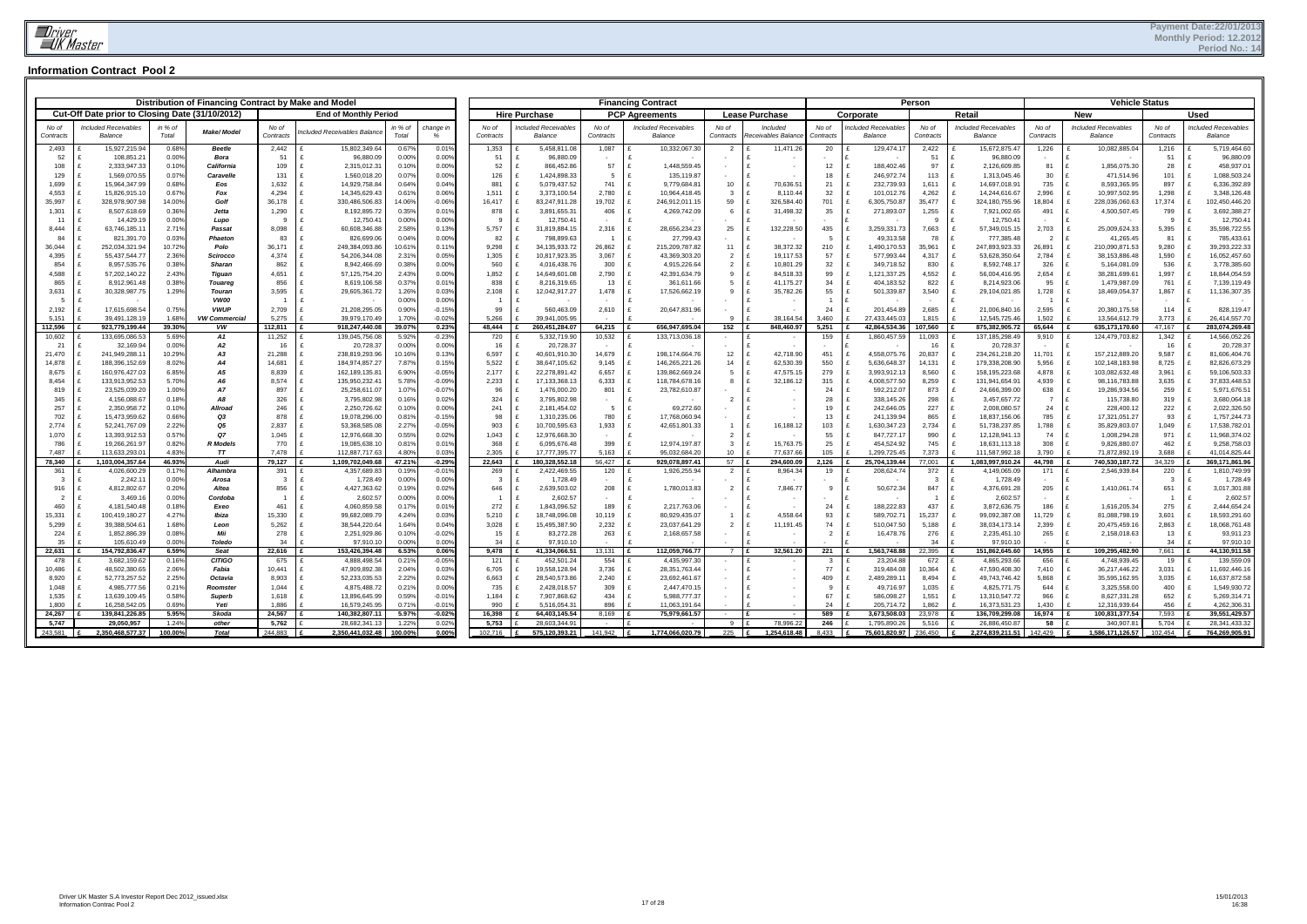|                       |                                                 |                 | Distribution of Financing Contract by Make and Model |                          |                                  |                 |                      |                         |                                           |                       | <b>Financing Contract</b>                     |                                  |                          |                |                               | Person                  |                                                 |                       | <b>Vehicle Status</b>            |                       |                                               |
|-----------------------|-------------------------------------------------|-----------------|------------------------------------------------------|--------------------------|----------------------------------|-----------------|----------------------|-------------------------|-------------------------------------------|-----------------------|-----------------------------------------------|----------------------------------|--------------------------|----------------|-------------------------------|-------------------------|-------------------------------------------------|-----------------------|----------------------------------|-----------------------|-----------------------------------------------|
|                       | Cut-Off Date prior to Closing Date (31/10/2012) |                 |                                                      |                          | <b>End of Monthly Period</b>     |                 |                      |                         | <b>Hire Purchase</b>                      |                       | <b>PCP Agreements</b>                         |                                  | <b>Lease Purchase</b>    |                | Corporate                     |                         | Retail                                          |                       | <b>New</b>                       |                       | Used                                          |
| No of                 | ncluded Receivables                             | in % of         |                                                      | No of                    |                                  | in % of         | change in            | No of                   | ncluded Receivables                       | No of                 | <b>Included Receivables</b>                   | No of                            | Included                 | No of          | ncluded Receivables           | No of                   | Included Receivables                            | No of                 | <b>Included Receivables</b>      | No of                 | <b>Included Receivables</b>                   |
| Contracts             | <b>Balance</b>                                  | Total           | <b>Make/Model</b>                                    | Contracts                | ncluded Receivables Balance      | Total           |                      | Contracts               | Balance                                   | Contracts             | Balance                                       | Contracts                        | Receivables Balanc       | Contracts      | Balance                       | Contracts               | Balance                                         | Contracts             | Balance                          | Contracts             | Balance                                       |
| 2,493                 | 15,927,215.94                                   | 0.68%           | <b>Beetle</b>                                        | 2,442                    | 15.802.349.64                    | 0.67%           | 0.01%                | 1,353                   | 5,458,811.08                              | 1,087                 | 10,332,067.30                                 | $\overline{2}$                   | 11,471.2                 | 20             | 129,474.17                    | 2,422                   | 15,672,875.47                                   | 1,226                 | 10,082,885.04                    | 1,216                 | 5,719,464.60                                  |
| 52                    | 108,851.21                                      | 0.00%           | Bora                                                 | 51                       | 96,880.09                        | 0.00%           | 0.00%                | 51                      | 96,880.09                                 |                       |                                               |                                  |                          | 12             |                               | 51                      | 96,880.09                                       |                       | ١£                               | 51                    | 96,880.09                                     |
| 108<br>129            | 2,333,947.33<br>1,569,070.55                    | 0.10%<br>0.07%  | California<br>Caravelle                              | 109<br>131               | 2,315,012.31<br>1,560,018.20     | 0.10%<br>0.07%  | 0.00%<br>0.00%       | 52<br>126               | 866,452.86<br>1,424,898.33                | 57<br>$5\overline{5}$ | 1,448,559.45<br>135,119.87<br>$\mathbf{f}$    |                                  | $\sim$                   | 18             | 188,402.46<br>246,972.74      | 97<br>113               | 2,126,609.85<br>1,313,045.46                    | 81<br>30              | 1,856,075.30<br>471,514.96       | 28<br>101             | 458,937.01<br>1,088,503.24                    |
| 1,699                 | 15,964,347.99                                   | 0.68%           | Eos                                                  | 1,632                    | 14,929,758.84                    | 0.64%           | 0.04%                | 881                     | 5,079,437.52<br>$\mathbf{f}$              | 741                   | $\mathbf{f}$<br>9,779,684.81                  | 10                               | 70,636.51                | 21             | 232,739.93                    | 1,611                   | 14,697,018.9                                    | 735                   | 8,593,365.95                     | 897                   | 6,336,392.89                                  |
| 4,553                 | 15,826,915.10                                   | 0.67%           | Fox                                                  | 4,294                    | 14,345,629.43                    | 0.61%           | 0.06%                | 1,511                   | 3,373,100.54<br>∣£                        | 2.780                 | 10,964,418.45<br>£                            | -3                               | 8,110.44                 | 32             | 101,012.76                    | 4,262                   | 14,244,616.67                                   | 2,996                 | 10,997,502.95                    | 1,298                 | 3,348,126.48                                  |
| 35,997                | 328,978,907.98                                  | 14.00%          | Golf                                                 | 36,178                   | 330,486,506.83                   | 14.06%          | $-0.06%$             | 16,417                  | 83,247,911.28<br>$\mathbf{f}$             | 19,702                | 246,912,011.15<br>£                           | 59                               | 326,584.40               | 701            | 6,305,750.87                  | 35,477                  | 324,180,755.96<br>$\mathbf{f}$                  | 18,804                | 228,036,060.63                   | 17,374                | 102,450,446.20<br>$\mathbf{f}$                |
| 1,301                 | 8,507,618.69                                    | 0.36%           | Jetta                                                | 1,290                    | 8,192,895.72                     | 0.35%           | 0.01%                | 878<br>9                | 3,891,655.3<br>$\mathbf{f}$               | 406                   | 4,269,742.09                                  | 6                                | 31,498.32                | 35             | 271,893.07                    | 1,255                   | 7,921,002.65                                    | 491                   | 4,500,507.45                     | 799<br>9              | 3,692,388.27                                  |
| 11<br>8.444           | 14,429.19<br>63,746,185.11                      | 0.00%<br>2.71%  | Lupo<br>Passat                                       | -9<br>8,098              | 12,750.41<br>60,608,346.88       | 0.00%<br>2.58%  | 0.00%<br>0.13%       | 5,757                   | 12,750.4<br>31,819,884.15<br>$\mathbf{f}$ | 2.316                 | 28,656,234.23                                 | 25                               | 132,228.50               | 435            | 3,259,331.73                  | - 9<br>7,663            | 12,750.4<br>57,349,015.15                       | 2,703                 | 25,009,624.33                    | 5,395                 | 12,750.41<br>35,598,722.55                    |
| 84                    | 821,391.70                                      | 0.03%           | Phaeton                                              | 83                       | 826,699.06                       | 0.04%           | 0.00%                | 82                      | l £<br>798,899.63                         | $\overline{1}$        | 27,799.43                                     |                                  |                          | - 5            | 49,313.58                     | 78                      | 777,385.48                                      | $\overline{2}$        | 41,265.45                        | 81                    | 785,433.6                                     |
| 36,044                | 252,034,321.94                                  | 10.72%          | Polo                                                 | 36,171                   | 249,384,093.86                   | 10.61%          | 0.11%                | 9,298                   | 34,135,933.72                             | 26,862                | 215,209,787.82                                | 11                               | 38,372.32                | 210            | 1,490,170.53                  | 35,961                  | 247,893,923.33                                  | 26,891                | 210,090,871.53                   | 9,280                 | 39,293,222.33                                 |
| 4,395                 | 55,437,544.77                                   | 2.36%           | <b>Scirocco</b>                                      | 4,374                    | 54,206,344.08                    | 2.31%           | 0.05%                | 1,305                   | 10,817,923.35<br>l £                      | 3,067                 | 43,369,303.20                                 | $\overline{2}$                   | 19,117.53                | 57             | 577,993.44                    | 4,317                   | 53,628,350.64                                   | 2,784                 | 38,153,886.48                    | 1,590                 | 16,052,457.60                                 |
| 854                   | 8,957,535.76                                    | 0.38%           | <b>Sharan</b>                                        | 862                      | 8,942,466.69                     | 0.38%           | 0.00%                | 560                     | ∣£<br>4,016,438.76                        | 300                   | $\mathbf{f}$<br>4,915,226.64                  | $\overline{2}$                   | 10,801.29                | 32             | 349,718.52                    | 830                     | 8,592,748.17                                    | 326                   | 5,164,081.09                     | 536                   | 3,778,385.60                                  |
| 4,588<br>865          | 57,202,140.22<br>8,912,961.48                   | 2.43%<br>0.38%  | <b>Tiguan</b><br><b>Touareg</b>                      | 4,651<br>856             | 57,125,754.20<br>8,619,106.58    | 2.43%<br>0.37%  | 0.00%<br>0.01%       | 1,852<br>838            | 14,649,601.08<br>8,216,319.65             | 2,790<br>13           | 42,391,634.79<br>£<br>361,611.66              | 9<br>5                           | 84,518.33<br>41,175.27   | 99<br>34       | 1,121,337.25<br>404,183.52    | 4,552<br>822            | 56,004,416.95<br>8,214,923.06                   | 2,654<br>95           | 38,281,699.6<br>1,479,987.09     | 1,997<br>761          | 18,844,054.59<br>$\mathbf{f}$<br>7,139,119.49 |
| 3,631                 | 30,328,987.75                                   | 1.29%           | Touran                                               | 3,595                    | 29,605,361.72                    | 1.26%           | 0.03%                | 2,108                   | 12,042,917.27<br>∣£                       | 1,478                 | 17,526,662.19                                 | -9                               | 35,782.26                | 55             | 501,339.87                    | 3,540                   | 29,104,021.85<br>$\mathbf{f}$                   | 1,728                 | 18,469,054.37                    | 1,867                 | 11,136,307.35<br>$\mathbf{f}$                 |
| -5                    |                                                 |                 | <b>VW00</b>                                          | $\overline{\phantom{0}}$ |                                  | 0.00%           | 0.00%                |                         |                                           |                       |                                               |                                  |                          |                |                               |                         |                                                 |                       |                                  |                       |                                               |
| 2,192                 | 17,615,698.54                                   | 0.75%           | <b>VWUP</b>                                          | 2,709                    | 21,208,295.05                    | 0.90%           | $-0.15%$             | 99                      | 560.463.09                                | 2,610                 | 20,647,831.96                                 |                                  |                          | 24             | 201,454.89                    | 2,685                   | 21,006,840.16                                   | 2,595                 | 20,380,175.58                    | 114                   | 828,119.47                                    |
| 5,151                 | 39,491,128.19                                   | 1.68%           | <b>VW Commercia</b>                                  | 5,275                    | 39,979,170.49                    | 1.70%           | $-0.02%$             | 5,266                   | 39,941,005.95                             |                       |                                               | $\mathbf{q}$                     | 38,164.5                 | 3,460          | 27,433,445.03                 | 1,815                   | 12,545,725.46                                   | 1,502                 | 13,564,612.79                    | 3,773                 | 26,414,557.70                                 |
| 112,596<br>10,602     | 923.779.199.44<br>133,695,086.53                | 39.30%<br>5.69% | <b>VW</b><br><b>A1</b>                               | 112.811<br>11,252        | 918.247.440.08<br>139,045,756.08 | 39.07%<br>5.92% | 0.23%<br>$-0.23%$    | 48.444<br>720           | 260.451.284.07<br>5,332,719.90            | 64.215<br>10,532      | 656.947.695.04<br>133,713,036.18              | 152                              | 848.460.97               | 5,251<br>159   | 42.864.534.36<br>1,860,457.59 | 107.560<br>11,093       | 875.382.905.72<br>137, 185, 298.49              | 65.644<br>9,910       | 635,173,170.60<br>124,479,703.82 | 47.167<br>1,342       | 283.074.269.48<br>14,566,052.26               |
| 21                    | 32,169.94                                       | 0.00%           | <b>A2</b>                                            | 16                       | 20,728.37                        | 0.00%           | 0.00%                | 16                      | 20,728.37                                 |                       |                                               |                                  |                          |                |                               | 16                      | 20,728.37                                       |                       |                                  | 16                    | 20,728.37                                     |
| 21,470                | 241,949,288.1                                   | 10.29%          | A3                                                   | 21,288                   | 238,819,293.96                   | 10.16%          | 0.13%                | 6,597                   | 40,601,910.30<br>∣£                       | 14,679                | 198,174,664.76                                | 12                               | 42,718.90                | 451            | 4,558,075.76                  | 20,837                  | 234,261,218.20<br>$\mathbf{f}$                  | 11,701                | 157,212,889.20                   | 9.587                 | 81,606,404.76                                 |
| 14,878                | 188,396,152.69                                  | 8.02%           | <b>A4</b>                                            | 14,681                   | 184,974,857.27                   | 7.87%           | 0.15%                | 5,522                   | 38,647,105.62                             | 9,145                 | 146,265,221.26                                | 14                               | 62,530.39                | 550            | 5,636,648.37                  | 14,131                  | 179,338,208.90                                  | 5,956                 | 102,148,183.98                   | 8,725                 | 82,826,673.29<br>£                            |
| 8,675                 | 160,976,427.03                                  | 6.85%           | <b>A5</b>                                            | 8,839                    | 162,189,135.81                   | 6.90%           | $-0.05%$             | 2,177                   | 22,278,891.42                             | 6,657                 | 139,862,669.24                                | 5                                | 47,575.1                 | 279            | 3,993,912.13                  | 8,560                   | 158,195,223.68                                  | 4,878                 | 103,082,632.48                   | 3,961                 | 59,106,503.33                                 |
| 8,454                 | 133,913,952.53<br>23,525,039.20                 | 5.70%           | <b>A6</b><br><b>A7</b>                               | 8,574                    | 135,950,232.4                    | 5.78%           | $-0.09%$<br>$-0.07%$ | 2,233                   | 17,133,368.13<br>$\mathbf{f}$             | 6,333                 | 118,784,678.16                                | -8                               | 32,186.12                | 315<br>24      | 4,008,577.50                  | 8,259                   | 131,941,654.91<br>24,666,399.00<br>$\mathbf{f}$ | 4,939                 | 98,116,783.88<br>$\mathbf{f}$    | 3,635<br>259          | 37,833,448.53<br>$\mathbf{f}$<br>$\mathbf{f}$ |
| 819<br>345            | 4,156,088.67                                    | 1.00%<br>0.18%  | <b>A8</b>                                            | 897<br>326               | 25,258,611.07<br>3,795,802.98    | 1.07%<br>0.16%  | 0.02%                | 96<br>324               | 1,476,000.20<br>3,795,802.98              | 801                   | 23,782,610.87                                 | $\overline{2}$                   | $\sim$                   | 28             | 592,212.07<br>338,145.26      | 873<br>298              | £<br>3,457,657.72                               | 638<br>$\overline{7}$ | 19,286,934.56<br>115,738.80      | 319                   | 5,971,676.5<br>3,680,064.18                   |
| 257                   | 2,350,958.72                                    | 0.10%           | Allroad                                              | 246                      | 2,250,726.62                     | 0.10%           | 0.00%                | 241                     | 2,181,454.02                              | $5\overline{5}$       | $\mathbf{f}$<br>69,272.60                     |                                  | $\sim$                   | 19             | 242,646.05                    | 227                     | 2,008,080.57                                    | 24                    | 228,400.12                       | 222                   | 2,022,326.50                                  |
| 702                   | 15,473,959.62                                   | 0.66%           | Q3                                                   | 878                      | 19,078,296.00                    | 0.81%           | $-0.15%$             | 98                      | 1,310,235.06                              | 780                   | 17,768,060.94                                 |                                  | $\sim$                   | 13             | 241,139.94                    | 865                     | 18,837,156.06                                   | 785                   | 17,321,051.27                    | 93                    | 1,757,244.73                                  |
| 2,774                 | 52,241,767.09                                   | 2.22%           | Q5                                                   | 2,837                    | 53,368,585.08                    | 2.27%           | $-0.05%$             | 903                     | 10,700,595.63<br>£                        | 1,933                 | 42,651,801.33<br>£                            |                                  | 16,188.12                | 103            | 1,630,347.23                  | 2,734                   | 51,738,237.85<br>£                              | 1,788                 | 35,829,803.07                    | 1,049                 | 17,538,782.0                                  |
| 1,070                 | 13,393,912.53                                   | 0.57%           | <b>Q7</b>                                            | 1,045<br>770             | 12,976,668.30                    | 0.55%<br>0.81%  | 0.02%<br>0.01%       | 1,043<br>368            | 12,976,668.30                             | 399                   |                                               | $\overline{2}$<br>$\overline{3}$ | 15,763.7                 | 55             | 847,727.17                    | 990<br>745              | 12,128,941.13                                   | 74<br>308             | 1,008,294.28                     | 971<br>462            | 11,968,374.02<br>9,258,758.03                 |
| 786<br>7,487          | 19,266,261.97<br>113,633,293.0                  | 0.82%<br>4.83%  | <b>R</b> Models<br>T                                 | 7,478                    | 19,085,638.10<br>112,887,717.63  | 4.80%           | 0.03%                | 2,305                   | 6,095,676.48<br>£<br>17,777,395.77        | 5,163                 | 12,974,197.87<br>95.032.684.20                | 10                               | 77,637.6                 | 25<br>105      | 454,524.92<br>1,299,725.45    | 7,373                   | 18,631,113.18<br>111,587,992.18                 | 3,790                 | 9,826,880.07<br>71,872,892.19    | 3,688                 | 41,014,825.44                                 |
| 78.340                | 1.103.004.357.64                                | 46.93%          | Audi                                                 | 79.127                   | 1.109.702.049.68                 | 47.21%          | $-0.29%$             | $22.643$ E              | 180.328.552.18                            | 56.427                | 929.078.897.41                                | 57 E                             | 294.600.09               | 2,126          | 25.704.139.44                 | 77.001 £                | 1.083.997.910.24                                | 44.798 E              | 740.530.187.72                   | 34.329                | 369.171.861.96                                |
| 361                   | 4.026.600.2                                     | 0.17%           | Alhambra                                             | 391                      | 4.357.689.83                     | 0.19%           | $-0.019$             | 269                     | 2,422,469.55                              | 120                   | 1,926,255.94                                  | $\overline{2}$                   | 8,964.3                  | 19             | 208,624.74                    | 372                     | 4,149,065.09                                    | 171                   | 2,546,939.84                     | 220                   | 1.810.749.99                                  |
| $\mathbf{3}$          | 2,242.1                                         | 0.00%           | Arosa                                                | $\mathbf{3}$             | 1,728.49                         | 0.00%           | 0.00%                | $\overline{\mathbf{3}}$ | 1,728.49                                  |                       |                                               |                                  |                          |                |                               | $\overline{\mathbf{3}}$ | 1,728.49                                        |                       |                                  | $\mathbf{3}$          | 1,728.49                                      |
| 916<br>$\overline{2}$ | 4,812,802.67<br>3,469.16                        | 0.20%<br>0.00%  | Altea<br>Cordoba                                     | 856<br>$\overline{1}$    | 4,427,363.62<br>2,602.57         | 0.19%<br>0.00%  | 0.02%<br>0.00%       | 646<br>$\overline{1}$   | 2,639,503.02<br>$\mathbf{f}$<br>2,602.57  | 208                   | 1,780,013.83<br>£                             | $\overline{2}$                   | 7,846.77                 | 9              | 50,672.34                     | 847                     | 4,376,691.28<br>2,602.57                        | 205                   | ١£<br>1,410,061.74<br>Ιf         | 651<br>$\overline{1}$ | 3,017,301.88<br>2,602.57<br>$\mathbf{f}$      |
| 460                   | 4,181,540.48                                    | 0.18%           | Exeo                                                 | 461                      | 4,060,859.58                     | 0.17%           | 0.01%                | 272                     | 1,843,096.52                              | 189                   | 2,217,763.06<br>$\mathbf{f}$                  |                                  |                          | 24             | 188,222.83                    | 437                     | 3,872,636.75                                    | 186                   | 1,616,205.34                     | 275                   | 2,444,654.24                                  |
| 15,331                | 100,419,180.27                                  | 4.27%           | Ibiza                                                | 15,330                   | 99,682,089.79                    | 4.24%           | 0.03%                | 5,210                   | 18,748,096.08<br>∣£                       | 10,119                | 80,929,435.07                                 |                                  | 4,558.64                 | 93             | 589,702.71                    | 15,237                  | 99,092,387.08<br>$\mathbf{f}$                   | 11,729                | 81,088,798.19                    | 3,601                 | 18,593,291.60<br>$\mathbf{f}$                 |
| 5,299                 | 39,388,504.61                                   | 1.68%           | Leon                                                 | 5,262                    | 38,544,220.64                    | 1.64%           | 0.04%                | 3,028                   | 15,495,387.90<br>∣£                       | 2,232                 | 23,037,641.29                                 | $\overline{2}$                   | 11,191.45                | 74             | 510,047.50                    | 5,188                   | 38,034,173.14                                   | 2,399                 | 20,475,459.16                    | 2,863                 | 18,068,761.48<br>$\mathbf{f}$                 |
| 224                   | 1,852,886.39                                    | 0.08%           | Mii                                                  | 278                      | 2,251,929.86                     | 0.10%           | $-0.02%$             | 15                      | 83,272.28                                 | 263                   | 2,168,657.58                                  |                                  |                          | $\overline{2}$ | 16,478.76                     | 276                     | 2,235,451.10                                    | 265                   | 2,158,018.63                     | 13                    | 93,911.23                                     |
| 35<br>22.631          | 105.610.49<br>154,792,836.47                    | 0.00%<br>6.59%  | <b>Toledo</b><br>Seat                                | 34<br>22,616             | 97,910.10<br>153,426,394.48      | 0.00%<br>6.53%  | 0.00%<br>0.06%       | 34<br>9,478             | 97.910.10<br>41,334,066.51                | 13.131                | 112,059,766.77                                | 7 <sup>1</sup>                   | 32,561.2                 | 221            | 1.563.748.88                  | 34<br>22,395            | 97,910.1<br>151,862,645.60                      | 14,955                | 109,295,482.90                   | 34<br>7.661           | 97,910.10<br>44,130,911.58                    |
| 478                   | 3,682,159.62                                    | 0.16%           | <b>CITIGO</b>                                        | 675                      | 4,888,498.54                     | 0.21%           | $-0.05%$             | 121                     | 452,501.24                                | 554                   | 4,435,997.30                                  |                                  |                          | $\mathbf{3}$   | 23,204.88                     | 672                     | 4,865,293.66                                    | 656                   | 4,748,939.45                     | 19                    | 139,559.09                                    |
| 10,486                | 48,502,380.65                                   | 2.06%           | Fabia                                                | 10,441                   | 47,909,892.38                    | 2.04%           | 0.03%                | 6,705                   | 19,558,128.94                             | 3,736                 | 28, 351, 763. 44                              |                                  | $\sim$                   | 77             | 319,484.08                    | 10,364                  | 47,590,408.30                                   | 7,410                 | 36,217,446.22                    | 3,031                 | 11,692,446.16                                 |
| 8,920                 | 52,773,257.52                                   | 2.25%           | Octavia                                              | 8,903                    | 52,233,035.53                    | 2.22%           | 0.02%                | 6,663                   | 28,540,573.86<br>$\mathbf{f}$             | 2,240                 | 23,692,461.67<br>$\mathbf{f}$                 |                                  | $\sim$                   | 409            | 2,489,289.11                  | 8,494                   | 49,743,746.42<br>£                              | 5,868                 | 35,595,162.95<br>£               | 3,035                 | 16,637,872.58<br>$\mathbf{f}$                 |
| 1,048                 | 4,985,777.56                                    | 0.21%           | Roomster                                             | 1,044                    | 4,875,488.72                     | 0.21%           | 0.00%                | 735                     | 2,428,018.57<br>E                         | 309                   | 2,447,470.15<br>£                             | $\sim$                           | $\sim$                   | 9              | 49,716.97                     | 1,035                   | 4,825,771.75                                    | 644                   | 3,325,558.00                     | 400                   | 1,549,930.72                                  |
| 1,535<br>1.800        | 13,639,109.45<br>16.258.542.0                   | 0.58%<br>0.69%  | <b>Superb</b><br>Yeti                                | 1,618<br>1.886           | 13,896,645.99<br>16,579,245.95   | 0.59%<br>0.71%  | $-0.01%$<br>$-0.01%$ | 1,184<br>990            | 7,907,868.62<br>5.516.054.3               | 434<br>896            | $\mathbf{f}$<br>5,988,777.37<br>11.063.191.64 |                                  |                          | 67<br>24       | 586,098.27<br>205.714.72      | 1,551<br>1.862          | 13,310,547.72<br>16,373,531.23                  | 966<br>1.430          | 8,627,331.28<br>12.316.939.64    | 652<br>456            | 5,269,314.71<br>4.262.306.31                  |
| 24.267                | 139,841,226.85                                  | 5.95%           | Skoda                                                | 24.567                   | 140.382.807.11                   | 5.97%           | $-0.02%$             | 16.398                  | 64.403.145.54                             | 8.169                 | 75.979.661.57                                 |                                  | $\overline{\phantom{a}}$ | 589            | 3.673.508.03                  | 23,978                  | 136,709,299.08                                  | 16,974                | 100,831,377.54                   | 7,593                 | 39,551,429.57                                 |
| 5.747                 | 29.050.957                                      | 1.24%           | other                                                | 5,762                    | 28.682.341.13                    | 1.22%           | 0.02%                | 5.753 $E$               | 28.603.344.91                             |                       |                                               | 9                                | 78.996.2                 | 246            | 1.795.890.26                  | 5,516                   | 26.886.450.87                                   | 58                    | 340.907.8                        | 5,704                 | 28.341.433.32                                 |
| 243.581               | 2,350,468,577.37                                | 100.00%         | <b>Total</b>                                         | 244,883                  | 2,350,441,032.48                 | 100.00%         | 0.00%                | 102.716                 | 575,120,393.21                            | 141.942               | 1,774,066,020.79                              | 225                              | 1,254,618.48             | 8.433          | 75,601,820.97                 | 236,450                 | 2,274,839,211.51                                | 142,429               | 1,586,171,126.57                 | 102,454               | 764,269,905.91                                |
|                       |                                                 |                 |                                                      |                          |                                  |                 |                      |                         |                                           |                       |                                               |                                  |                          |                |                               |                         |                                                 |                       |                                  |                       |                                               |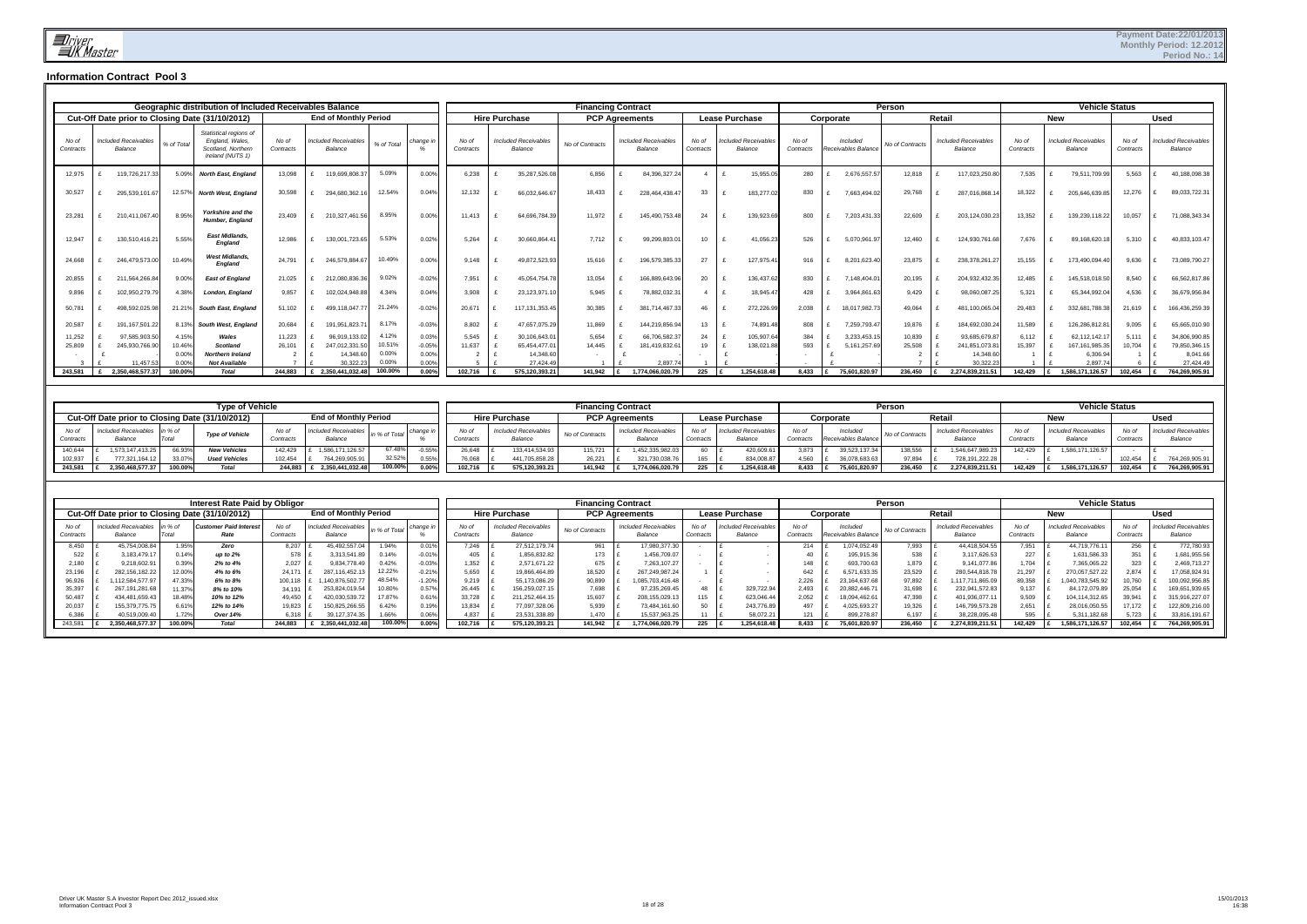|                    |                                                 |                 | Geographic distribution of Included Receivables Balance                             |                    |                                        |                 |                   |                    |                      |                                        | <b>Financing Contract</b> |                                        |                    |                                 |                    |           |                                | Person          |        |                                        |                    |            | <b>Vehicle Status</b>                  |                    |                                        |
|--------------------|-------------------------------------------------|-----------------|-------------------------------------------------------------------------------------|--------------------|----------------------------------------|-----------------|-------------------|--------------------|----------------------|----------------------------------------|---------------------------|----------------------------------------|--------------------|---------------------------------|--------------------|-----------|--------------------------------|-----------------|--------|----------------------------------------|--------------------|------------|----------------------------------------|--------------------|----------------------------------------|
|                    | Cut-Off Date prior to Closing Date (31/10/2012) |                 |                                                                                     |                    | <b>End of Monthly Period</b>           |                 |                   |                    | <b>Hire Purchase</b> |                                        | <b>PCP Agreements</b>     |                                        |                    | <b>Lease Purchase</b>           |                    | Corporate |                                |                 | Retail |                                        |                    | <b>New</b> |                                        |                    | <b>Used</b>                            |
| No of<br>Contracts | Included Receivables<br>Balance                 | % of Total      | Statistical regions of<br>England, Wales,<br>Scotland, Northern<br>Ireland (NUTS 1) | No of<br>Contracts | <b>Included Receivables</b><br>Balance | % of Total      | change            | No of<br>Contracts |                      | <b>Included Receivables</b><br>Balance | No of Contracts           | <b>Included Receivables</b><br>Balance | No of<br>Contracts | Included Receivables<br>Balance | No of<br>Contracts |           | Included<br>Receivables Balanc | No of Contracts |        | <b>Included Receivables</b><br>Balance | No of<br>Contracts |            | <b>Included Receivables</b><br>Balance | No of<br>Contracts | <b>Included Receivables</b><br>Balance |
| 12,975             | 119,726,217.33                                  | 5.09%           | <b>North East, England</b>                                                          | 13,098             | 119,699,808.3                          | 5.09%           | 0.00%             | 6,238              |                      | 35,287,526.08                          | 6,856                     | 84,396,327.24                          |                    | 15,955.05                       | 280                |           | 2,676,557.57                   | 12,818          |        | 117,023,250.80                         | 7,535              |            | 79,511,709.99                          | 5,563              | 40,188,098.38                          |
| 30,527             | 295,539,101.67                                  | 12.57%          | <b>North West, England</b>                                                          | 30,598             | 294.680.362.                           | 12.54%          | 0.04%             | 12,132             |                      | 66,032,646.6                           | 18.433                    | 228.464.438.4                          | 33                 | 183,277.02                      | 830                |           | 7,663,494.02                   | 29,768          |        | 287.016.868.1                          | 18,322             |            | 205,646,639.8                          | 12,276             | 89,033,722.31                          |
| 23,281             | 210.411.067.40                                  | 8.95%           | Yorkshire and the<br><b>Humber, England</b>                                         | 23,409             | 210,327,461.5                          | 8.95%           | 0.00%             | 11.413             |                      | 64.696.784.39                          | 11.972                    | 145.490.753.48                         | 24                 | 139,923.6                       | 800                |           | 7.203.431.33                   | 22,609          |        | 203.124.030.23                         | 13,352             |            | 139,239,118.22                         | 10,057             | 71,088,343.34                          |
| 12,947             | 130,510,416.21                                  | 5.55%           | <b>East Midlands.</b><br>England                                                    | 12.986             | 130.001.723.65                         | 5.53%           | 0.02%             | 5,264              |                      | 30.660.864.4                           | 7.712                     | 99,299,803.0                           | 10                 | 41,056.23                       | 526                |           | 5,070,961.97                   | 12,460          |        | 124.930.761.68                         | 7.676              |            | 89,168,620.1                           | 5,310              | 40,833,103.47                          |
| 24,668             | 246.479.573.00                                  | 10.49%          | <b>West Midlands</b><br><b>England</b>                                              | 24.791             | 246,579,884.6                          | 10.49%          | 0.00%             | 9.148              |                      | 49,872,523.93                          | 15,616                    | 196,579,385.33                         | 27                 | 127,975.41                      | 916                |           | 8,201,623.40                   | 23,875          |        | 238,378,261.2                          | 15,155             |            | 173,490,094.40                         | 9,636              | 73,089,790.27                          |
| 20,855             | 211,564,266.84                                  | 9.00%           | <b>East of England</b>                                                              | 21,025             | 212,080,836.36                         | 9.02%           | $-0.02%$          | 7,951              |                      | 45,054,754.78                          | 13,054                    | 166,889,643.96                         | 20                 | 136,437.62                      | 830                |           | 7,148,404.01                   | 20,195          |        | 204,932,432.3                          | 12,485             |            | 145,518,018.50                         | 8,540              | 66,562,817.86                          |
| 9.896              | 102,950,279.7                                   | 4.38%           | <b>London, England</b>                                                              | 9.857              | 102,024,948.88                         | 4.34%           | 0.04%             | 3.908              |                      | 23,123,971.10                          | 5.945                     | 78,882,032.31                          |                    | 18,945.47                       | 428                |           | 3,964,861.63                   | 9,429           |        | 98,060,087.25                          | 5,321              |            | 65,344,992.04                          | 4,536              | 36,679,956.84                          |
| 50,781             | 498,592,025.98                                  | 21.21%          | South East, England                                                                 | 51,102             | 499,118,047.7                          | 21.24%          | $-0.02%$          | 20,671             |                      | 117, 131, 353.45                       | 30,385                    | 381,714,467.33                         | 46                 | 272,226.99                      | 2,038              |           | 18,017,982.73                  | 49,064          |        | 481,100,065.0                          | 29,483             |            | 332,681,788.38                         | 21,619             | 166,436,259.39                         |
| 20,587             | 191, 167, 501.22                                | 8.13%           | South West, England                                                                 | 20,684             | 191,951,823.7                          | 8.17%           | $-0.03%$          | 8,802              |                      | 47,657,075.29                          | 11,869                    | 144,219,856.94                         | 13                 | 74,891.48                       | 808                |           | 7,259,793.47                   | 19,876          |        | 184,692,030.24                         | 11,589             |            | 126,286,812.8                          | 9,095              | 65,665,010.90                          |
| 11,252             | 97,585,903.50                                   | 4.15%           | Wales                                                                               | 11,223             | 96.919.133.02                          | 4.12%<br>10.51% | 0.03%             | 5,545              |                      | 30.106.643.0                           | 5.654                     | 66,706,582.37                          | 24                 | 105,907.64                      | 384                |           | 3.233.453.1                    | 10,839          |        | 93.685.679.8                           | 6,112              |            | 62,112,142.17                          | 5.111              | 34,806,990.85                          |
| 25,809             | 245,930,766.90                                  | 10.46%<br>0.00% | <b>Scotland</b><br><b>Northern Ireland</b>                                          | 26.101             | 247.012.331.5<br>14.348.6              | 0.00%           | $-0.05%$<br>0.00% | 11.637             |                      | 65.454.477.0<br>14,348.60              | 14.445                    | 181,419,832.61                         | 19                 | 138,021.8                       | 593                |           | 5, 161, 257.69                 | 25,508          |        | 241,851,073.8<br>14.348.6              | 15.397             |            | 167.161.985.35<br>6,306.9              | 10.704             | 79,850,346.15<br>8,041.66              |
|                    | 11.457.53                                       | 0.00%           | <b>Not Available</b>                                                                |                    | 30.322.2                               | 0.00%           | 0.00%             |                    |                      | 27.424.49                              |                           | 2,897.7                                |                    |                                 |                    |           |                                |                 |        | 30.322.23                              |                    |            | 2.897.7                                |                    | 27,424.49                              |
| 243,581            | 2,350,468,577.37                                | 100.00%         | <b>Total</b>                                                                        | 244.883            | £ 2,350,441,032.48                     | 100.00%         | 0.00%             | 102,716            |                      | 575,120,393.2                          | 141.942                   | 1,774,066,020.79                       | 225                | 1.254.618.48                    | 8.433              |           | 75,601,820.9                   | 236.450         |        | 2,274,839,211.5                        | 142.429            |            | 1,586,171,126.57                       | 102.454            | 764,269,905.91                         |

|                    |                                                 |                  | <b>Type of Vehicle</b>                      |                    |                                        |                           |                |                  |                                  |                   | <b>Financing Contract</b>              |                   |                                        |                                |                                 | Person                 |                                       |                    | <b>Vehicle Status</b>                  |                    |                                 |
|--------------------|-------------------------------------------------|------------------|---------------------------------------------|--------------------|----------------------------------------|---------------------------|----------------|------------------|----------------------------------|-------------------|----------------------------------------|-------------------|----------------------------------------|--------------------------------|---------------------------------|------------------------|---------------------------------------|--------------------|----------------------------------------|--------------------|---------------------------------|
|                    | Cut-Off Date prior to Closing Date (31/10/2012) |                  |                                             |                    | <b>End of Monthly Period</b>           |                           |                |                  | Hire Purchase                    |                   | <b>PCP Agreements</b>                  |                   | <b>Lease Purchase</b>                  |                                | Corporate                       |                        | Retail                                |                    | New                                    |                    | Used                            |
| No of<br>Contracts | Included Receivables in % of<br>Balance         | Tota             | <b>Type of Vehicle</b>                      | No o<br>Contracts  | <b>Included Receivables</b><br>Balance | in % of Total change in I |                | . No o           | Included Receivables<br>Balance  | No of Contracts   | <b>Included Receivables</b><br>Balance | No of<br>Contract | <b>Included Receivables</b><br>Balance | No of<br>Contract <sup>®</sup> | Included<br>Receivables Balance | <b>Vo of Contracts</b> | Included Receivables<br>Balance       | No of<br>Contracts | <b>Included Receivables</b><br>Balance | No of<br>Contracts | Included Receivables<br>Balance |
| 140.644<br>102,937 | 1.573.147.413.25<br>777,321,164.12              | 66.939<br>33.079 | <b>New Vehicles</b><br><b>Used Vehicles</b> | 142.429<br>102,454 | 1,586,171,126.57<br>764,269,905.9      | 67.48%<br>32.52%          | 0.55%<br>0.55% | 26.648<br>76,068 | 133,414,534.93<br>441,705,858.28 | 115,721<br>26,221 | 1,452,335,982.0?<br>321,730,038.       |                   | 420,609.61<br>834,008.87               | 3,873<br>4,560                 | 39,523,137.34<br>36,078,683.63  | 138,556<br>97,894      | 1,546,647,989.23<br>728, 191, 222. 28 | 142.429            | 1,586,171,126.57                       | 102,454            | 764,269,905.91                  |
| 243,581            | 2.350.468.577.37                                | 100.00%          | <b>Total</b>                                | 244,883            | £ 2.350.441.032.48                     | 100.00%                   | $0.00\%$       | 102,716          | 575,120,393.21                   | 141.942           | .774.066.020.79                        |                   | 1,254,618.48                           | 8,433                          | 75,601,820.97                   | 236.450                | 2.274.839.211.51                      | 142.429            | 1,586,171,126.57                       | 102.454            | 764,269,905.91                  |

|                    |                                                 |         | Interest Rate Paid by Obligor         |                    |                                        |              |          |                    |                                        |                 | <b>Financing Contract</b>              |                    |                                        |                    |                                 | Person          |                                        |                    | <b>Vehicle Status</b>                  |                           |                                 |
|--------------------|-------------------------------------------------|---------|---------------------------------------|--------------------|----------------------------------------|--------------|----------|--------------------|----------------------------------------|-----------------|----------------------------------------|--------------------|----------------------------------------|--------------------|---------------------------------|-----------------|----------------------------------------|--------------------|----------------------------------------|---------------------------|---------------------------------|
|                    | Cut-Off Date prior to Closing Date (31/10/2012) |         |                                       |                    | <b>End of Monthly Period</b>           |              |          |                    | <b>Hire Purchase</b>                   |                 | <b>PCP Agreements</b>                  |                    | <b>Lease Purchase</b>                  |                    | Corporate                       |                 | Retai.                                 |                    | New                                    |                           | Used                            |
| No oi<br>Contracts | Included Receivables in % of<br>Balance         | Total   | <b>Customer Paid Interest</b><br>Rate | No of<br>Contracts | <b>Included Receivables</b><br>Balance | n % of Total | change i | No oi<br>Contracts | <b>Included Receivables</b><br>Balance | No of Contracts | <b>Included Receivables</b><br>Balance | No of<br>Contracts | <b>Included Receivables</b><br>Balance | No of<br>Contracts | Included<br>Receivables Balance | No of Contracts | <b>Included Receivables</b><br>Balance | No of<br>Contracts | <b>Included Receivables</b><br>Balance | No of<br><b>Contracts</b> | Included Receivable.<br>Balance |
| 8,450              | 45,754,008.84                                   | 1.95%   | Zero                                  | 8,207              | 45,492,557.0                           | 1.94%        | 0.01%    | 7.246              | 27,512,179.74                          | 961             | 17,980,377.30                          |                    |                                        | 214                | ,074,052.49                     | 7,993           | 44,418,504.55                          | 7,951              | 44,719,776.11                          | 256                       | 772,780.93                      |
| 522                | 3,183,479.17                                    | 0.14%   | up to $2%$                            | 578                | 3.313.541.                             | 0.14%        | $-0.01%$ |                    | 1,856,832.82                           | 173             | ,456,709.07                            |                    |                                        |                    | 195,915.36                      | 538             | 3.117.626.5                            | 227                | 1,631,586.33                           | 351                       | ,681,955.56                     |
| 2,180              | 9.218.602.91                                    | 0.39%   | 2% to 4%                              | 2.027              | 9.834.778.4                            | 0.42%        |          | .352               | 2.571.671.22                           | 675             | 7.263.107.27                           |                    |                                        |                    | 693,700.63                      | 1.879           | 9,141,077.86                           | 1.704              | 7,365,065.22                           | 323                       | 2,469,713.27                    |
| 23,196             | 282.156.182.22                                  | 12.00%  | 4% to 6%                              | 24.171             | 287,116,452.                           | 12.22%       | $-0.21%$ | 650,د              | 19,866,464.89                          | 18,520          | 267.249.987.24                         |                    |                                        | 642                | 6,571,633.35                    | 23,529          | 280,544,818.7                          | 21,297             | 270,057,527.22                         | 2,874                     | 17,058,924.9                    |
| 96,926             | 112.584.577.97                                  | 47.33%  | 6% to 8%                              | 100.118            | 140.876.502.7                          | 48.54%       | $-1.20%$ | 9,219              | 55,173,086.29                          | 90,899          | .085.703.416.48                        |                    |                                        | 2,226              | 23, 164, 637. 68                | 97,892          | 1.117.711.865.0                        | 89,358             | 1,040,783,545.92                       | 10,760                    | 100,092,956.8                   |
| 35,397             | 267.191.281.68                                  | 11.379  | 8% to 10%                             | 34.191             | 253.824.019.54                         | 10.80%       | 0.57%    | 26,445             | 156,259,027.1                          | 7.698           | 97,235,269.45                          |                    | 329,722.94                             | 2,493              | 20,882,446.71                   | 31,698          | 232,941,572.83                         | 9.137              | 84,172,079.89                          | 25.054                    | 169,651,939.65                  |
| 50.487             | 134.481.659.43                                  | 18.48%  | 10% to 12%                            | 49.450             | 420.030.539.7                          |              | 0.61%    | 33,728             | 211.252.464.15                         | 15.607          | 208.155.029.1                          |                    | 623.046.44                             | 2,052              | 18.094.462.61                   | 47.398          | 401.936.077.1                          | 9.509              | 104.114.312.65                         | 39,941                    | 315,916,227.07                  |
| 20.037             | 155.379.775.75                                  | 6.61%   | 12% to 14%                            | 19.823             | 50.825.266.55                          |              | 0.19%    | 13.834             | 77,097,328.06                          | 5.939           | 73.484.161.60                          |                    | 243,776.89                             | 497                | 4,025,693.27                    | 19.326          | 146.799.573.28                         | 2.651              | 28,016,050.55                          | 17,172                    | 122,809,216.00                  |
|                    | 40.519.009.40                                   | 1.72%   | Over 14%                              | 6,318              | 39,127,374.35                          |              |          |                    | 23,531,338.8                           | .470            | 15,537,963.25                          |                    | 58,072.2                               |                    | 899,278.87                      | 6.197           | 8.228.095.4                            |                    | 5,311,182.68                           | 5.723                     | 33,816,191.67                   |
| 243,581            | 2.350.468.577.37                                | 100.00% | Total                                 | 244.883            | 2.350.441.032.48                       | 100.00%      |          | 102,716            | 575,120,393.21                         | 141.942         | 1.774.066.020.7                        |                    | .254.618.48                            | 8,433              | 75,601,820.97                   | 236,450         | 2.274.839.211.51                       | 142.429            | 1.586.171.126.57                       | 102.454                   | 764,269,905.91                  |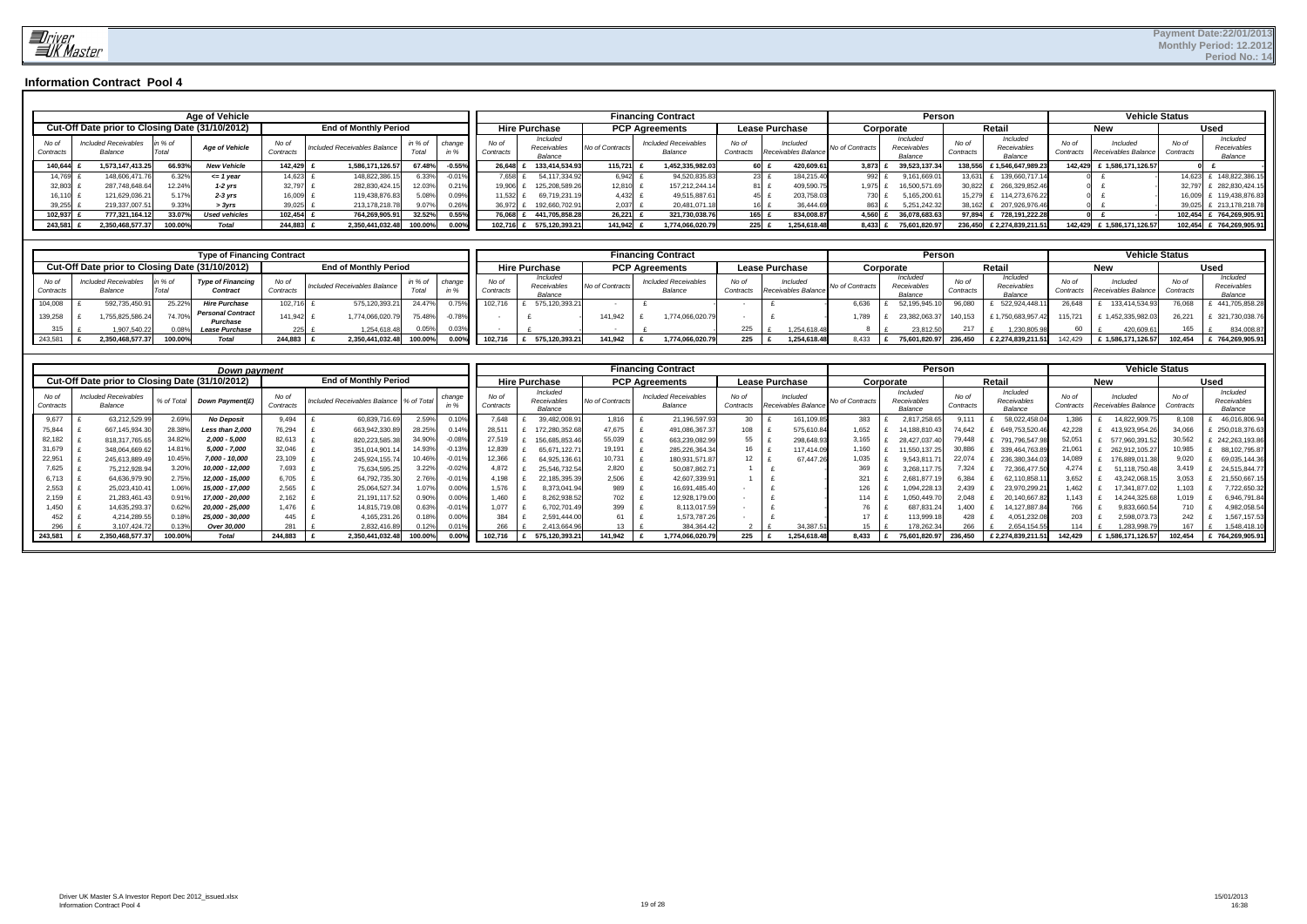

|                    |                                                 |               | <b>Age of Vehicle</b> |                    |                              |         |          |                    |                                    |                 | <b>Financing Contract</b>              |                    |                                 |                | Persor                             |                    |                                           |       | <b>Vehicle Status</b>                     |                    |                                    |
|--------------------|-------------------------------------------------|---------------|-----------------------|--------------------|------------------------------|---------|----------|--------------------|------------------------------------|-----------------|----------------------------------------|--------------------|---------------------------------|----------------|------------------------------------|--------------------|-------------------------------------------|-------|-------------------------------------------|--------------------|------------------------------------|
|                    | Cut-Off Date prior to Closing Date (31/10/2012) |               |                       |                    | <b>End of Monthly Period</b> |         |          |                    | <b>Hire Purchase</b>               |                 | <b>PCP Agreements</b>                  |                    | <b>Lease Purchase</b>           | Corporate      |                                    |                    | Retai                                     |       | <b>New</b>                                |                    | <b>Used</b>                        |
| No of<br>Contracts | <b>Included Receivables</b><br>Balance          | in %<br>Total | <b>Age of Vehicle</b> | No of<br>Contracts | Included Receivables Balance | in % of | change   | No of<br>Contracts | Included<br>Receivables<br>Balance | No of Contracts | <b>Included Receivables</b><br>Balance | No of<br>Contracts | Included<br>Receivables Balance | No of Contract | Included<br>Receivables<br>Balance | No of<br>Contracts | Included<br>Receivables<br><b>Balance</b> | No of | Included<br>Contracts Receivables Balance | No of<br>Contracts | Included<br>Receivables<br>Balance |
| 140.644            | 1.573.147.413.25                                | 66.93%        | <b>New Vehicle</b>    | 142,425            | 1,586,171,126.57             | 67.48%  | $-0.55%$ | 26.648             | 133.414.534.93                     | 115,721         | 1,452,335,982.03                       | 60                 | 420,609.61                      | 3,873          | 39,523,137.34                      | 138.556 £          | £1.546.647.989.23                         |       | 142,429 £ 1,586,171,126.57                |                    |                                    |
| 14,769             | 148,606,471.76                                  | 6.32%         | <= 1 year             | 14,623             | 148,822,386.                 | 3.33%   |          | .658               | 54,117,334.92                      | 6,942           | 94,520,835.83                          | 23                 | 184,215.40                      |                | 9,161,669.01                       | 13,631             | 139,660,717.                              |       |                                           | 14.623.            | 148,822,386.                       |
| 32,803             | 287.748.648.64                                  | 12.24%        | $1-2$ yrs             | 32,797             | 282,830,424.1                | 12.03%  | 0.21%    | 19,906             | 125,208,589.26                     | 12,810          | 157.212.244.1                          | 81 I               | 409,590.75                      | 1.975          | 16,500,571.69                      | 30,822             | 266,329,852.46                            |       |                                           | 32,797             | 282.830.424.1                      |
| 16.110             | 121.629.036.21                                  | 5.17%         | $2-3$ vrs             | 16,009             | 119,438,876.8                | 5.08%   | 0.09%    | 1.532              | 69.719.231.19                      | 4.432           | 49,515,887.6                           | 45.                | 203.758.                        | 730            | 5.165.200.61                       | 15.279             | 114.273.676.22                            |       |                                           | 16,009             | 119.438.876.8                      |
| 39,255             | 219.337.007.51                                  | 9.33%         | > 3yrs                | 39,025             | 213, 178, 218.7              | 9.07%   | $0.26\%$ | 36,972             | 192,660,702.91                     | 2,037           | 20,481,071.18                          |                    | 36.444.69                       |                | 5,251,242.32                       | 38.162             | 207.926.976.46                            |       |                                           | 39,025             | 213, 178, 218. 7                   |
| 102,937            | 777.321.164.12                                  | 33.07%        | <b>Used vehicles</b>  | 102.454            | 764,269,905.9                | 32.52%  | 0.55%    | 76.068             | 441.705.858.28                     | 26,221          | 321,730,038.76                         | 165                | 834.008.87                      | 4.560          | 36.078.683.63                      | 97,894             | 728.191.222.28                            |       |                                           | 102.454            | 764,269,905.91                     |
| 243,581            | 2.350.468.577.37                                | 100.00%       | Total                 | 244.883            | 2.350.441.032.48             | 100.00% | $0.00\%$ | 102.716            | 575.120.393.21                     | 141.942         | 1,774,066,020.79                       | 225                | 1.254.618.48                    | 8.433          | 75.601.820.97                      |                    | 236.450 £ 2.274.839.211.                  |       | 142,429 £ 1,586,171,126.57                | 102.454            | 764,269,905.91                     |

|                    |                                                 |         | <b>Type of Financing Contract</b>           |                    |                              |                  |               |                    |                                    |                | <b>Financing Contract</b>              |                   |                                 |                | Person                             |                    |                                    |                    |                                 | <b>Vehicle Status</b> |                                           |
|--------------------|-------------------------------------------------|---------|---------------------------------------------|--------------------|------------------------------|------------------|---------------|--------------------|------------------------------------|----------------|----------------------------------------|-------------------|---------------------------------|----------------|------------------------------------|--------------------|------------------------------------|--------------------|---------------------------------|-----------------------|-------------------------------------------|
|                    | Cut-Off Date prior to Closing Date (31/10/2012) |         |                                             |                    | <b>End of Monthly Period</b> |                  |               |                    | <b>Hire Purchase</b>               |                | <b>PCP Agreements</b>                  |                   | <b>Lease Purchase</b>           |                | Corporate                          |                    | Retai.                             |                    | <b>New</b>                      |                       | Used                                      |
| No of<br>Contracts | Included Receivables<br>Balance                 | in % of | <b>Type of Financing</b><br><b>Contract</b> | No of<br>Contracts | Included Receivables Balance | in % of<br>Total | change        | No of<br>Contracts | Included<br>Receivables<br>Balance | No of Contract | <b>Included Receivables</b><br>Balance | No o<br>Contracts | Included<br>Receivables Balance | No of Contract | Included<br>Receivables<br>Balance | No of<br>Contracts | Included<br>Receivables<br>Balance | No of<br>Contracts | Included<br>Receivables Balance | No of<br>Contracts    | <i>Includer</i><br>Receivables<br>Balance |
| 104,008            | 592,735,450.9                                   | 25.22%  | <b>Hire Purchase</b>                        | 102,716            | 575,120,393.2                | 24.47%           |               | 102.716            | 575,120,393.21                     |                |                                        |                   |                                 | 6,636          | 52.195.945.1                       | 96,080             | 522.924.448.1                      | 26.648             | 133,414,534.93                  | 76,068                | 441,705,858.2                             |
| 139,258            | 755.825.586.24                                  | 74.70%  | <b>Personal Contract</b><br>Purchase        | 141.942            | 1,774,066,020.               | 75.48%           | $\degree$ 78% |                    |                                    | 141.942        | 1.774.066.020.7                        |                   |                                 | .789           | 23.382.063.37                      | 140.153            | £1.750.683.957.42                  | 115.721            | £ 1.452.335.982.03              | 26.22'                | 321,730,038.7                             |
| 315                | .907.540.22                                     |         | <b>Lease Purchase</b>                       | 225                | 1,254,618.48                 | 0.05%            | $0.03\%$      |                    |                                    |                |                                        | 225               | 1.254.618.48                    |                | 23,812.50                          |                    | 1,230,805.9                        | 60                 | 420,609.61                      | 165                   | 834,008.87                                |
| 243,581            | 2.350.468.577.3                                 | 100.00% | Total                                       | 244.883            | 2.350.441.032.48             | 100.00           |               | 102.716            | 575.120.393.21                     | 141.942        | 1,774,066,020.75                       | 225               | 1.254.618.48                    | 8.433          | 75.601.820.97                      | 236.450            | £ 2.274.839.211.51                 | 142.429            | £ 1,586,171,126.57              | 102.454               | 764.269.905.91                            |

|                    |                                                 |            | Down payment      |                    |                              |                |           |                    |                                    |                 | <b>Financing Contract</b>              |                    |                                 |                | Person                             |                    |                                    |                    | <b>Vehicle Status</b>           |                    |                                    |
|--------------------|-------------------------------------------------|------------|-------------------|--------------------|------------------------------|----------------|-----------|--------------------|------------------------------------|-----------------|----------------------------------------|--------------------|---------------------------------|----------------|------------------------------------|--------------------|------------------------------------|--------------------|---------------------------------|--------------------|------------------------------------|
|                    | Cut-Off Date prior to Closing Date (31/10/2012) |            |                   |                    | <b>End of Monthly Period</b> |                |           |                    | <b>Hire Purchase</b>               |                 | <b>PCP Agreements</b>                  |                    | <b>Lease Purchase</b>           |                | Corporate                          |                    | Retai                              |                    | <b>New</b>                      |                    | <b>Used</b>                        |
| No of<br>Contracts | <b>Included Receivables</b><br>Balance          | % of Total | Down Payment(£)   | No of<br>Contracts | Included Receivables Balance | % of Total     | chanqı    | No of<br>Contracts | Included<br>Receivables<br>Balance | No of Contract: | <b>Included Receivables</b><br>Balance | No of<br>Contracts | Included<br>Receivables Balance | No of Contract | Included<br>Receivables<br>Balance | No of<br>Contracts | Included<br>Receivables<br>Balance | No of<br>Contracts | Included<br>Receivables Balance | No of<br>Contracts | Included<br>Receivables<br>Balance |
| 9,677              | 63,212,529.9                                    | 2.69%      | <b>No Deposit</b> | 9.494              | 60,839,716.69                | 2.59%          |           | 7,648              | 39,482,008.9                       | 1,816           | 21,196,597.93                          | 30                 | 161,109.85                      | 383            | 2,817,258.65                       | 9.111              | 58,022,458.                        | .386               | 14,822,909.7                    | 8,108              | 46,016,806.9                       |
| 75,844             | 667, 145, 934. 3                                | 28.38%     | Less than 2,000   | 76,294             | 663,942,330.8                |                | .14%      | 28,51              | 172,280,352.6                      | 47,675          | 491,086,367.3                          | 108                | 575,610.84                      | 1,652          | 14.188.810.43                      | 74.642             | 649,753,520.46                     | 42.228             | 413,923,954.2                   | 34.066             | 250,018,376.6                      |
| 82,182             | 818,317,765.65                                  | 34.82%     | 2,000 - 5,000     | 82,613             | 820,223,585.38               |                |           | 27,519             | 156,685,853.4                      | 55,039          | 663,239,082.99                         | 55                 | 298,648.93                      | 3,165          | 28.427.037.40                      | 79,448             | 791,796,547.                       | 52.05              | 577,960,391.5                   | 30,562             | 242,263,193.86                     |
| 31,679             | 348,064,669.6                                   | 14.81%     | 5,000 - 7,000     | 32.046             | 351,014,901.                 |                |           | 12,839             | 65,671,122.7                       | 19,191          | 285,226,364.34                         | 16                 | 117.414.09                      | 1,160          | 1,550,137.25                       | 30,886             | 339,464,763.8                      | 21.06'             | 262,912,105.27                  | 10,985             | 88,102,795.8                       |
| 22,951             | 245,613,889.4                                   | 10.45%     | 7,000 - 10,000    | 23,109             | 245,924,155.7                | 10.46%         | $-0.01\%$ | 12,366             | 64,925,136.6                       | 10,731          | 180,931,571.8                          | 12                 | 67.447.26                       | 1,035          | 9,543,811.7                        | 22,074             | 236,380,344.0                      | 14,089             | 176,889,011.3                   | 9,020              | 69,035,144.36                      |
| 7,625              | 75,212,928.9                                    | 3.20%      | 10,000 - 12,000   | 7,693              | 75,634,595.2                 | $3.22^{\circ}$ | $-0.02\%$ | 4,872              | 25,546,732.5                       | 2,820           | 50,087,862.7                           |                    |                                 | 369            | 3,268,117.7                        | 7,324              | 72,366,477.5                       | 4.274              | 51,118,750.48                   | 3.419              | 24,515,844.7                       |
| 6,713              | 64,636,979.90                                   | 2.75%      | 12,000 - 15,000   | 6,705              | 64,792,735.30                |                |           | 4.198              | 22,185,395.3                       | 2,506           | 42,607,339.9                           |                    |                                 | 321            | 2.681.877.1                        | 6,384              | 62,110,858.                        | 3,652              | 43.242.068.1                    | 3,053              | 21,550,667.                        |
| 2,553              | 25,023,410.4                                    | .06%       | 15,000 - 17,000   | 2,565              | 25,064,527.3                 | 1.07%          | 0.00%     | 1,576              | 8,373,041.9                        | 989             | 16,691,485.40                          |                    |                                 | 126            | .094.228.1                         | 2.439              | 23,970,299.                        | .462               | 17.341.877.02                   | 1.103              | 7,722,650.3                        |
| 2,159              | 21,283,461.43                                   | 0.91%      | 17,000 - 20,000   | 2,162              | 21, 191, 117.52              |                | $0.00\%$  | 1,460              | 8,262,938.5                        | 702             | 12,928,179.00                          |                    |                                 | 114            | .050.449.7                         | 2.048              | 20,140,667.8                       | .143               | 14,244,325.68                   |                    | 6,946,791.84                       |
| 1,450              | 14,635,293.3                                    | 0.62%      | 20,000 - 25,000   | 1.476              | 14,815,719.08                |                |           | 1.077              | 6,702,701.4                        | 399             | 8,113,017.59                           |                    |                                 | 70             | 687.831.24                         | .400               | 14,127,887.8                       | 766                | 9,833,660.54                    |                    | 4,982,058.5                        |
| 452                | 4,214,289.5                                     | 0.18%      | 25,000 - 30,000   | 445                | 4,165,231.2                  |                | 0.00%     | 384                | 2.591.444.0                        | 61              | 1,573,787.26                           |                    |                                 |                | 113.999.1                          | 428                | 4,051,232.0                        | 203                | 2.598.073.73                    | 242                | 1,567,157.53                       |
| 296                | 3,107,424.7                                     |            | Over 30,000       | 28'                | 2,832,416.8.                 |                |           | 266                | 2,413,664.9                        |                 | 384,364.42                             |                    | 34,387.5                        |                | 178.262.3                          |                    | 2,654,154.5                        | 114                | 283,998.7                       |                    | 1,548,418.1                        |
| 243,581            | 2,350,468,577.3                                 | 100.00%    | Total             | 244.883            | 2.350.441.032.48             | 100.00%        |           | 102.71             | 575.120.393.2                      | 141.942         | 774,066,020.7.                         | 225                | .254.618.48                     | 8.433          | 5.601.820.97                       | 236.450            | £2.274.839.21                      | 142.429            | £ 1.586.                        | 102.454            | 764,269,905.9                      |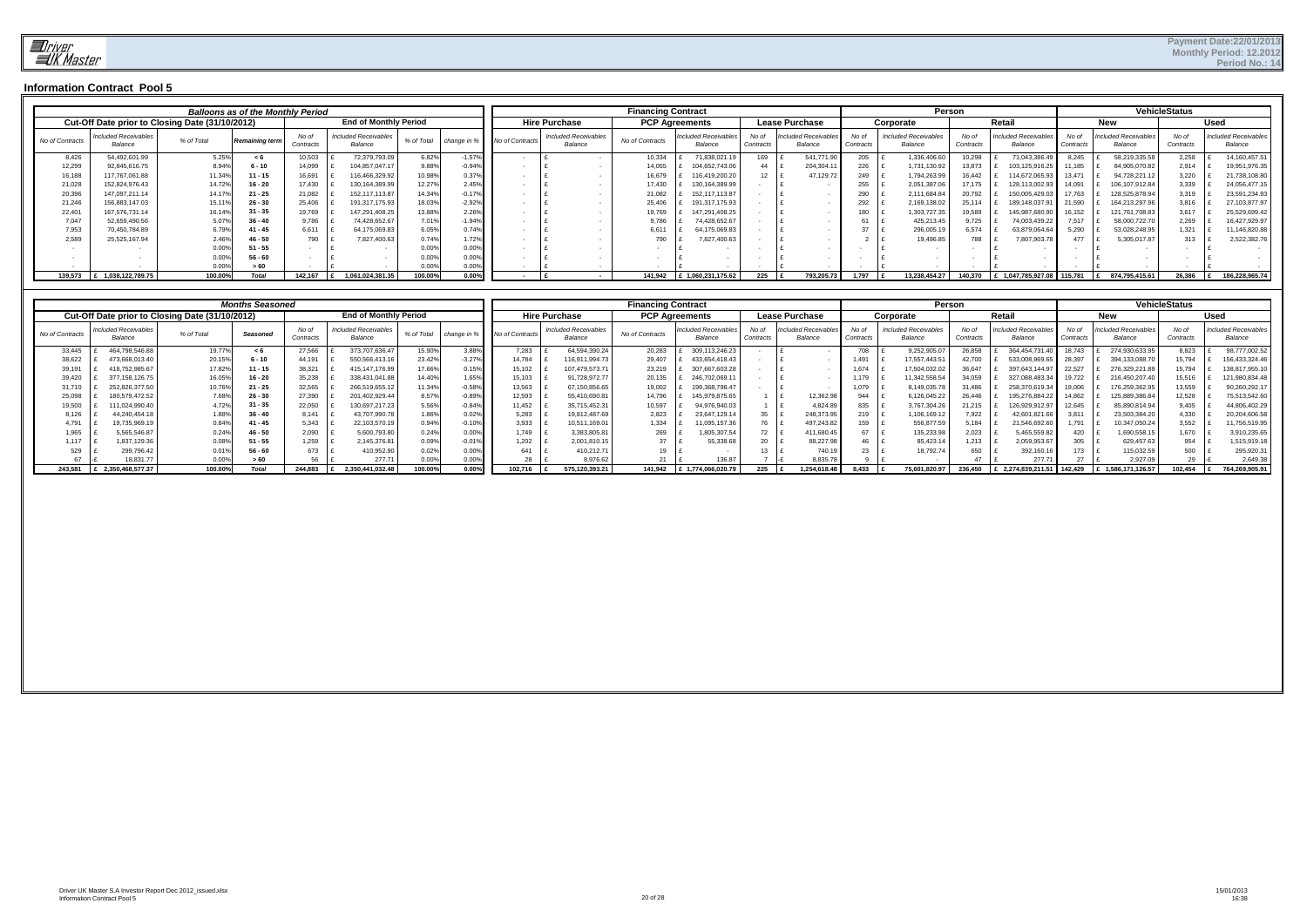|                 |                                                 |            | <b>Balloons as of the Monthly Period</b> |                    |                                        |            |                |                 |                                        | <b>Financing Contract</b> |                                |                    |                                       |                    |                                        | Person             |                                |                    |                                 | <b>VehicleStatus</b> |             |                                        |
|-----------------|-------------------------------------------------|------------|------------------------------------------|--------------------|----------------------------------------|------------|----------------|-----------------|----------------------------------------|---------------------------|--------------------------------|--------------------|---------------------------------------|--------------------|----------------------------------------|--------------------|--------------------------------|--------------------|---------------------------------|----------------------|-------------|----------------------------------------|
|                 | Cut-Off Date prior to Closing Date (31/10/2012) |            |                                          |                    | <b>End of Monthly Period</b>           |            |                |                 | <b>Hire Purchase</b>                   | <b>PCP Agreements</b>     |                                |                    | <b>Lease Purchase</b>                 |                    | Corporate                              |                    | Retai                          |                    | <b>New</b>                      |                      | <b>Used</b> |                                        |
| No of Contracts | Included Receivables<br>Balance                 | % of Total | Remaining term                           | No oi<br>Contracts | <b>Included Receivables</b><br>Balance | % of Total | change in      | lo of Contracts | <b>Included Receivables</b><br>Balance | No of Contracts           | Included Receivable<br>Balance | No of<br>Contracts | <b>Included Receivable</b><br>Balance | No oi<br>Contracts | <b>Included Receivables</b><br>Balance | No of<br>Contracts | Included Receivable<br>Balance | No of<br>Contracts | Included Receivables<br>Balance | No of<br>Contracts   |             | <b>Included Receivables</b><br>Balance |
| 8,426           | 54,492,601.99                                   | 5.25%      | < 6                                      | 10.503             | 72,379,793.09                          | 6.82%      | $-1.57$        |                 |                                        | 10,334                    | 71,838,021.1                   | 169                | 541,771.90                            | 205                | 1,336,406.6                            | 10.298             | 71,043,386.4                   | 8.245              | 58,219,335.58                   | 2,258                |             | 14,160,457.51                          |
| 12,299          | 92,845,616.75                                   | 8.94%      | $6 - 10$                                 | 14,099             | 104,857,047.17                         | 9.88%      | $-0.94$        |                 |                                        | 14,05                     | 104,652,743.06                 | 44                 | 204,304.1                             | 226                | 1,731,130.92                           | 13,873             | 103,125,916.2                  | 1,185              | 84,905,070.82                   | 2,914                |             | 19,951,976.35                          |
| 16,188          | 117,767,061.88                                  | 11.34%     | $11 - 15$                                | 16,691             | 116,466,329.92                         | 10.98%     | 0.37           |                 |                                        | 16,679                    | 116,419,200.20                 | 12                 | 47,129.72                             | 249                | 1,794,263.99                           | 16.442             | 114.672.065.9                  | 13,47              | 94,728,221.12                   | 3,220                |             | 21,738,108.80                          |
| 21,028          | 152,824,976.43                                  | 14.72%     | $16 - 20$                                | 17.430             | 130,164,389.99                         | 12.27%     | 2.45           |                 |                                        | 17,430                    | 130,164,389.99                 |                    |                                       | 255                | 2,051,387.06                           | 17.175             | 128,113,002.9                  | 14.091             | 106,107,912.84                  | 3,339                |             | 24,056,477.15                          |
| 20,396          | 147,097,211.14                                  | 14.17%     | $21 - 25$                                | 21,082             | 152, 117, 113.87                       | 14.34%     | $-0.17$        |                 |                                        | 21,082                    | 152.117.113.87                 |                    |                                       | 290                | 2,111,684.84                           | 20.792             | 150,005,429.0                  | 7.763              | 128,525,878.94                  | 3,319                |             | 23,591,234.93                          |
| 21,246          | 156,883,147.03                                  | 15.11%     | $26 - 30$                                | 25.406             | 191,317,175.93                         | 18.03%     | $-2.929$       |                 |                                        | 25,406                    | 191,317,175.93                 |                    |                                       | 292                | 2,169,138.02                           | 25.114             | 189,148,037.9                  | 21.590             | 164,213,297.96                  | 3,816                |             | 27,103,877.97                          |
| 22,40'          | 167,576,731.14                                  | 16.14%     | $31 - 35$                                | 19,769             | 147,291,408.25                         | 3.88%      | 2.26           |                 |                                        | 19,769                    | 147.291.408.25                 |                    |                                       | 180                | 1,303,727.35                           | 19,589             | 145.987.680.9                  | 16,152             | 121,761,708.83                  | 3,617                |             | 25,529,699.42                          |
| 7,047           | 52,659,490.56                                   | 5.07%      | $36 - 40$                                | 9.786              | 74,428,652.67                          | 7.01%      | $-1.94$        |                 |                                        |                           | 74.428.652.6                   |                    |                                       |                    | 425,213.45                             | 9.725              | 74,003,439.2                   | 7.517              | 58,000,722.70                   | 2,269                |             | 16,427,929.97                          |
| 7,953           | 70,450,784.89                                   | 6.79%      | $41 - 45$                                | 6.611              | 64.175.069.83                          | 6.05%      | 0.74           |                 |                                        | 6,61                      | 64.175.069.83                  |                    |                                       | 27                 | 296,005.19                             | 6.574              | 63.879.064.6                   | 5.290              | 53,028,248.95                   | 1,321                |             | 11,146,820.88                          |
| 2,589           | 25,525,167.94                                   | 2.46%      | $46 - 50$                                | 790                | 7,827,400.63                           | 0.74%      | 1.72           |                 |                                        | 790                       | 827,400.63                     |                    |                                       |                    | 19,496.85                              | 788                | 7,807,903.7                    |                    | 5,305,017.87                    | 313                  |             | 2,522,382.76                           |
|                 |                                                 | 0.00%      | $51 - 55$                                |                    |                                        | 0.009      | 0.00           |                 |                                        |                           |                                |                    |                                       |                    |                                        |                    |                                |                    |                                 |                      |             |                                        |
|                 |                                                 | 0.00%      | $56 - 60$                                |                    |                                        | 0.009      | 0.00           |                 |                                        |                           |                                |                    |                                       |                    |                                        |                    |                                |                    |                                 |                      |             |                                        |
|                 |                                                 | 0.00%      |                                          |                    |                                        | 0.00%      | 0.00           |                 |                                        |                           |                                |                    |                                       |                    |                                        |                    |                                |                    |                                 |                      |             |                                        |
| 139.573         | 1,038,122,789.75                                | 100.00%    | Total                                    | 142.167            | 1.061.024.381.35                       | 100.00%    | $0.00^{\circ}$ |                 |                                        | 141.942                   | £ 1,060,231,175.62             | 225                | 793,205.73                            | 1,797              | 13,238,454.27                          | 140.370            | 1.047.785.927.08               | 115.781            | 874,795,415.61                  | 26.386               |             | 186,228,965.74                         |

|                 |                                                 |            | <b>Months Seasoned</b> |                   |                                        |            |           |                 |                                        | <b>Financing Contract</b> |                                 |          |                               |                   |                                        | Person             |                                |                    |                                | <b>VehicleStatus</b> |                                 |
|-----------------|-------------------------------------------------|------------|------------------------|-------------------|----------------------------------------|------------|-----------|-----------------|----------------------------------------|---------------------------|---------------------------------|----------|-------------------------------|-------------------|----------------------------------------|--------------------|--------------------------------|--------------------|--------------------------------|----------------------|---------------------------------|
|                 | Cut-Off Date prior to Closing Date (31/10/2012) |            |                        |                   | <b>End of Monthly Period</b>           |            |           |                 | <b>Hire Purchase</b>                   |                           | <b>PCP Agreements</b>           |          | <b>Lease Purchase</b>         |                   | Corporate                              |                    | Retail                         |                    | <b>New</b>                     |                      | Used                            |
| No of Contracts | <b>Included Receivables</b><br>Balance          | % of Total | Seasoned               | No o<br>Contracts | <b>Included Receivables</b><br>Balance | % of Total | change in | Vo of Contracts | <b>Included Receivables</b><br>Balance | No of Contracts           | Included Receivable.<br>Balance | Contract | cluded Receivables<br>Balance | No of<br>Contract | <b>Included Receivables</b><br>Balance | No of<br>Contracts | 'ncluded Receivable<br>Balance | No of<br>Contract: | ncluded Receivables<br>Balance | No of<br>Contracts   | Included Receivable.<br>Balance |
| 33,445          | 464,798,546.88                                  | 19.77%     |                        | 27,566            | 373,707,636.47                         | 15.90%     | 3.88      | 7,283           | 64,594,390.24                          | 20,283                    | 309,113,246.23                  |          |                               | 708               | 9,252,905.0                            | 26,858             | 364.454.731.                   | 18.743             | 274,930,633.95                 | 8,823                | 98,777,002.52                   |
| 38,622          | 473.668.013.40                                  | 20.15%     | 6 - 10                 | 44.191            | 550.566.413.1                          | 23.42%     | $-3.27$   | 14.784          | 16,911,994.73                          | 29,407                    | 433.654.418.45                  |          |                               | ,491              | 17.557.443.51                          |                    | 533.008.969.6                  | 28.397             | 394.133.088.70                 | 15,794               | 156,433,324.46                  |
| 39,191          | 418.752.985.67                                  | 17.82%     | $11 - 15$              | 38.321            | 415.147.176.99                         | 17.66%     | 0.15      | 15.102          | 107.479.573.71                         | 23,219                    | 307.667.603.2                   |          |                               | .674              | 17.504.032.02                          |                    | 397.643.144.97                 | 22.527             | 276.329.221.89                 | 15,794               | 138,817,955.10                  |
| 39,420          | 377, 158, 126.75                                | 16.05%     | $16 - 20$              | 35,238            | 338.431.041.88                         | 14.40%     | 1.65      | 15,103          | 91,728,972.77                          | 20,135                    | 246.702.069.1                   |          |                               | .179              | 11,342,558.54                          |                    | 327,088,483.34                 | 19.722             | 216,450,207.40                 | 15,516               | 121,980,834.48                  |
| 31,710          | 252.826.377.50                                  | 10.76%     | $21 - 25$              | 32.565            | 266.519.655.12                         | 11.34%     | $-0.58$   | 13,563          | 67,150,856.65                          | 19,002                    | 199.368.798.47                  |          |                               | 079               | 8,149,035.7                            | 31.486             | 258.370.619.34                 | 19.006             | 176,259,362.95                 | 13,559               | 90,260,292.1                    |
| 25,098          | 180,579,472.52                                  | 7.68%      | $26 - 30$              | 27,390            | 201,402,929.44                         | 8.57%      | $-0.89$   | 12,593          | 55,410,690.81                          | 14,796                    | 145.979.875.65                  |          | 12,362.98                     | 944               | 6,126,045.22                           | 26.446             | 195.276.884.22                 | 14.862             | 125,889,386.84                 | 12,528               | 75,513,542.60                   |
| 19,500          | 111,024,990.40                                  | 4.72%      | $31 - 35$              | 22,050            | 130,697,217.23                         | 5.56%      | $-0.84$   | 11.452          | 35,715,452.31                          | 10,597                    | 94.976.940.03                   |          | 4.824.8                       | 835               | 3,767,304.2                            |                    | 126.929.912.97                 | 12.645             | 85,890,814.94                  | 9,405                | 44,806,402.29                   |
| 8,126           | 44.240.454.18                                   | 1.88%      | $36 - 40$              | 8.141             | 43.707.990.78                          | .86%       | 0.02%     | 5,283           | 19.812.487.69                          | 2,823                     | 23.647.129.14                   | 35       | 248,373.95                    | 219               | 1,106,169.12                           | .922               | 42.601.821.66                  | 3.811              | 23,503,384.20                  | 4,330                | 20,204,606.58                   |
| 4,791           | 19,735,969.19                                   | 0.84%      | 41 - 45                | 5.343             | 22,103,570.19                          | 0.94%      | $-0.10$   | 3,933           | 10,511,169.01                          | 1,334                     | 095,157.3                       | 76       | 497.243.82                    | 159               | 556,877.59                             | ោ84                | 1,546,692.60                   | .791               | 10,347,050.24                  | 3,552                | 11,756,519.95                   |
| 1,965           | 5,565,546.87                                    | 0.24%      | $46 - 50$              | 2,090             | 5,600,793.8                            | 0.24%      | 0.00      | 1.749           | 3,383,805.81                           | 269                       | 805,307.54                      | 72       | 411,680.45                    | 67                | 135,233.9                              | 2,023              | 5,465,559.82                   | 420                | ,690,558.15                    | 1,670                | 3,910,235.65                    |
| 1.117           | 1,837,129.36                                    | 0.08%      | $51 - 55$              | ,259              | 2,145,376.81                           | 0.09%      | $-0.019$  | 1,202           | 2,001,810.15                           | $27 - 1$                  | 55,338.                         | 20       | 88,227.9                      |                   | 85,423.14                              | .213               | 2,059,953.67                   | 305                | 629,457.63                     | 954                  | 1,515,919.18                    |
| 529             | 299,796.42                                      | 0.01%      | $56 - 60$              | 673               | 410,952.90                             | 0.02%      | 0.00      |                 | 410,212.71                             | 19                        |                                 |          | 740.1                         |                   | 18,792.74                              | 650                | 392,160.16                     | 173                | 115,032.59                     | 500                  | 295,920.3                       |
|                 | 18.831.77                                       | 0.00%      | >60                    |                   | 277.7                                  |            | 0.00      | 28              | 8.976.62                               | $\sim$                    | 136.87                          |          | 3.835.                        |                   |                                        |                    | 277.7'                         |                    | 2.927.09                       |                      | 2.649.38                        |
| 243.581         | 2,350,468,577.37                                | 100.00%    | Total                  | 244.883           | 2,350,441,032.48                       | 100.00%    | 0.009     | 102.716         | 575,120,393.21                         | 141.942                   | 1,774,066,020.79                | 225      | 1,254,618.48                  | 8.433             | 75,601,820.97                          | 236,450            | 2,274,839,211.51               | 142,429            | 1,586,171,126.57               | 102,454              | 764,269,905.91                  |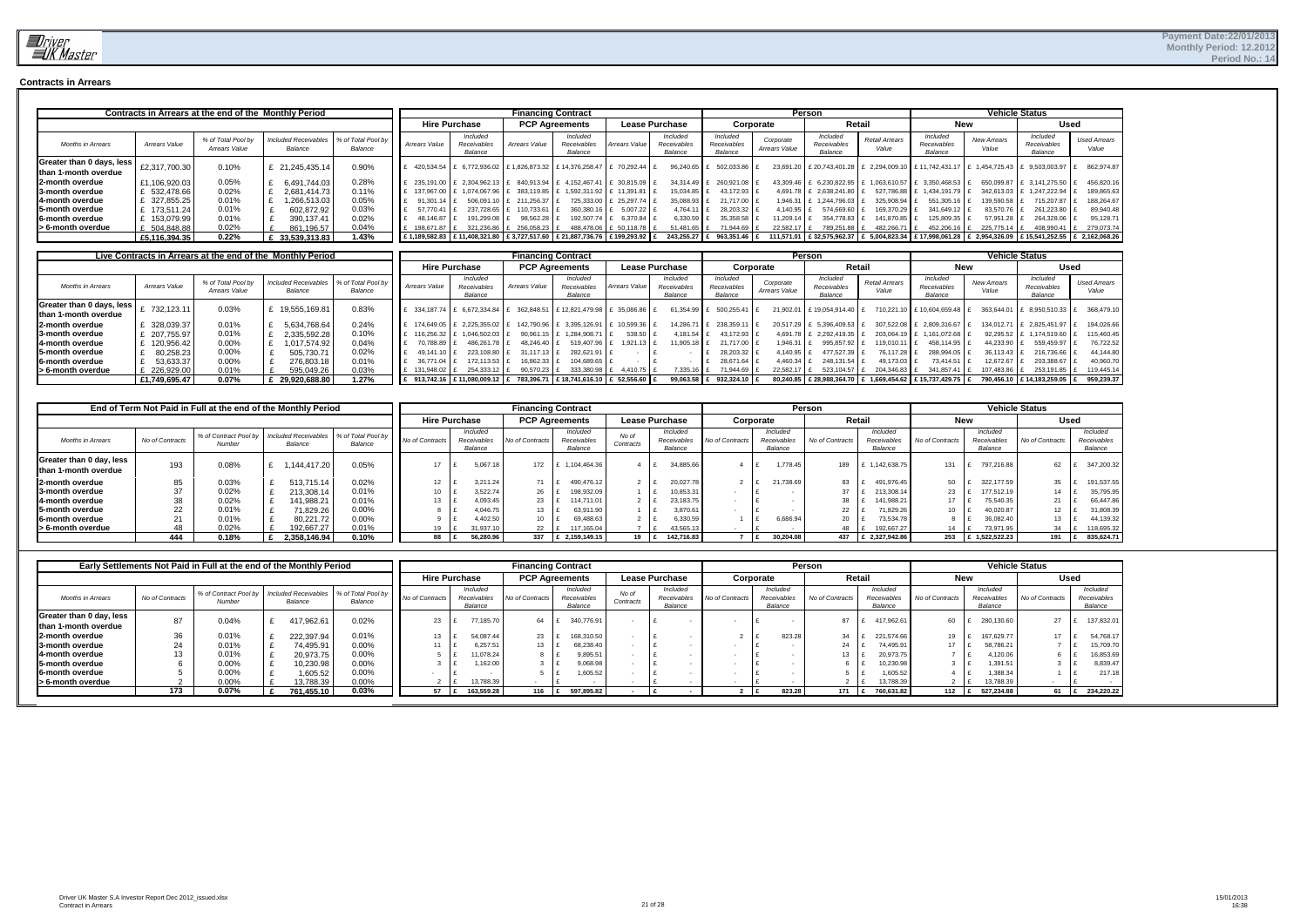

#### **Contracts in Arrears**

|                                                   |               | Contracts in Arrears at the end of the Monthly Period |                                        |                               |               |                                    | <b>Financing Contract</b> |                                                                              |                            |                                    |                                    |                            | Person                                                   |                         |                                                                                                                     |                      | <b>Vehicle Status</b>              |                              |
|---------------------------------------------------|---------------|-------------------------------------------------------|----------------------------------------|-------------------------------|---------------|------------------------------------|---------------------------|------------------------------------------------------------------------------|----------------------------|------------------------------------|------------------------------------|----------------------------|----------------------------------------------------------|-------------------------|---------------------------------------------------------------------------------------------------------------------|----------------------|------------------------------------|------------------------------|
|                                                   |               |                                                       |                                        |                               |               | <b>Hire Purchase</b>               |                           | <b>PCP Agreements</b>                                                        |                            | <b>Lease Purchase</b>              |                                    | Corporate                  |                                                          | Retail                  | <b>New</b>                                                                                                          |                      |                                    | <b>Used</b>                  |
| <b>Months in Arrears</b>                          | Arrears Value | % of Total Pool by<br>Arrears Value                   | <b>Included Receivables</b><br>Balance | % of Total Pool by<br>Balance | Arrears Value | Included<br>Receivables<br>Balance | Arrears Value             | Included<br>Receivables<br>Balance                                           | Arrears Value              | Included<br>Receivables<br>Balance | Included<br>Receivables<br>Balance | Corporate<br>Arrears Value | Included<br>Receivables<br>Balance                       | Retail Arrears<br>Value | Included<br>Receivables<br>Balance                                                                                  | New Arrears<br>Value | Included<br>Receivables<br>Balance | <b>Used Arrears</b><br>Value |
| Greater than 0 days, less<br>than 1-month overdue | £2,317,700.30 | 0.10%                                                 | 21.245.435.14                          | 0.90%                         |               | 420,534.54 £ 6,772,936.02          |                           | £1,826,873.32 £14,376,258.47                                                 | £ 70,292.44                | 96.240.65 £                        | 502,033.86                         |                            | 23,691.20 £ 20,743,401.28 £ 2,294,009.10 £ 11,742,431.17 |                         |                                                                                                                     |                      | 1,454,725.43 £ 9,503,003.97        | 862,974.87                   |
| 2-month overdue                                   | £1,106,920.03 | 0.05%                                                 | 6.491.744.03                           | 0.28%                         |               | 235.191.00 E 2.304.962.13          |                           | 840.913.94 E 4.152.467.41                                                    | $E$ 30,815.09              |                                    | 34.314.49 E 260.921.08             |                            | 43,309.46 £ 6,230,822.95                                 |                         | 1,063,610.57 £ 3,350,468.53                                                                                         |                      | 650,099.87   £ 3,141,275.50   £    | 456.820.16                   |
| 3-month overdue                                   | £ 532.478.66  | 0.02%                                                 | 2.681.414.73                           | 0.11%                         | 137.967.00 £  | 1.074.067.96                       | 383,119.85 f              |                                                                              | 1.592.311.92 E 11.391.81 E | $15.034.85$ £                      | 43.172.93                          |                            | 4.691.78 £ 2.638.241.80 £                                |                         | 527.786.88 £ 1.434.191.79 J                                                                                         |                      | 342.613.03 E 1.247.222.94          | 189.865.63                   |
| 4-month overdue                                   | £ 327,855.25  | 0.01%                                                 | .266.513.03                            | 0.05%                         | $91.301.14$ E | 506.091.10 £                       | 211.256.37                |                                                                              | 725.333.00 £ 25.297.74 £   | 35.088.93 £                        | 21.717.00                          |                            | 1.946.31 £ 1.244.796.03                                  | 325,908.94 £            | 551,305.16 £                                                                                                        | 139.590.58           | 715.207.87                         | 188.264.67                   |
| <b>5-month overdue</b>                            | 173.511.24    | 0.01%                                                 | 602.872.92                             | 0.03%                         | 57,770.41     | 237.728.65                         | 110,733.61 £              | 360,380.16 £                                                                 | $5,007.22$ £               | $4.764.11$ E                       | 28,203.32                          | 4.140.95 $E$               | 574,669.60                                               | 169,370.29 £            | 341.649.12                                                                                                          | 83,570.76            | 261,223.80                         | 89,940.48                    |
| <b>6-month overdue</b>                            | 153.079.99    | 0.01%                                                 | 390.137.41                             | 0.02%                         | 48.146.87     | 191.299.08                         | 98.562.28                 | 192.507.74 £                                                                 | 6.370.84                   | $6.330.59$ £                       | 35,358.58                          | $11.209.14$ E              | 354.778.83                                               | 141.870.85 E            | 25.809.35                                                                                                           | 57.951.28            | 264.328.06                         | 95.128.71                    |
| > 6-month overdue                                 | 504.848.88    | 0.02%                                                 | 861.196.57                             | 0.04%                         | 198.671.87 E  | 321,236.86                         | 256,058.23 £              |                                                                              | 488,478.06 £ 50,118.78     | $51.481.65$ £                      | 71.944.69                          | 22.582.17 £                | 789.251.88 E                                             | 482.266.71              | 452.206.16 E                                                                                                        | 225.775.14 E         | 408,990.41                         | 279.073.74                   |
|                                                   | £5,116,394.35 | 0.22%                                                 | 33,539,313.83                          | 1.43%                         |               |                                    |                           | E 1.189.582.83 E 11.408.321.80 E 3.727.517.60 E 21.887.736.76 E 199.293.92 E |                            |                                    | 243,255.27 £ 963,351.46 £          |                            |                                                          |                         | 111,571.01   £ 32,575,962.37   £ 5,004,823.34   £ 17,998,061.28   £ 2,954,326.09   £ 15,541,252.55   £ 2,162,068.26 |                      |                                    |                              |

|                                                   |               |                                     | Live Contracts in Arrears at the end of the Monthly Period |                               |                |                                   |               | <b>Financing Contract</b>                  |                      |                                    |                                    |                            | Person                             |                                |                                                                |                      | <b>Vehicle Status</b>              |                              |
|---------------------------------------------------|---------------|-------------------------------------|------------------------------------------------------------|-------------------------------|----------------|-----------------------------------|---------------|--------------------------------------------|----------------------|------------------------------------|------------------------------------|----------------------------|------------------------------------|--------------------------------|----------------------------------------------------------------|----------------------|------------------------------------|------------------------------|
|                                                   |               |                                     |                                                            |                               |                | <b>Hire Purchase</b>              |               | <b>PCP Agreements</b>                      |                      | <b>Lease Purchase</b>              |                                    | Corporate                  |                                    | Retail                         | <b>New</b>                                                     |                      |                                    | <b>Used</b>                  |
| <b>Months in Arrears</b>                          | Arrears Value | % of Total Pool by<br>Arrears Value | <b>Included Receivables</b><br>Balance                     | % of Total Pool by<br>Balance | Arrears Value  | Included<br>Receivable<br>Balance | Arrears Value | Included<br>Receivables<br>Balance         | <b>Arrears Value</b> | Included<br>Receivables<br>Balance | Included<br>Receivables<br>Balance | Corporate<br>Arrears Value | Included<br>Receivables<br>Balance | <b>Retail Arrears</b><br>Value | Included<br>Receivables<br>Balance                             | New Arrears<br>Value | Included<br>Receivables<br>Balance | <b>Used Arrears</b><br>Value |
| Greater than 0 days, less<br>than 1-month overdue | 732.123.11    | 0.03%                               | £ 19,555,169.81                                            | 0.83%                         |                | 334.187.74 £ 6.672.334.84         |               | 362,848.51 £ 12,821,479.98                 | 35,086.86            | 61.354.9                           | 500.255.41                         | 21.902.01                  | £19.054.914.40                     |                                | 710.221.10 £ 10.604.659.48                                     |                      | 363,644.01   £ 8,950,510.33        | 368,479.10                   |
| 2-month overdue                                   | 328,039.37    | 0.01%                               | 5,634,768.64                                               | 0.24%                         | 174.649.05     | 2.225.355.02                      | 142.790.96 £  | 3.395.126.91                               | 10,599.36            | 14.286.                            | 238,359.11                         | 20.517.29                  | 5,396,409.53                       | 307.522.08                     | 2,809,316.67                                                   | 134.012.71           | £ 2.825.451.97                     | 194,026.66                   |
| <b>3-month overdue</b>                            | 207.755.97    | 0.01%                               | 2.335.592.28                                               | 0.10%                         | 116,256.32   . | 1.046.502.03                      | 90.961.15     | 1.284.908.7                                | 538.50               | 4,181.54                           | 43.172.93                          | 4.691.78                   | 2.292.419.35                       | 203.064.                       | 1.161.072.68                                                   | 92.295.52            | 1.174.519.60                       | 115,460.45                   |
| <b>14-month overdue</b>                           | 120.956.42    | 0.00%                               | 1.017.574.92                                               | 0.04%                         | 70.788.89      | 486.261.78                        | 48.246.40     | 519.407.96                                 | $1,921.13$ I.        | 11,905.18                          | 21.717.00 \$                       | 1.946.31                   | 995.857.92                         | 119,010.1                      | 458.114.95                                                     | 44.233.90            | 559,459.97                         | 76,722.52                    |
| <b>15-month overdue</b>                           | 80.258.23     | 0.00%                               | 505.730.71                                                 | 0.02%                         | 49.141.10      | 223.108.80                        | 31.117.13     | 282.621.91                                 |                      |                                    | 28.203.32                          | 4.140.95                   | 477.527.39                         | 76.117.28                      | 288.994.05                                                     | 36.113.43            | 216.736.66                         | 44.144.80                    |
| <b>16-month overdue</b>                           | 53.633.37     | 0.00%                               | 276.803.18                                                 | 0.01%                         | 36.771.04      | 172.113.53                        | 16,862.33     | 104.689.65                                 |                      |                                    | 28.671.64                          | 4,460.34                   | 248.131.54                         | 49.173.03                      | 73.414.51                                                      | 12.672.67            | 203,388.67                         | 40,960.70                    |
| > 6-month overdue                                 | 226.929.00    | 0.01%                               | 595.049.26                                                 | 0.03%                         | 131.948.02     | 254.333.12                        | 90.570.23     | 333.380.98                                 | 4.410.75             | 7.335.1                            | 71.944.69                          | 22.582.17                  | 523.104.57                         | 204.346.83                     | 341.857.4                                                      | 107.483.86           | 253,191.85                         | 119.445.14                   |
|                                                   | £1.749.695.47 | 0.07%                               | £ 29,920,688.80                                            | 1.27%                         |                | E 913,742.16 £ 11,080,009.12      |               | E 783,396.71 E 18,741,616.10 E 52,556.60 B |                      | 99,063.58 £                        | 932.324.10 E                       |                            |                                    |                                | 80,240.85   £ 28,988,364.70   £ 1,669,454.62   £ 15,737,429.75 |                      | 790,456.10 £ 14,183,259.05         | 959.239.37                   |

|                                                  |                 | End of Term Not Paid in Full at the end of the Monthly Period |                                        |                               |                 |                                    |                      | <b>Financing Contract</b>          |                    |                                    |                 |                                    | <b>Person</b>   |                                    |                 |                                    | <b>Vehicle Status</b> |                                    |
|--------------------------------------------------|-----------------|---------------------------------------------------------------|----------------------------------------|-------------------------------|-----------------|------------------------------------|----------------------|------------------------------------|--------------------|------------------------------------|-----------------|------------------------------------|-----------------|------------------------------------|-----------------|------------------------------------|-----------------------|------------------------------------|
|                                                  |                 |                                                               |                                        |                               |                 | <b>Hire Purchase</b>               |                      | <b>PCP Agreements</b>              |                    | <b>Lease Purchase</b>              |                 | Corporate                          |                 | Retail                             | <b>New</b>      |                                    |                       | <b>Used</b>                        |
| <b>Months in Arrears</b>                         | No of Contracts | % of Contract Pool by<br>Number                               | <b>Included Receivables</b><br>Balance | % of Total Pool by<br>Balance | No of Contracts | Included<br>Receivable:<br>Balance | No of Contract       | Included<br>Receivables<br>Balance | No of<br>Contracts | Included<br>Receivables<br>Balance | No of Contracts | Included<br>Receivables<br>Balance | No of Contracts | Included<br>Receivables<br>Balance | No of Contracts | Included<br>Receivables<br>Balance | No of Contracts       | Included<br>Receivables<br>Balance |
| Greater than 0 day, less<br>than 1-month overdue | 193             | 0.08%                                                         | .144.417.20                            | 0.05%                         |                 | 5,067.18                           | 172                  | 1,104,464.36                       |                    | 34,885.66                          |                 | 1,778.45                           | 189             | 1,142,638.75                       | 131             | 797,216.88                         | 62                    | 347,200.32                         |
| 2-month overdue<br><b>3-month overdue</b>        | 85<br>27        | 0.03%<br>0.02%                                                | 513.715.14<br>213,308.14               | 0.02%<br>0.01%                |                 | 3.211.2<br>3.522.7                 | 74<br>26             | 490.476.12<br>198,932.09           |                    | 20.027.78<br>10,853.31             |                 | 21.738.69                          | 83<br>37        | 491.976.45<br>213,308.14           | 50<br>23        | 322.177.59<br>177.512.19           | 35<br>14              | 191,537.55<br>35,795.95            |
| 4-month overdue                                  | 38              | 0.02%                                                         | 141.988.21                             | 0.01%                         |                 | 4,093.45                           | 23                   | 114.711.01                         |                    | 23.183.75                          |                 |                                    | 38              | 141.988.21                         | 17              | 75,540.35                          | 21                    | 66,447.86                          |
| <b>15-month overdue</b><br>6-month overdue       | 22              | 0.01%<br>0.01%                                                | 71,829.26<br>80.221.72                 | 0.00%<br>0.00%                |                 | 4.046.75<br>4,402.50               | 13                   | 63,911.90<br>69,488.63             |                    | 3.870.61<br>6,330.59               |                 | 6,686.94                           | 22<br>20        | 71.829.26<br>73,534.78             | 10              | 40,020.87<br>36,082.40             | 12<br>13              | 31,808.39<br>44,139.32             |
| S-month overdue                                  |                 | 0.02%                                                         | 192.667.27                             | 0.01%                         |                 | 1.937.1                            | $22 \quad \text{if}$ | 117,165.04                         |                    | 43,565.13                          |                 |                                    | 48              | 192.667.27                         |                 | 73.971.95                          | 34                    | 118,695.32                         |
|                                                  | 444             | 0.18%                                                         | 2,358,146.94                           | 0.10%                         | 88              | 56,280.96                          | 337                  | 2.159.149.15                       | 19                 | 142,716.83                         |                 | 30.204.08                          | 437             | £ 2.327.942.86                     | 253             | 1,522,522.23                       | 191                   | 835,624.71                         |

|                                                  |                 | Early Settlements Not Paid in Full at the end of the Monthly Period |                                        |                               |                      |                                    | <b>Financing Contract</b> |                                    |                    |                                    |                 |                                    | Person          |        |                                   |                 |                                    | <b>Vehicle Status</b> |             |                                    |
|--------------------------------------------------|-----------------|---------------------------------------------------------------------|----------------------------------------|-------------------------------|----------------------|------------------------------------|---------------------------|------------------------------------|--------------------|------------------------------------|-----------------|------------------------------------|-----------------|--------|-----------------------------------|-----------------|------------------------------------|-----------------------|-------------|------------------------------------|
|                                                  |                 |                                                                     |                                        |                               | <b>Hire Purchase</b> |                                    | <b>PCP Agreements</b>     |                                    |                    | <b>Lease Purchase</b>              |                 | Corporate                          |                 | Retail |                                   | <b>New</b>      |                                    |                       | <b>Used</b> |                                    |
| <b>Months in Arrears</b>                         | No of Contracts | % of Contract Pool by<br>Number                                     | <b>Included Receivables</b><br>Balance | % of Total Pool by<br>Balance | No of Contract:      | Included<br>Receivables<br>Balance | Vo of Contracts           | Included<br>Receivables<br>Balance | No of<br>Contracts | Included<br>Receivables<br>Balance | No of Contracts | Included<br>Receivables<br>Balance | No of Contracts |        | Included<br>Receivable<br>Balance | No of Contracts | Included<br>Receivables<br>Balance | No of Contract        |             | Included<br>Receivables<br>Balance |
| Greater than 0 day, less<br>than 1-month overdue | 87              | 0.04%                                                               | 417,962.61                             | 0.02%                         | 23                   | 77,185.70                          | 64                        | 340,776.91                         |                    |                                    |                 |                                    | 87              |        | 417,962.61                        | 60              | 280,130.60                         | 27                    |             | 137,832.0                          |
| 2-month overdue                                  | 36              | 0.01%                                                               | 222,397.94                             | 0.01%                         | 13                   | 54,087.44                          | 23                        | 168,310.50                         |                    |                                    |                 | 823.28                             | 34              |        | 221,574.66                        |                 | 167,629.77                         | 17                    |             | 54,768.1                           |
| 3-month overdue                                  |                 | 0.01%                                                               | 74,495.91                              | 0.00%                         |                      | 6,257.5                            | 13                        | 68,238.40                          |                    |                                    |                 |                                    | 24              |        | 74,495.91                         |                 | 58,786.21                          |                       |             | 15,709.7                           |
| 4-month overdue                                  |                 | 0.01%                                                               | 20,973.75                              | 0.00%                         |                      | 11,078.24                          |                           | 9,895.51                           |                    |                                    |                 |                                    | 13              |        | 20,973.75                         |                 | 4,120.06                           |                       |             | 16,853.6                           |
| <b>5-month overdue</b>                           |                 | 0.00%                                                               | 10,230.98                              | 0.00%                         |                      | .162.00                            |                           | 9,068.9                            |                    |                                    |                 |                                    |                 |        | 10,230.98                         |                 | .391.51                            |                       |             | 8,839.4                            |
| 6-month overdue                                  |                 | 0.00%                                                               | .605.52                                | 0.00%                         |                      |                                    |                           | 1.605.52                           |                    |                                    |                 |                                    |                 |        | 1,605.52                          |                 | ,388.34                            |                       |             | 217.18                             |
| s 6-month overdue                                |                 | 0.00%                                                               | 13,788.39                              | 0.00%                         |                      | 13.788.39                          |                           |                                    |                    |                                    |                 |                                    |                 |        | 13.788.39                         |                 | 3.788.39                           |                       |             |                                    |
|                                                  | 173             | 0.07%                                                               | 761.455.10                             | 0.03%                         |                      | 163,559.28                         | 116                       | 597,895.82                         |                    |                                    |                 | 823.28                             | 171             |        | 760,631.82                        | 112             | 527,234.88                         |                       | $\pm$       | 234,220.22                         |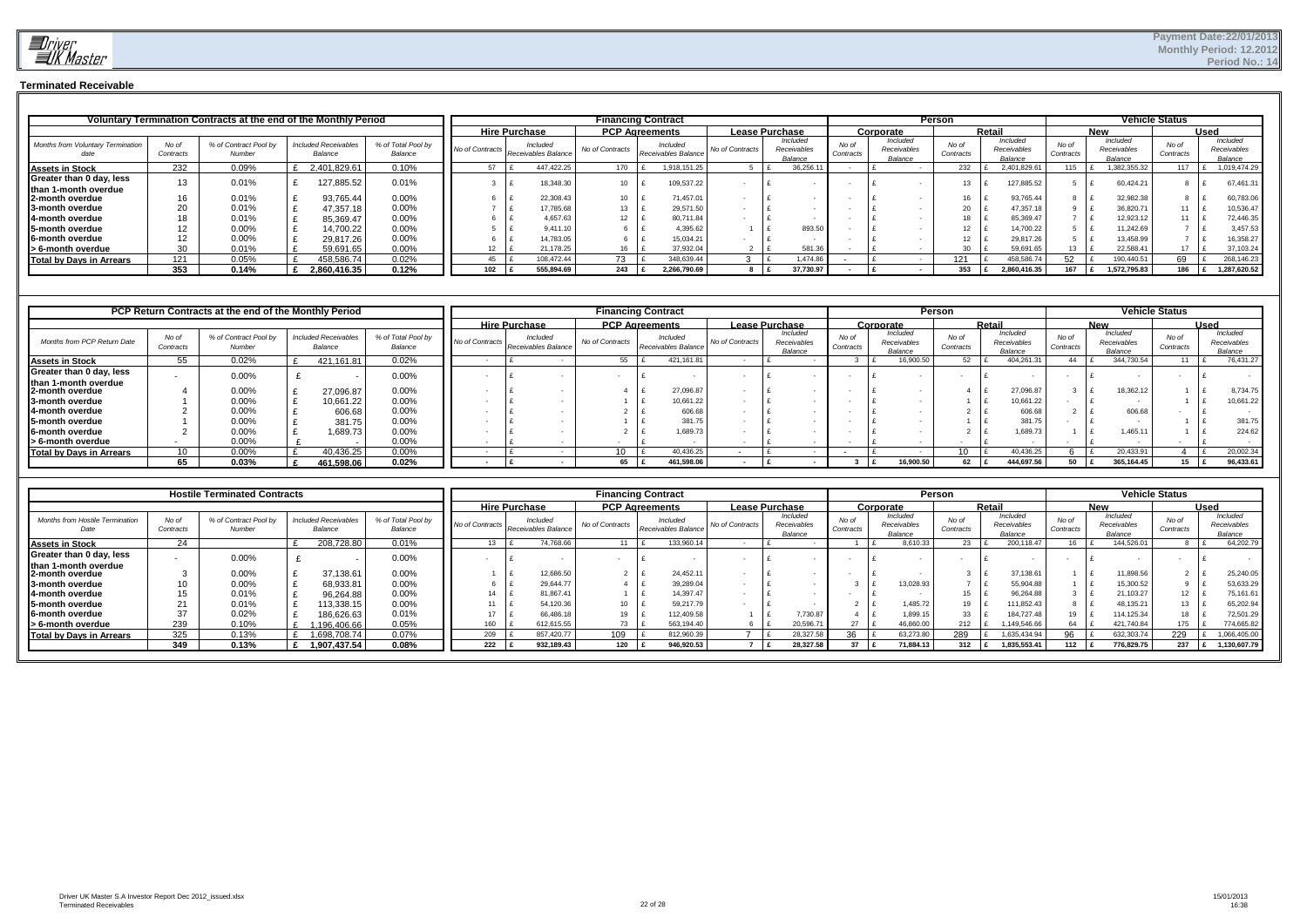

### **Terminated Receivable**

|                                                  |                    | Voluntary Termination Contracts at the end of the Monthly Period |                                        |                               |     |                                                 | <b>Financing Contract</b> |                                 |                 |                                    |           |                    |                                    | Person |                    |               |                                    |                    |                                    | <b>Vehicle Status</b> |      |                                    |
|--------------------------------------------------|--------------------|------------------------------------------------------------------|----------------------------------------|-------------------------------|-----|-------------------------------------------------|---------------------------|---------------------------------|-----------------|------------------------------------|-----------|--------------------|------------------------------------|--------|--------------------|---------------|------------------------------------|--------------------|------------------------------------|-----------------------|------|------------------------------------|
|                                                  |                    |                                                                  |                                        |                               |     | <b>Hire Purchase</b>                            | <b>PCP Agreements</b>     |                                 |                 | Lease Purchase                     |           |                    | Corporate                          |        |                    | <b>Retail</b> |                                    |                    | <b>New</b>                         |                       | Used |                                    |
| <b>Months from Voluntary Termination</b>         | No of<br>Contracts | % of Contract Pool by<br>Number                                  | <b>Included Receivables</b><br>Balance | % of Total Pool by<br>Balance |     | Included<br>No of Contracts Receivables Balance | No of Contracts           | Included<br>Receivables Balance | No of Contracts | Included<br>Receivables<br>Balance |           | No of<br>Contracts | Included<br>Receivables<br>Balance |        | No of<br>Contracts |               | Included<br>Receivables<br>Balance | No of<br>Contracts | Included<br>Receivables<br>Balance | No of<br>Contracts    |      | Included<br>Receivables<br>Balance |
| <b>Assets in Stock</b>                           | 232                | 0.09%                                                            | 2,401,829.61                           | 0.10%                         |     | 447.422.25                                      | 170                       | .918,151.25                     |                 |                                    | 36,256.   |                    |                                    |        | 232                |               | 2,401,829.6                        | 15                 | ,382,355.32                        | 117                   |      | 1,019,474.29                       |
| Greater than 0 day, less<br>than 1-month overdue |                    | 0.01%                                                            | 127,885.52                             | 0.01%                         |     | 18,348.30                                       | 10                        | 109,537.22                      |                 |                                    |           |                    |                                    |        |                    |               | 127,885.52                         |                    | 60,424.21                          |                       |      | 67,461.31                          |
| <b>12-month overdue</b>                          |                    | 0.01%                                                            | 93,765.44                              | 0.00%                         |     | 22,308.43                                       | 10                        | 71,457.01                       |                 |                                    |           |                    |                                    |        |                    |               | 93,765.44                          |                    | 32,982.38                          |                       |      | 60,783.06                          |
| <b>13-month overdue</b>                          | 20                 | 0.01%                                                            | 47,357.18                              | 0.00%                         |     | 17,785.68                                       | 13                        | 29,571.50                       |                 |                                    |           |                    |                                    |        | 20                 |               | 47,357.18                          |                    | 36,820.71                          | 11                    |      | 10,536.47                          |
| <b>14-month overdue</b>                          |                    | 0.01%                                                            | 85,369.47                              | 0.00%                         |     | 4.657.63                                        |                           | 80,711.84                       |                 |                                    |           |                    |                                    |        |                    |               | 85,369.47                          |                    | 12.923.12                          |                       |      | 72,446.35                          |
| <b>15-month overdue</b>                          |                    | 0.00%                                                            | 14,700.22                              | 0.00%                         |     | 9,411.10                                        |                           | 4,395.62                        |                 |                                    | 893.5     |                    |                                    |        |                    |               | 14,700.22                          |                    | 11.242.69                          |                       |      | 3,457.53                           |
| <b>6-month overdue</b>                           |                    | $0.00\%$                                                         | 29,817.26                              | 0.00%                         |     | 14,783.05                                       |                           | 15,034.21                       |                 |                                    |           |                    |                                    |        |                    |               | 29,817.26                          |                    | 13,458.99                          |                       |      | 16,358.27                          |
| S-month overdue                                  | 30                 | 0.01%                                                            | 59,691.65                              | 0.00%                         |     | 21,178.25                                       |                           | 37,932.04                       |                 |                                    | 581.36    |                    |                                    |        | $\mathbf{a}$       |               | 59,691.65                          |                    | 22.588.41                          | 17                    |      | 37,103.24                          |
| Total by Days in Arrears                         | 121                | 0.05%                                                            | 458,586.74                             | 0.02%                         |     | 108.472.44                                      | 73                        | 348,639.44                      |                 |                                    | .474.8    |                    |                                    |        | 121                |               | 458.586.74                         |                    | 190,440.51                         | 69                    |      | 268,146.23                         |
|                                                  | 353                | 0.14%                                                            | 2,860,416.35                           | 0.12%                         | 102 | 555,894.69                                      | 243                       | 2.266.790.69                    |                 |                                    | 37.730.97 |                    |                                    |        | 353                |               | 2.860.416.35                       | 167                | 1.572.795.83                       | 186                   |      | 1,287,620.52                       |

|                                         |                    | PCP Return Contracts at the end of the Monthly Period |                                        |                               |  |                      |                                                 |                 | <b>Financing Contract</b>       |                 |                                    |                    |           |                                    | <b>Person</b>      |        |                                    |                    |                                    | <b>Vehicle Status</b> |             |                                    |
|-----------------------------------------|--------------------|-------------------------------------------------------|----------------------------------------|-------------------------------|--|----------------------|-------------------------------------------------|-----------------|---------------------------------|-----------------|------------------------------------|--------------------|-----------|------------------------------------|--------------------|--------|------------------------------------|--------------------|------------------------------------|-----------------------|-------------|------------------------------------|
|                                         |                    |                                                       |                                        |                               |  | <b>Hire Purchase</b> |                                                 |                 | <b>PCP Agreements</b>           | Lease Purchase  |                                    |                    | Corporate |                                    |                    | Retail |                                    |                    | <b>New</b>                         |                       | <b>Used</b> |                                    |
| Months from PCP Return Date             | No of<br>Contracts | % of Contract Pool by<br>Number                       | <b>Included Receivables</b><br>Balance | % of Total Pool by<br>Balance |  |                      | Included<br>No of Contracts Receivables Balance | No of Contracts | Included<br>Receivables Balance | No of Contracts | Included<br>Receivables<br>Balance | No of<br>Contracts |           | Included<br>Receivables<br>Balance | No of<br>Contracts |        | Included<br>Receivables<br>Balance | No of<br>Contracts | Included<br>Receivables<br>Balance | No of<br>Contracts    |             | Included<br>Receivables<br>Balance |
| <b>Assets in Stock</b>                  | 55                 | 0.02%                                                 | 421,161.81                             | 0.02%                         |  |                      |                                                 | 55              | 421, 161.81                     |                 |                                    |                    |           | 16,900.50                          |                    |        | 404,261.3                          | 44                 | 344,730.54                         | $11 \quad$            |             | 76,431.27                          |
| Greater than 0 day, less                |                    | 0.00%                                                 |                                        | 0.00%                         |  |                      |                                                 |                 |                                 |                 |                                    |                    |           |                                    |                    |        |                                    |                    |                                    |                       |             |                                    |
| than 1-month overdue<br>2-month overdue |                    | 0.00%                                                 | 27,096.87                              | 0.00%                         |  |                      |                                                 |                 | 27,096.87                       |                 |                                    |                    |           |                                    |                    |        | 27,096.87                          |                    | 18,362.12                          |                       |             | 8,734.75                           |
| 3-month overdue                         |                    | 0.00%                                                 | 10,661.22                              | 0.00%                         |  |                      |                                                 |                 | 10,661.22                       |                 |                                    |                    |           |                                    |                    |        | 10,661.22                          |                    |                                    |                       |             | 10,661.22                          |
| 4-month overdue                         |                    | $0.00\%$                                              | 606.68                                 | 0.00%                         |  |                      |                                                 |                 | 606.68                          |                 |                                    |                    |           |                                    |                    |        | 606.68                             |                    | 606.68                             |                       |             |                                    |
| 5-month overdue                         |                    | 0.00%                                                 | 381.75                                 | 0.00%                         |  |                      |                                                 |                 | 381.75                          |                 |                                    |                    |           |                                    |                    |        | 381.75                             |                    |                                    |                       |             | 381.75                             |
| <b>6-month overdue</b>                  |                    | $0.00\%$                                              | .689.73                                | 0.00%                         |  |                      |                                                 |                 | 1,689.73                        |                 |                                    |                    |           |                                    |                    |        | 1,689.73                           |                    | 1.465.11                           |                       |             | 224.62                             |
| S-month overdue                         |                    | $0.00\%$                                              |                                        | $0.00\%$                      |  |                      |                                                 |                 |                                 |                 |                                    |                    |           |                                    |                    |        |                                    |                    |                                    |                       |             |                                    |
| <b>Total by Days in Arrears</b>         | 10                 | 0.00%                                                 | 40,436.25                              | 0.00%                         |  |                      |                                                 | 10              | 40,436.25                       |                 |                                    |                    |           |                                    |                    |        | 40,436.25                          |                    | 20,433.91                          |                       |             | 20,002.34                          |
|                                         | 65                 | 0.03%                                                 | 461,598.06                             | 0.02%                         |  |                      |                                                 |                 | 461,598.06                      |                 |                                    |                    |           | 16,900.50                          |                    |        | 444,697.56                         |                    | 365,164.45                         | $15$ l                |             | 96,433.61                          |

|                                                  |                    | <b>Hostile Terminated Contracts</b> |                                        |                               |                      |                                 | <b>Financing Contract</b> |                                 |                       |                                    |                    |                                    | Person             |                                    |                    |                                    | <b>Vehicle Status</b> |             |                                    |
|--------------------------------------------------|--------------------|-------------------------------------|----------------------------------------|-------------------------------|----------------------|---------------------------------|---------------------------|---------------------------------|-----------------------|------------------------------------|--------------------|------------------------------------|--------------------|------------------------------------|--------------------|------------------------------------|-----------------------|-------------|------------------------------------|
|                                                  |                    |                                     |                                        |                               | <b>Hire Purchase</b> |                                 | <b>PCP Agreements</b>     |                                 | <b>Lease Purchase</b> |                                    |                    | Corporate                          |                    | Retail                             |                    | <b>New</b>                         |                       | <b>Used</b> |                                    |
| <b>Months from Hostile Termination</b><br>Date   | No of<br>Contracts | % of Contract Pool by<br>Number     | <b>Included Receivables</b><br>Balance | % of Total Pool by<br>Balance | No of Contracts      | Included<br>Receivables Balance | No of Contracts           | Included<br>Receivables Balance | No of Contracts       | Included<br>Receivables<br>Balance | No of<br>Contracts | Included<br>Receivables<br>Balance | No of<br>Contracts | Included<br>Receivables<br>Balance | No of<br>Contracts | Included<br>Receivables<br>Balance | No of<br>Contracts    |             | Included<br>Receivables<br>Balance |
| <b>Assets in Stock</b>                           | 24                 |                                     | 208,728.80                             | 0.01%                         |                      | 74.768.66                       | 11                        | 133.960.14                      |                       |                                    |                    | 8.610.33                           | 23                 | 200.118.47                         |                    | 144.526.01                         |                       |             | 64.202.79                          |
| Greater than 0 day, less<br>than 1-month overdue |                    | 0.00%                               |                                        | 0.00%                         |                      |                                 |                           |                                 |                       |                                    |                    |                                    |                    |                                    |                    |                                    |                       |             |                                    |
| 2-month overdue                                  |                    | 0.00%                               | 37,138.61                              | 0.00%                         |                      | 12,686.50                       |                           | 24.452.11                       |                       |                                    |                    |                                    |                    | 37,138.61                          |                    | 11,898.56                          |                       |             | 25,240.05                          |
| 3-month overdue                                  |                    | 0.00%                               | 68,933.81                              | 0.00%                         |                      | 29,644.77                       |                           | 39,289.04                       |                       |                                    |                    | 13,028.93                          |                    | 55,904.88                          |                    | 15,300.52                          |                       |             | 53,633.29                          |
| <b>4-month overdue</b>                           |                    | 0.01%                               | 96,264.88                              | 0.00%                         | 14                   | 81,867.41                       |                           | 14,397.47                       |                       |                                    |                    |                                    | 15                 | 96,264.88                          |                    | 21,103.27                          |                       |             | 75,161.61                          |
| 5-month overdue                                  |                    | 0.01%                               | 13,338.15                              | 0.00%                         |                      | 54.120.36                       | 10                        | 59.217.79                       |                       |                                    |                    | 1.485.72                           | 19                 | 111.852.43                         |                    | 48,135.21                          |                       |             | 65,202.94                          |
| <b>6-month overdue</b>                           |                    | 0.02%                               | 86,626.63                              | 0.01%                         | 17                   | 66,486.18                       | 19                        | 12,409.58                       |                       | 7.730.87                           |                    | 1,899.15                           | 33                 | 184.727.48                         |                    | 114,125.34                         | $\overline{ }$        |             | 72,501.29                          |
| S-month overdue                                  | 239                | 0.10%                               | 196,406.66                             | 0.05%                         |                      | 612,615.55                      | 73                        | 563,194.40                      |                       | 20,596.71                          |                    | 46,860.00                          | 212                | ,149,546.66                        |                    | 421,740.84                         | 175                   |             | 774,665.82                         |
| Total by Days in Arrears                         | 325                | 0.13%                               | 698,708.74                             | 0.07%                         | 209                  | 857.420.77                      | 109                       | 812,960.39                      |                       | 28,327.58                          | nn.                | 63,273.80                          | 289                | .635,434.94                        | 96                 | 632,303.74                         | 229                   |             | ,066,405.00                        |
|                                                  | 349                | 0.13%                               | 1.907.437.54                           | 0.08%                         | 222                  | 932,189.43                      | 120 $E$                   | 946,920.53                      |                       | 28.327.58                          |                    | 71.884.13                          | 312                | ,835,553.41                        |                    | 776,829.75                         | 237                   |             | 1,130,607.79                       |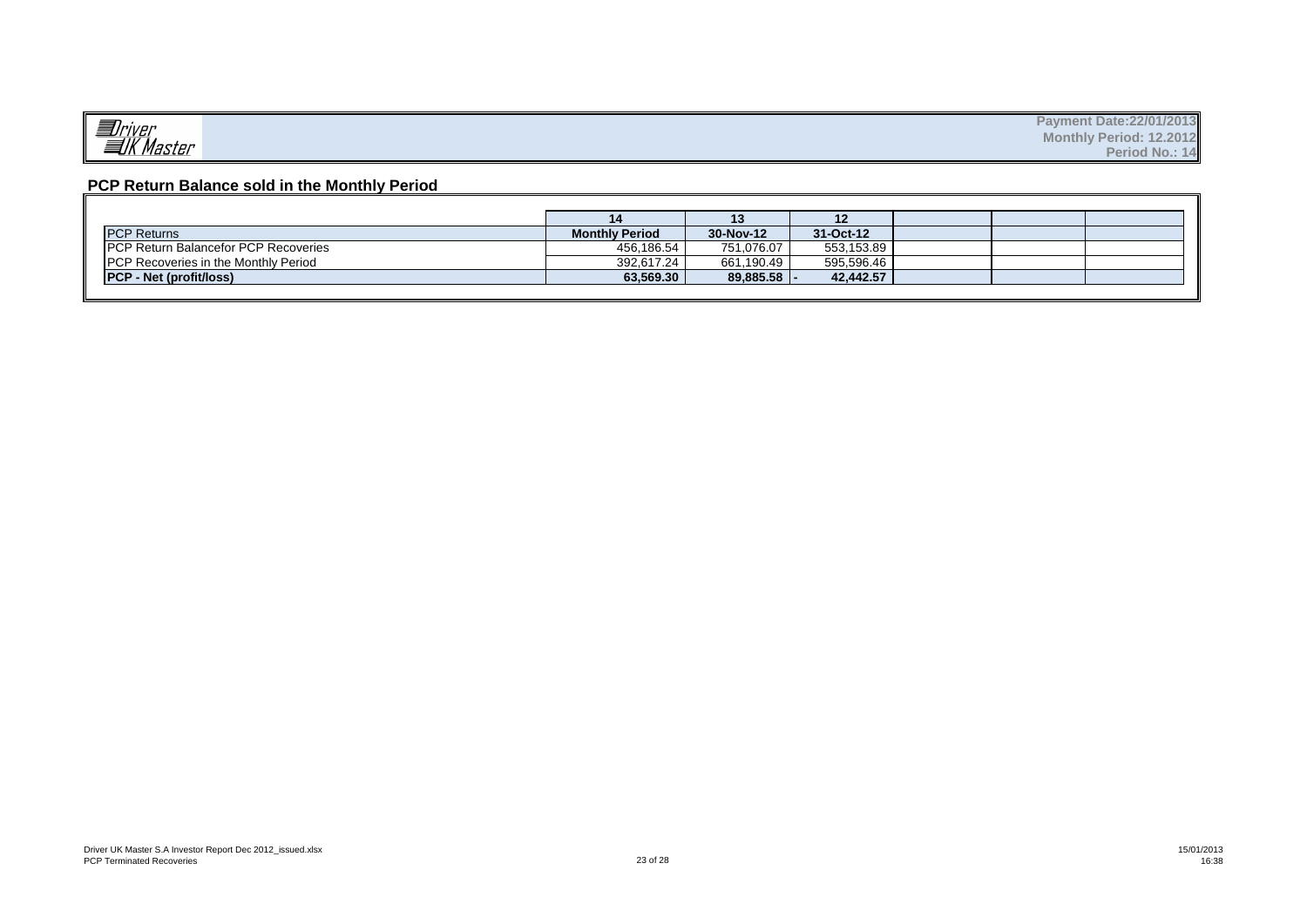## **PCP Return Balance sold in the Monthly Period**

|                                              |                       | 13            | 12         |  |  |
|----------------------------------------------|-----------------------|---------------|------------|--|--|
| <b>PCP Returns</b>                           | <b>Monthly Period</b> | 30-Nov-12     | 31-Oct-12  |  |  |
| <b>IPCP Return Balancefor PCP Recoveries</b> | 456,186.54            | 751,076.07    | 553,153.89 |  |  |
| <b>PCP Recoveries in the Monthly Period</b>  | 392.617.24            | 661.190.49    | 595.596.46 |  |  |
| <b>PCP - Net (profit/loss)</b>               | 63,569.30             | $89,885.58$ - | 42.442.57  |  |  |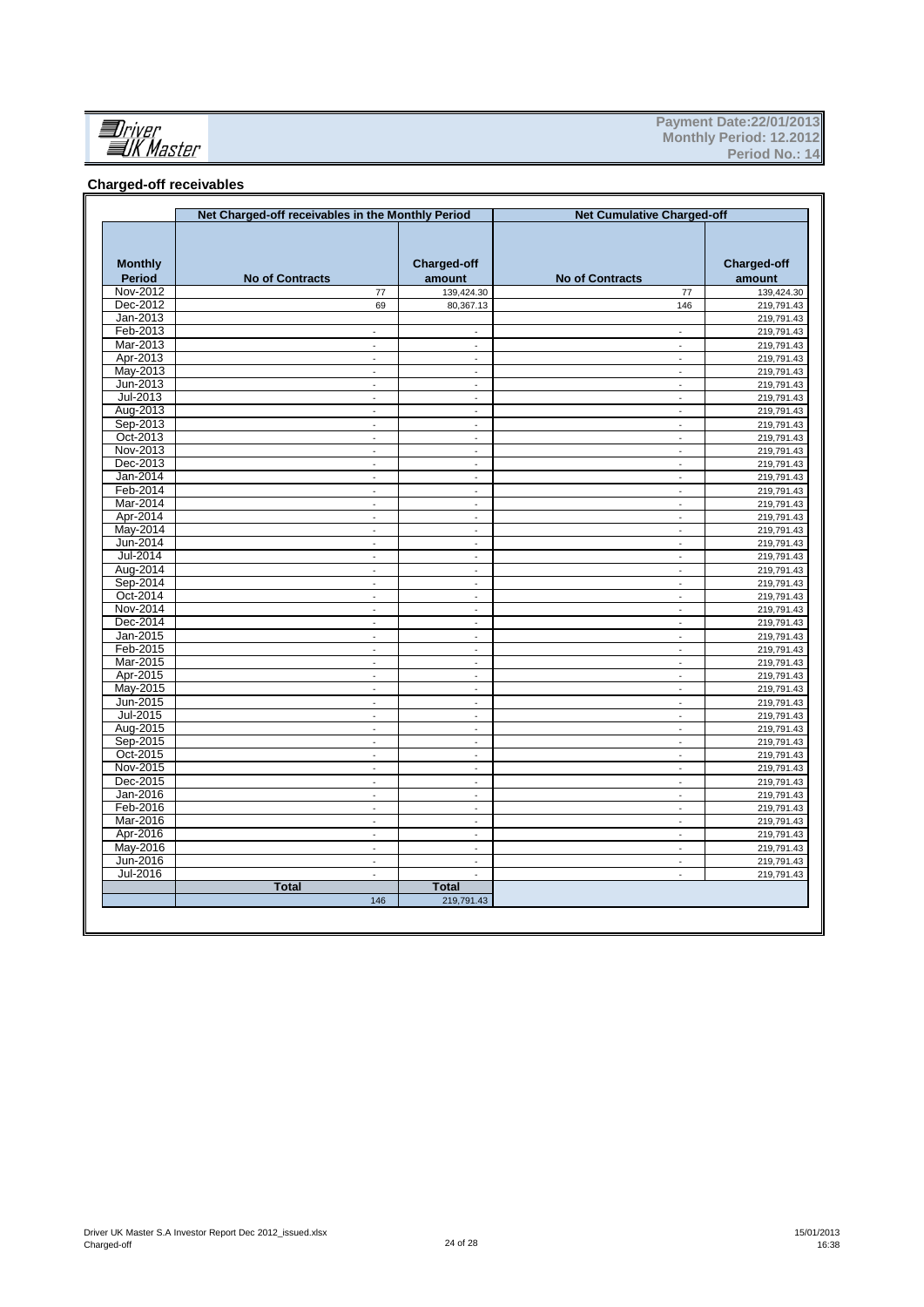

#### **Charged-off receivables**

|                                 | Net Charged-off receivables in the Monthly Period |                             |                              | <b>Net Cumulative Charged-off</b> |                              |
|---------------------------------|---------------------------------------------------|-----------------------------|------------------------------|-----------------------------------|------------------------------|
| <b>Monthly</b><br><b>Period</b> | <b>No of Contracts</b>                            |                             | <b>Charged-off</b><br>amount | <b>No of Contracts</b>            | <b>Charged-off</b><br>amount |
| Nov-2012                        |                                                   | 77                          | 139,424.30                   | 77                                | 139,424.30                   |
| Dec-2012                        |                                                   | 69                          | 80,367.13                    | 146                               | 219,791.43                   |
| Jan-2013                        |                                                   |                             |                              |                                   | 219,791.43                   |
| Feb-2013                        |                                                   | $\blacksquare$              | $\blacksquare$               | $\overline{\phantom{a}}$          | 219,791.43                   |
| Mar-2013                        |                                                   | $\mathcal{L}$               | $\mathcal{L}$                | $\sim$                            | 219,791.43                   |
| Apr-2013                        |                                                   | ä,                          | $\blacksquare$               | $\blacksquare$                    | 219,791.43                   |
| May-2013                        |                                                   | $\blacksquare$              | ÷.                           | $\blacksquare$                    | 219,791.43                   |
| Jun-2013                        |                                                   | ÷,                          | ä,                           | $\overline{\phantom{a}}$          | 219,791.43                   |
| Jul-2013                        |                                                   | $\Box$                      | $\Box$                       | ä,                                | 219,791.43                   |
| Aug-2013                        |                                                   | $\omega$                    | $\blacksquare$               | $\blacksquare$                    | 219,791.43                   |
| Sep-2013                        |                                                   | $\blacksquare$              | $\blacksquare$               | $\blacksquare$                    | 219,791.43                   |
| Oct-2013                        |                                                   | ÷,                          | ÷.                           | ä,                                | 219,791.43                   |
| Nov-2013                        |                                                   | $\blacksquare$              | $\blacksquare$               | $\blacksquare$                    | 219,791.43                   |
| Dec-2013                        |                                                   | $\sim$                      | ÷                            | $\blacksquare$                    | 219,791.43                   |
| Jan-2014                        |                                                   | $\overline{\phantom{a}}$    | $\Box$                       | ÷,                                | 219,791.43                   |
| Feb-2014                        |                                                   | $\omega$                    | $\mathcal{L}$                | $\sim$                            | 219,791.43                   |
| Mar-2014                        |                                                   | ä,                          | $\omega$                     | $\blacksquare$                    | 219,791.43                   |
| Apr-2014                        |                                                   | ÷.                          | $\blacksquare$               | $\blacksquare$                    | 219,791.43                   |
| May-2014                        |                                                   | L.                          | $\sim$                       | ÷.                                |                              |
| Jun-2014                        |                                                   |                             |                              |                                   | 219,791.43                   |
| Jul-2014                        |                                                   | $\mathcal{L}_{\mathcal{A}}$ | $\mathcal{L}_{\mathcal{A}}$  | $\Box$                            | 219,791.43                   |
|                                 |                                                   | $\omega$                    | $\omega$                     | $\blacksquare$                    | 219,791.43                   |
| Aug-2014                        |                                                   | $\blacksquare$              | $\overline{\phantom{a}}$     | $\overline{\phantom{a}}$          | 219,791.43                   |
| Sep-2014                        |                                                   | $\mathcal{L}$               | $\omega$                     | $\mathcal{L}_{\mathcal{A}}$       | 219,791.43                   |
| Oct-2014                        |                                                   | $\omega$                    | $\omega$                     | ÷.                                | 219,791.43                   |
| Nov-2014                        |                                                   | ÷,                          | $\blacksquare$               | $\blacksquare$                    | 219,791.43                   |
| Dec-2014                        |                                                   | $\overline{a}$              | ä,                           | ÷,                                | 219,791.43                   |
| Jan-2015                        |                                                   | $\mathcal{L}$               | $\Box$                       | ä,                                | 219,791.43                   |
| Feb-2015                        |                                                   | $\sim$                      | $\blacksquare$               | $\blacksquare$                    | 219,791.43                   |
| Mar-2015                        |                                                   | ÷,                          | $\blacksquare$               | $\blacksquare$                    | 219,791.43                   |
| Apr-2015                        |                                                   | ÷,                          | ÷.                           | ÷.                                | 219,791.43                   |
| May-2015                        |                                                   | ÷,                          | $\blacksquare$               | ÷,                                | 219,791.43                   |
| Jun-2015                        |                                                   | $\omega$                    | $\omega$                     | $\blacksquare$                    | 219,791.43                   |
| Jul-2015                        |                                                   | ÷,                          |                              |                                   | 219,791.43                   |
| Aug-2015                        |                                                   | $\mathcal{L}$               | $\mathcal{L}$                | $\sim$                            | 219,791.43                   |
| Sep-2015                        |                                                   | $\blacksquare$              | $\Box$                       | $\blacksquare$                    | 219,791.43                   |
| Oct-2015                        |                                                   | ä,                          | $\blacksquare$               | $\blacksquare$                    | 219,791.43                   |
| Nov-2015                        |                                                   | L.                          | ä,                           | ä,                                | 219,791.43                   |
| Dec-2015                        |                                                   | $\omega$                    | $\omega$                     | $\omega$                          | 219,791.43                   |
| Jan-2016                        |                                                   | $\overline{\phantom{a}}$    | $\overline{\phantom{a}}$     | $\overline{\phantom{a}}$          | 219,791.43                   |
| Feb-2016                        |                                                   | $\blacksquare$              | $\overline{\phantom{a}}$     | $\overline{\phantom{a}}$          | 219,791.43                   |
| Mar-2016                        |                                                   | $\mathcal{L}$               | $\omega$                     | $\omega$                          | 219,791.43                   |
| Apr-2016                        |                                                   | $\sim$                      | $\omega$                     | $\blacksquare$                    | 219,791.43                   |
| May-2016                        |                                                   | $\omega$                    | $\sim$                       | $\blacksquare$                    | 219,791.43                   |
| Jun-2016                        |                                                   | ÷,                          | $\Box$                       | ÷,                                | 219,791.43                   |
| Jul-2016                        |                                                   | $\overline{\phantom{a}}$    | $\overline{\phantom{a}}$     | ÷,                                | 219,791.43                   |
|                                 | <b>Total</b>                                      |                             | <b>Total</b>                 |                                   |                              |
|                                 |                                                   | 146                         | 219,791.43                   |                                   |                              |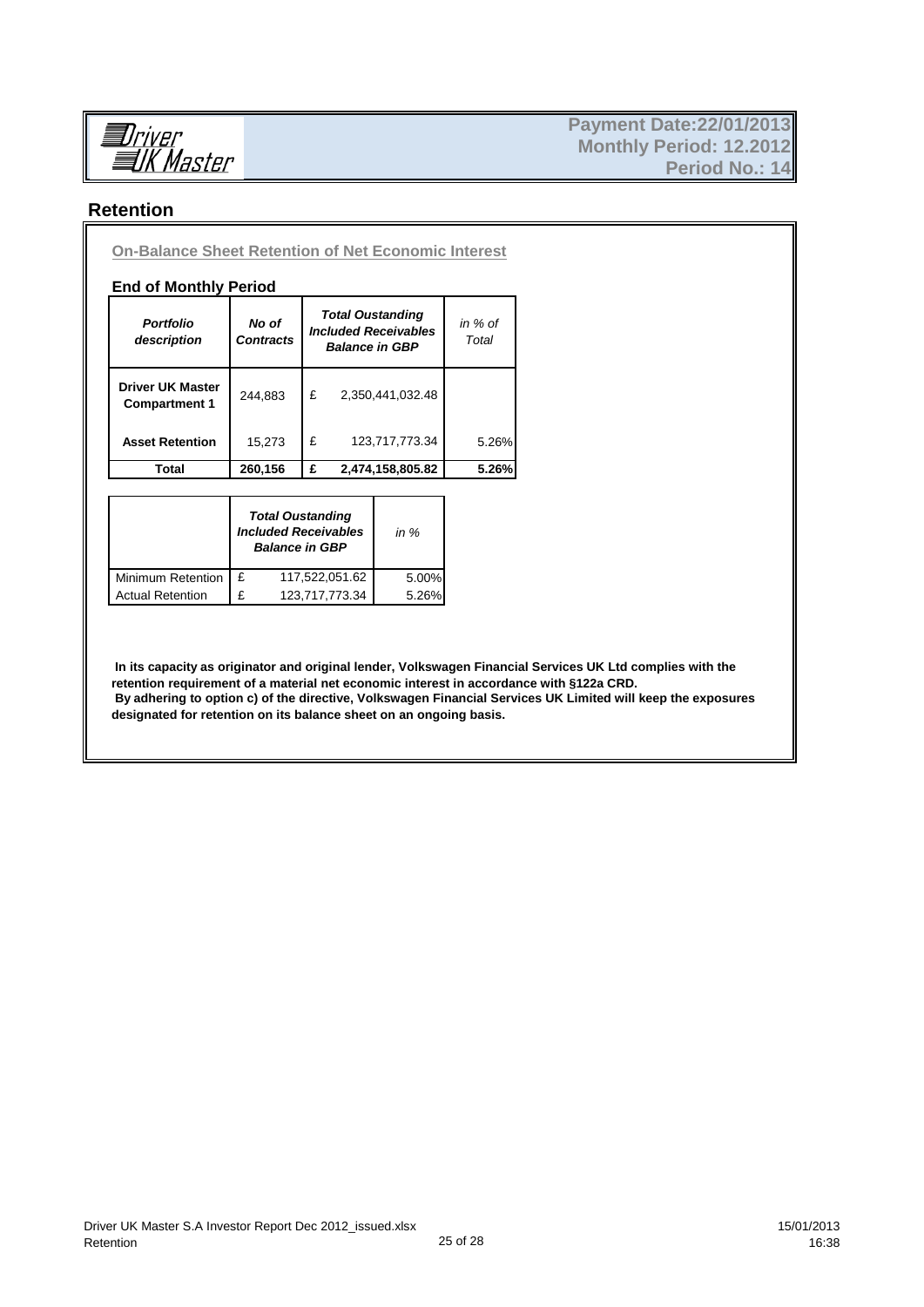

## **Retention**

**On-Balance Sheet Retention of Net Economic Interest**

#### **End of Monthly Period**

| <b>Portfolio</b><br>description                 | No of<br><b>Contracts</b> |   | <b>Total Oustanding</b><br><b>Included Receivables</b><br><b>Balance in GBP</b> | in % of<br>Total |
|-------------------------------------------------|---------------------------|---|---------------------------------------------------------------------------------|------------------|
| <b>Driver UK Master</b><br><b>Compartment 1</b> | 244.883                   | £ | 2,350,441,032.48                                                                |                  |
| <b>Asset Retention</b>                          | 15,273                    | £ | 123,717,773.34                                                                  | 5.26%            |
| Total                                           | 260,156                   | £ | 2,474,158,805.82                                                                | 5.26%            |

|                         |   | <b>Total Oustanding</b><br><b>Included Receivables</b><br><b>Balance in GBP</b> | in $%$ |
|-------------------------|---|---------------------------------------------------------------------------------|--------|
| Minimum Retention       | £ | 117,522,051.62                                                                  | 5.00%  |
| <b>Actual Retention</b> | £ | 123.717.773.34                                                                  | 5.26%  |

 **In its capacity as originator and original lender, Volkswagen Financial Services UK Ltd complies with the retention requirement of a material net economic interest in accordance with §122a CRD. By adhering to option c) of the directive, Volkswagen Financial Services UK Limited will keep the exposures designated for retention on its balance sheet on an ongoing basis.**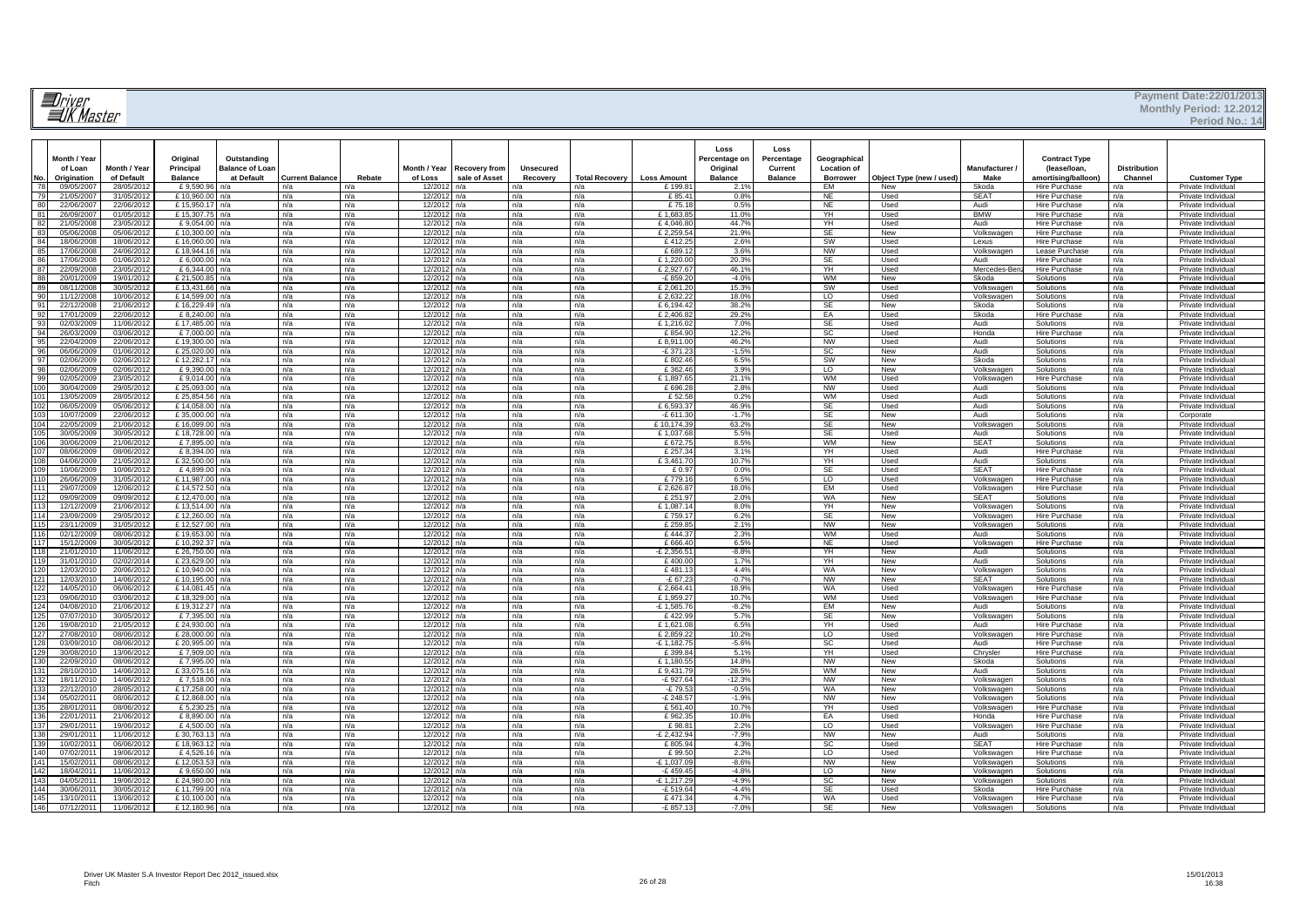# **Il**river<br>IIK Master

#### **Payment Date:22/01/2013 Monthly Period: 12.2012**

**Period No.: 14**

| No.      | Month / Year<br>of Loan<br>Origination | Month / Year<br>of Default | Original<br>Principal<br><b>Balance</b> | Outstanding<br><b>Balance of Loan</b><br>at Default | <b>Current Balance</b> | Rebate     | Month / Year<br>of Loss | <b>Recovery from</b><br>sale of Asset | <b>Unsecured</b><br>Recovery | <b>Total Recovery</b> | <b>Loss Amount</b>    | Loss<br>Percentage or<br>Original<br><b>Balance</b> | Loss<br>Percentage<br>Current<br><b>Balance</b> | Geographical<br><b>Location of</b><br><b>Borrower</b> | Object Type (new / used) | Manufacturer /<br>Make   | <b>Contract Type</b><br>(lease/loan,<br>amortising/balloon) | <b>Distribution</b><br>Channel | <b>Customer Type</b>                     |
|----------|----------------------------------------|----------------------------|-----------------------------------------|-----------------------------------------------------|------------------------|------------|-------------------------|---------------------------------------|------------------------------|-----------------------|-----------------------|-----------------------------------------------------|-------------------------------------------------|-------------------------------------------------------|--------------------------|--------------------------|-------------------------------------------------------------|--------------------------------|------------------------------------------|
| 78       | 09/05/2007                             | 28/05/2012                 | £9,590.96                               | n/a                                                 | n/a                    | n/a        | 12/2012                 | n/a                                   | n/a                          | n/a                   | £199.8                | $2.1^{\circ}$                                       |                                                 | EM                                                    | New                      | Skoda                    | Hire Purchase                                               | n/a                            | Private Individual                       |
| 79       | 21/05/2007                             | 31/05/2012                 | £10,960.00                              | n/a                                                 | n/a                    | n/a        | 12/2013                 | n/a                                   | n/a                          | n/a                   | £85.4                 | 0.8 <sup>0</sup>                                    |                                                 | <b>NE</b>                                             | Used                     | <b>SEAT</b>              | <b>Hire Purchase</b>                                        | n/a                            | Private Individua                        |
| 80       | 22/06/2007                             | 22/06/2012                 | £15,950.17                              | n/a                                                 | n/a                    | n/a        | 12/2012                 | n/a                                   | n/a                          | n/a                   | £75.1                 | 0.5%                                                |                                                 | NE                                                    | Used                     | Audi                     | Hire Purchase                                               | n/a                            | Private Individual                       |
| 81       | 26/09/2007                             | 01/05/2012                 | £15,307.75                              | n/a                                                 | n/a                    | n/a        | 12/2013                 | a/a                                   | n/a                          | n/a                   | £1.683.8              | 11.09                                               |                                                 | YH                                                    | Used                     | <b>BMW</b>               | <b>Hire Purchase</b>                                        | n/a                            | Private Individua                        |
| 82       | 21/05/2008                             | 23/05/2012                 | $f$ 9.054.0                             | n/a                                                 | n/a                    | n/a        | 12/201                  | a/a                                   | n/a                          | n/a                   | £4,046.8              | 44.79                                               |                                                 | YH                                                    | Used                     | Audi                     | Hire Purchase                                               | n/a                            | Private Individual                       |
| 83<br>84 | 05/06/2008<br>18/06/2008               | 05/06/2012<br>18/06/2012   | £10,300.00<br>£16,060.00                | n/a<br>n/a                                          | n/a<br>n/a             | n/a<br>n/a | 12/2013<br>12/201       | a/a<br>n/a                            | n/a<br>n/a                   | n/a<br>n/a            | £2,259.5<br>£412.2    | 21.9%<br>2.6%                                       |                                                 | <b>SE</b><br>sw                                       | New<br>Used              | Volkswagen<br>Lexus      | <b>Hire Purchase</b><br>Hire Purchase                       | n/a<br>n/a                     | Private Individual<br>Private Individual |
| 85       | 17/06/2008                             | 24/06/2012                 | £18.944.1                               | n/a                                                 | n/a                    | n/a        | 12/201                  | a/a                                   | n/a                          | n/a                   | £689.1                | 3.6%                                                |                                                 | NW                                                    | Used                     | Volkswagen               | Lease Purchase                                              | n/a                            | Private Individua                        |
| 86       | 17/06/2008                             | 01/06/2012                 | £ 6,000.00                              | n/a                                                 | n/a                    | n/a        | 12/201                  | $\sqrt{a}$                            | n/a                          | n/a                   | £1,220.0              | 20.39                                               |                                                 | SE                                                    | Used                     | Audi                     | Hire Purchase                                               | n/a                            | Private Individual                       |
| 87       | 22/09/2008                             | 23/05/2012                 | £6,344,00                               | n/a                                                 | n/a                    | n/a        | 12/2013                 | n/a                                   | n/a                          | n/a                   | £2,927.67             | 46.19                                               |                                                 | YH                                                    | Used                     | Mercedes-Ben             | <b>Hire Purchase</b>                                        | n/a                            | Private Individual                       |
| 88       | 20/01/2009                             | 19/01/2012                 | £21,500.85                              | n/a                                                 | n/a                    | n/a        | 12/201                  | n/a                                   | n/a                          | n/a                   | $-E$ 859.2            | $-4.0%$                                             |                                                 | <b>WM</b>                                             | New                      | Skoda                    | Solutions                                                   | n/a                            | Private Individua                        |
| 89       | 08/11/2008                             | 30/05/2012                 | £13.431.66                              | n/a                                                 | n/a                    | n/a        | 12/2012                 | n/a                                   | n/a                          | n/a                   | £2,061,20             | 15.39                                               |                                                 | - SW                                                  | Used                     | Volkswagen               | Solutions                                                   | n/a                            | Private Individua                        |
| 90       | 11/12/2008                             | 10/06/2012                 | £14,599.00                              | n/a                                                 | n/a                    | n/a        | 12/201                  | n/a                                   | n/a                          | n/a                   | £ 2,632.22            | 18.09                                               |                                                 | F                                                     | Used                     | Volkswagen               | Solutions                                                   | n/a                            | Private Individua                        |
| 91       | 22/12/2008                             | 21/06/2012                 | £16,229.49                              | n/a                                                 | n/a                    | n/a        | 12/2013                 | n/a                                   | n/a                          | n/a                   | £6.194.42             | 38.29                                               |                                                 | -SE                                                   | New                      | Skoda                    | Solutions                                                   | n/a                            | Private Individual                       |
| 92       | 17/01/2009                             | 22/06/2012                 | £ $8,240.00$                            | n/a                                                 | n/a                    | n/a        | 12/201                  | n/a                                   | n/a                          | n/a                   | £ $2,406.82$          | 29.2%                                               |                                                 | EA                                                    | Used                     | Skoda                    | <b>Hire Purchase</b>                                        | n/a                            | Private Individual                       |
| 93       | 02/03/2009                             | 11/06/2012                 | £17,485.00                              | n/a                                                 | n/a                    | n/a        | 12/201                  | n/a                                   | n/a                          | n/a                   | £1,216.02             | 7.0%                                                |                                                 | <b>SE</b>                                             | Used                     | Audi                     | Solutions                                                   | n/a                            | Private Individual                       |
| 94       | 26/03/2009                             | 03/06/2012                 | £7,000.00                               | n/a                                                 | n/a                    | n/a        | 12/201:                 | n/a                                   | n/a                          | n/a                   | £ 854.9               | 12.29                                               |                                                 | SC                                                    | Used                     | Honda                    | Hire Purchase                                               | n/a                            | Private Individual                       |
| 95       | 22/04/2009                             | 22/06/2012                 | £19,300.00                              | n/a                                                 | n/a                    | n/a        | 12/201                  | n/a                                   | n/a                          | n/a                   | £8.911.0              | 46.29                                               |                                                 | <b>NW</b>                                             | Used                     | Audi                     | Solutions                                                   | n/a                            | Private Individual                       |
| 96<br>97 | 06/06/2009<br>02/06/2009               | 01/06/2012<br>02/06/2012   | £ 25,020.00<br>£12,282.17               | n/a<br>n/a                                          | n/a<br>n/a             | n/a<br>n/a | 12/201<br>12/2012       | n/a<br>n/a                            | n/a<br>n/a                   | n/a<br>n/a            | $-E$ 371.2<br>£ 802.4 | $-1.59$<br>6.5%                                     |                                                 | <b>SC</b><br>sw                                       | New<br>New               | Audi<br>Skoda            | Solutions<br>Solutions                                      | n/a<br>n/a                     | Private Individual<br>Private Individual |
| 98       | 02/06/2009                             | 02/06/2012                 | £9,390.00                               | n/a                                                 | n/a                    | n/a        | 12/2012                 | n/a                                   | n/a                          | n/a                   | £ 362.46              | 3.9%                                                |                                                 | LO                                                    | New                      | Volkswagen               | Solutions                                                   | n/a                            | Private Individual                       |
| 99       | 02/05/2009                             | 23/05/2012                 | £9,014.00                               | n/a                                                 | n/a                    | n/a        | 12/2012                 | n/a                                   | n/a                          | n/a                   | £1.897.6              | 21.19                                               |                                                 | WM                                                    | Used                     | Volkswagen               | Hire Purchase                                               | n/a                            | Private Individua                        |
|          | 30/04/2009                             | 29/05/2012                 | £ 25,093.0                              | n/a                                                 | n/a                    | n/a        | 12/201:                 | n/a                                   | n/a                          | n/a                   | £696.2                | 2.8%                                                |                                                 | NW                                                    | Used                     | Aud                      | Solutions                                                   | n/a                            | Private Individual                       |
|          | 13/05/2009                             | 28/05/2012                 | £ 25,854.5                              | n/a                                                 | n/a                    | n/a        | 12/201:                 | ٦/a                                   | n/a                          | n/a                   | £ 52.5                | 0.2%                                                |                                                 | <b>WM</b>                                             | Used                     | Aud                      | Solutions                                                   | n/a                            | Private Individua                        |
|          | 06/05/2009                             | 05/06/2012                 | 14,058.00                               | n/a                                                 | n/a                    | n/a        | 12/201:                 | ٦/a                                   | n/a                          | n/a                   | £6,593.3              | 46.9%                                               |                                                 | SE                                                    | Used                     | Audi                     | Solutions                                                   | n/a                            | Private Individua                        |
|          | 10/07/2009                             | 22/06/2012                 | £35,000.00                              | n/a                                                 | n/a                    | n/a        | 12/2012                 | n/a                                   | n/a                          | n/a                   | $-E$ 611.3            | $-1.79$                                             |                                                 | <b>SE</b>                                             | New                      | Audi                     | Solutions                                                   | n/a                            | Corporate                                |
|          | 22/05/2009                             | 21/06/2012                 | £16,099.00                              | n/a                                                 | n/a                    | n/a        | 12/2012                 | n/a                                   | n/a                          | n/a                   | £10,174.3             | 63.2%                                               |                                                 | <b>SE</b>                                             | New                      | Volkswagen               | Solutions                                                   | n/a                            | Private Individual                       |
|          | 30/05/2009                             | 30/05/2012                 | £18,728,00                              | n/a                                                 | n/a                    | n/a        | 12/2012                 | n/a                                   | n/a                          | n/a                   | £1.037.6              | 5.5%                                                |                                                 | <b>SE</b>                                             | Used                     | Audi                     | Solutions                                                   | n/a                            | Private Individual                       |
|          | 30/06/2009                             | 21/06/2012                 | £7,895.00                               | n/a                                                 | n/a                    | n/a        | 12/201:                 | n/a                                   | n/a                          | n/a                   | £672.7                | 8.5%                                                |                                                 | WM                                                    | New                      | <b>SEAT</b>              | Solutions                                                   | n/a                            | Private Individual                       |
|          | 08/06/2009                             | 08/06/2012                 | £8.394.00                               | n/a                                                 | n/a                    | n/a        | 12/2012                 | n/a                                   | n/a                          | n/a                   | £257.34               | 3.1%                                                |                                                 | YH                                                    | Used                     | Audi                     | <b>Hire Purchase</b>                                        | n/a                            | Private Individual                       |
| 109      | 04/06/2009<br>10/06/2009               | 21/05/2012<br>10/06/2012   | £32,500.00<br>£4.899.00                 | n/a<br>n/a                                          | n/a<br>n/a             | n/a<br>n/a | 12/201:<br>12/2012      | n/a<br>n/a                            | n/a<br>n/a                   | n/a<br>n/a            | £3,461.7<br>£0.97     | 10.7%<br>0.0%                                       |                                                 | YH<br><b>SE</b>                                       | Used<br>Used             | Audi<br><b>SEAT</b>      | Solutions<br><b>Hire Purchase</b>                           | n/a<br>n/a                     | Private Individua<br>Private Individual  |
|          | 26/06/2009                             | 31/05/2012                 | £11.987.00                              | n/a                                                 | n/a                    | n/a        | 12/2012                 | n/a                                   | n/a                          | n/a                   | £779.1                | 6.5%                                                |                                                 | <b>LO</b>                                             | Used                     | Volkswagen               | <b>Hire Purchase</b>                                        | n/a                            | Private Individual                       |
|          | 29/07/2009                             | 12/06/2012                 | £14.572.50                              | n/a                                                 | n/a                    | n/a        | 12/201                  | n/a                                   | n/a                          | n/a                   | $f$ 2626.8            | 18.0%                                               |                                                 | <b>FM</b>                                             | Used                     | Volkswagen               | Hire Purchase                                               | n/a                            | Private Individual                       |
|          | 09/09/2009                             | 09/09/2012                 | £12,470.00                              | n/a                                                 | n/a                    | n/a        | 12/2012                 | n/a                                   | n/a                          | n/a                   | £ 251.9               | 2.0%                                                |                                                 | WA                                                    | <b>New</b>               | <b>SEAT</b>              | Solutions                                                   | n/a                            | Private Individua                        |
|          | 12/12/2009                             | 21/06/2012                 | £13.514.00                              | n/a                                                 | n/a                    | n/a        | 12/2012                 | n/a                                   | n/a                          | n/a                   | £1,087.1              | 8.0%                                                |                                                 | YH                                                    | <b>New</b>               | Volkswagen               | Solutions                                                   | n/a                            | Private Individual                       |
|          | 23/09/2009                             | 29/05/2012                 | £12,260.00                              | n/a                                                 | n/a                    | n/a        | 12/2012                 | n/a                                   | n/a                          | n/a                   | £759.1                | 6.2%                                                |                                                 | SE                                                    | New                      | Volkswagen               | Hire Purchase                                               | n/a                            | Private Individual                       |
|          | 23/11/2009                             | 31/05/2012                 | £12,527.00                              | n/a                                                 | n/a                    | n/a        | 12/2012                 | n/a                                   | n/a                          | n/a                   | £ 259.8               | 2.1%                                                |                                                 | <b>NW</b>                                             | New                      | Volkswagen               | Solutions                                                   | n/a                            | Private Individual                       |
|          | 02/12/2009                             | 08/06/2012                 | £19,653.00                              | n/a                                                 | n/a                    | n/a        | 12/2012                 | n/a                                   | n/a                          | n/a                   | £444.37               | 2.3%                                                |                                                 | <b>WM</b>                                             | Used                     | Audi                     | Solutions                                                   | n/a                            | Private Individual                       |
|          | 15/12/2009                             | 30/05/2012                 | £10,292.37                              | n/a                                                 | n/a                    | n/a        | 12/2012                 | n/a                                   | n/a                          | n/a                   | £ 666.4               | 6.5%                                                |                                                 | NE                                                    | Used                     | Volkswagen               | Hire Purchase                                               | n/a                            | Private Individual                       |
|          | 21/01/2010                             | 11/06/2012                 | £ 26,750.00 n/a                         |                                                     | n/a                    | n/a        | 12/2012                 | n/a                                   | n/a                          | n/a                   | $-E$ 2,356.5          | $-8.8%$                                             |                                                 | YH                                                    | New                      | Audi                     | Solutions                                                   | n/a                            | Private Individual                       |
|          | 31/01/2010<br>12/03/2010               | 02/02/2014                 | £23,629.00<br>£10,940.00                | n/a<br>n/a                                          | n/a<br>n/a             | n/a<br>n/a | 12/2012                 | n/a<br>n/a                            | n/a<br>n/a                   | n/a<br>n/a            | £400.0<br>£481.1      | 1.7%<br>4.4%                                        |                                                 | YH<br>WA                                              | New<br>New               | Audi<br>Volkswagen       | Solutions<br>Solutions                                      | n/a<br>n/a                     | Private Individual<br>Private Individual |
|          | 12/03/201                              | 20/06/2012<br>14/06/2012   | £10.195.00                              | n/a                                                 | n/a                    | n/a        | 12/2012<br>12/201:      | a/a                                   | n/a                          | n/a                   | $-£ 67.2$             | $-0.7%$                                             |                                                 | <b>NW</b>                                             | <b>New</b>               | <b>SEAT</b>              | Solutions                                                   | n/a                            | Private Individua                        |
|          | 14/05/2010                             | 06/06/2012                 | £ 14,081.45 n/a                         |                                                     | n/a                    | n/a        | 12/2012                 | n/a                                   | n/a                          | n/a                   | £2,664.4              | 18.9%                                               |                                                 | WA                                                    | Used                     | Volkswagen               | Hire Purchase                                               | n/a                            | Private Individual                       |
|          | 09/06/201                              | 03/06/2012                 | £18,329.00                              | n/a                                                 | n/a                    | n/a        | 12/2013                 | a/a                                   | n/a                          | n/a                   | £1.959.2              | 10.7%                                               |                                                 | <b>WM</b>                                             | Used                     | Volkswagen               | <b>Hire Purchase</b>                                        | n/a                            | Private Individua                        |
|          | 04/08/201                              | 21/06/2012                 | £19,312.27                              | n/a                                                 | n/a                    | n/a        | 12/201                  |                                       | n/a                          | n/a                   | $-E$ 1,585.7          | $-8.2%$                                             |                                                 | EM                                                    | New                      | Aud                      | Solutions                                                   | n/a                            | Private Individua                        |
|          | 07/07/2010                             | 30/05/2012                 | £7,395.00                               | n/a                                                 | n/a                    | n/a        | 12/2013                 | a/a                                   | n/a                          | n/a                   | £422.9                | 5.7%                                                |                                                 | <b>SE</b>                                             | New                      | Volkswagen               | Solutions                                                   | n/a                            | Private Individua                        |
|          | 19/08/201                              | 21/05/2012                 | £ 24,930.00                             | n/a                                                 | n/a                    | n/a        | 12/201                  | ٦/a                                   | n/a                          | n/a                   | £1,621.0              | 6.5%                                                |                                                 | YH                                                    | Used                     | Audi                     | Hire Purchase                                               | n/a                            | Private Individual                       |
|          | 27/08/201                              | 08/06/2012                 | £28,000,00                              | n/a                                                 | n/a                    | n/a        | 12/201                  | h/a                                   | n/a                          | n/a                   | £2,859.2              | 10.2%                                               |                                                 | P                                                     | Used                     | Volkswagen               | <b>Hire Purchase</b>                                        | n/a                            | Private Individua                        |
|          | 03/09/201                              | 08/06/2012                 | £20.995.00                              | n/a                                                 | n/a                    | n/a        | 12/201                  | ٦/a                                   | n/a                          | n/a                   | $-E 1.182.7$          | $-5.6%$                                             |                                                 | <b>SC</b>                                             | Used                     | Audi                     | Hire Purchase                                               | n/a                            | Private Individua                        |
|          | 30/08/2010                             | 13/06/2012                 | £7,909.00                               | n/a                                                 | n/a                    | n/a        | 12/2012                 | n/a                                   | n/a                          | n/a                   | £399.8                | 5.1%                                                |                                                 | YH                                                    | Used                     | Chrysler                 | <b>Hire Purchase</b>                                        | n/a                            | Private Individual                       |
|          | 22/09/2010<br>28/10/201                | 08/06/2012<br>14/06/2012   | £7,995.00<br>£33.075.16                 | n/a<br>n/a                                          | n/a<br>n/a             | n/a<br>n/a | 12/201<br>12/201        | a/a<br>٦/a                            | n/a<br>n/a                   | n/a<br>n/a            | £1,180.5<br>£9.431.7  | 14.8%<br>$28.5^{\circ}$                             |                                                 | <b>NW</b><br>WM                                       | New<br>New               | Skoda<br>Audi            | Solutions<br>Solutions                                      | n/a<br>n/a                     | Private Individua<br>Private Individua   |
|          | 18/11/2010                             | 14/06/2012                 | £7,518.00                               | n/a                                                 | n/a                    | n/a        | 12/2013                 | n/a                                   | n/a                          | n/a                   | $-E$ 927.6            | $-12.39$                                            |                                                 | <b>NW</b>                                             | <b>New</b>               | Volkswagen               | Solutions                                                   | n/a                            | Private Individual                       |
|          | 22/12/2010                             | 28/05/2012                 | £17,258.00                              | n/a                                                 | n/a                    | n/a        | 12/2013                 | h/a                                   | n/a                          | n/a                   | $-E$ 79.5             | $-0.5%$                                             |                                                 | WA                                                    | <b>New</b>               | Volkswagen               | Solutions                                                   | n/a                            | Private Individual                       |
|          | 05/02/2011                             | 08/06/2012                 | £12,868.00 n/a                          |                                                     | n/a                    | n/a        | 12/2012                 | n/a                                   | n/a                          | n/a                   | $-£248.5$             | $-1.9%$                                             |                                                 | <b>NW</b>                                             | New                      | Volkswagen               | Solutions                                                   | n/a                            | Private Individual                       |
|          | 28/01/2011                             | 08/06/2012                 | £5.230.25                               | n/a                                                 | n/a                    | n/a        | 12/201:                 | n/a                                   | n/a                          | n/a                   | £561.4                | 10.7%                                               |                                                 | YH                                                    | Used                     | Volkswagen               | <b>Hire Purchase</b>                                        | n/a                            | Private Individua                        |
|          | 22/01/2011                             | 21/06/2012                 | £8,890.00 n/a                           |                                                     | n/a                    | n/a        | 12/2012                 | n/a                                   | n/a                          | n/a                   | £962.3                | 10.8%                                               |                                                 | EA                                                    | Used                     | Honda                    | Hire Purchase                                               | n/a                            | Private Individual                       |
|          | 29/01/2011                             | 19/06/2012                 | £4,500.00                               | n/a                                                 | n/a                    | n/a        | 12/2012                 | n/a                                   | n/a                          | n/a                   | £98.8                 | 2.2%                                                |                                                 | <b>LO</b>                                             | Used                     | Volkswagen               | Hire Purchase                                               | n/a                            | Private Individua                        |
|          | 29/01/2011                             | 11/06/2012                 | £30,763.13 n/a                          |                                                     | n/a                    | n/a        | 12/2012                 | n/a                                   | n/a                          | n/a                   | $-E$ 2,432.9          | $-7.9%$                                             |                                                 | <b>NW</b>                                             | New                      | Audi                     | Solutions                                                   | n/a                            | Private Individua                        |
|          | 10/02/2011                             | 06/06/2012                 | £18,963.12                              | n/a                                                 | n/a                    | n/a        | 12/2012                 | n/a                                   | n/a                          | n/a                   | £805.9                | 4.3%                                                |                                                 | <b>SC</b>                                             | Used                     | <b>SEAT</b>              | Hire Purchase                                               | n/a                            | Private Individual                       |
|          | 07/02/2011                             | 19/06/2012                 | £4,526.16                               | n/a                                                 | n/a                    | n/a        | 12/2012                 | n/a                                   | n/a                          | n/a                   | £ 99.5                | 2.2%                                                |                                                 | LO                                                    | Used                     | Volkswagen               | Hire Purchase                                               | n/a                            | Private Individual                       |
| 141      | 15/02/2011                             | 08/06/2012                 | £12.053.53                              | n/a                                                 | n/a                    | n/a        | 12/2012                 | n/a                                   | n/a                          | n/a                   | $-E 1.037.0$          | $-8.6%$                                             |                                                 | <b>NW</b>                                             | New                      | Volkswagen               | Solutions                                                   | n/a                            | Private Individua                        |
|          | 18/04/2011<br>04/05/201                | 11/06/2012<br>19/06/2012   | £9.650.00<br>£24,980.00                 | n/a<br>n/a                                          | n/a<br>n/a             | n/a<br>n/a | 12/2012<br>12/2012      | n/a<br>n/a                            | n/a<br>n/a                   | n/a<br>n/a            | $-E459.4$<br>£1,217.2 | $-4.89$<br>$-4.99$                                  |                                                 | LO<br><b>SC</b>                                       | New<br>New               | Volkswagen<br>Volkswagen | Solutions<br>Solutions                                      | n/a<br>n/a                     | Private Individua<br>Private Individua   |
|          | 30/06/201                              | 30/05/2012                 | £11,799.00                              | n/a                                                 | n/a                    | n/a        | 12/2012                 | n/a                                   | n/a                          | n/a                   | £ 519.6               | $-4.4%$                                             |                                                 | <b>SE</b>                                             | Used                     | Skoda                    | Hire Purchase                                               | n/a                            | Private Individual                       |
| 145      | 13/10/2011                             | 13/06/2012                 | £10,100.00                              | n/a                                                 | n/a                    | n/a        | 12/2012                 | ٦/a                                   | n/a                          | n/a                   | £471.3                | 4.7%                                                |                                                 | WA                                                    | Used                     | Volkswage                | Hire Purchase                                               | n/a                            | Private Individua                        |
| 146      | 07/12/2011                             | 11/06/2012                 | £12,180.96                              | n/a                                                 | n/a                    | n/a        | 12/2012                 | n/a                                   | n/a                          | n/a                   | £ 857.1               | $-7.0%$                                             |                                                 | <b>SE</b>                                             | New                      | Volkswagen               | Solutions                                                   | n/a                            | Private Individual                       |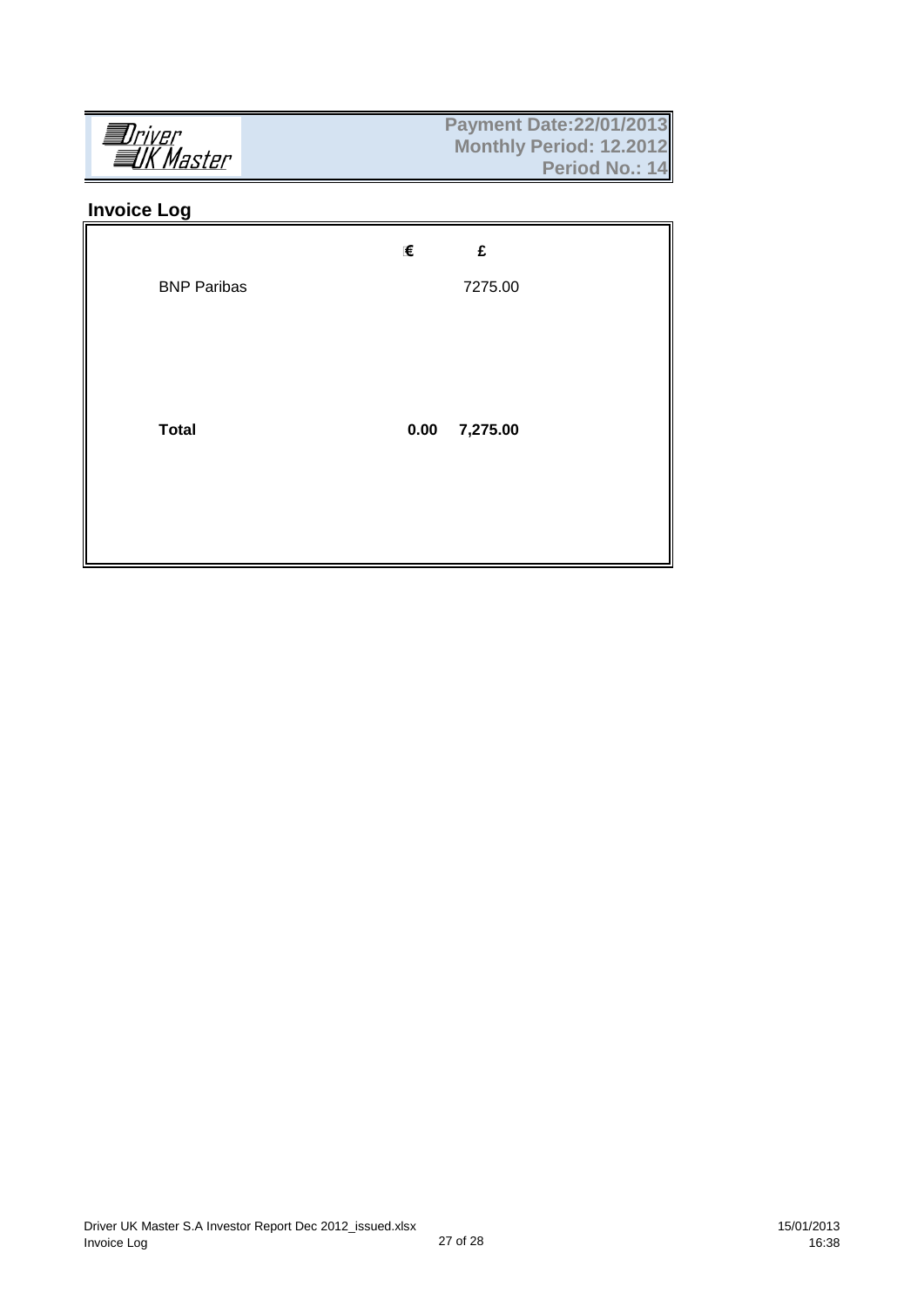## **Invoice Log**

|                    | €<br>£           |  |
|--------------------|------------------|--|
| <b>BNP Paribas</b> | 7275.00          |  |
|                    |                  |  |
|                    |                  |  |
| <b>Total</b>       | 0.00<br>7,275.00 |  |
|                    |                  |  |
|                    |                  |  |
|                    |                  |  |